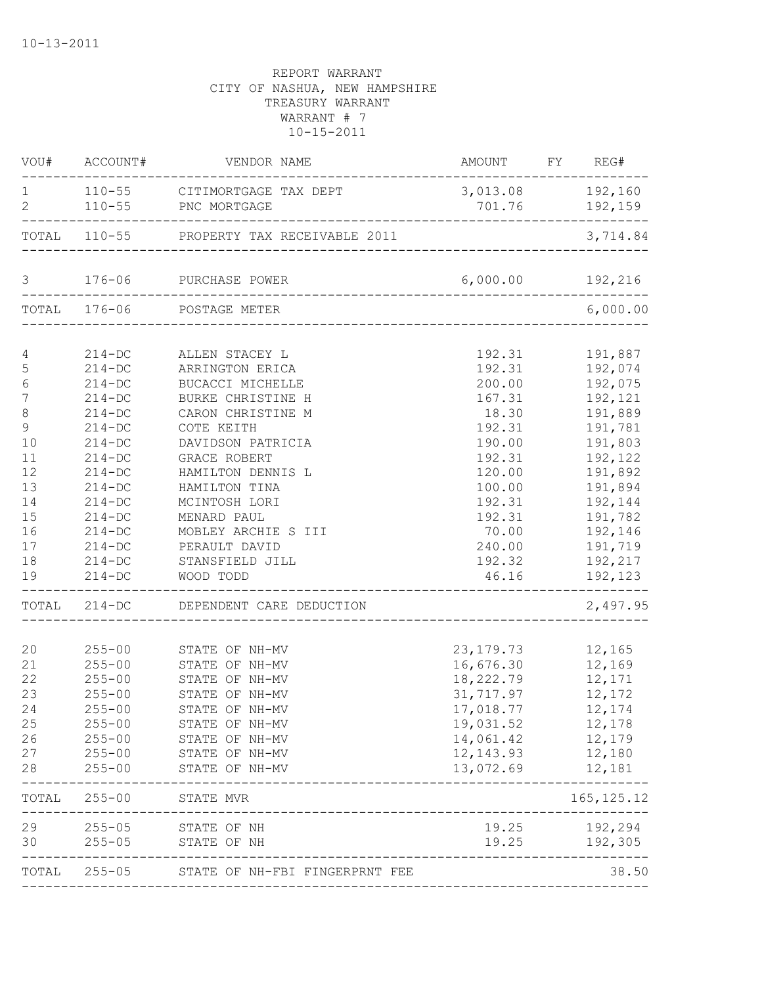| VOU#                  | ACCOUNT#                 | VENDOR NAME                                  | AMOUNT                     | FY REG#                     |
|-----------------------|--------------------------|----------------------------------------------|----------------------------|-----------------------------|
| 1<br>$\overline{2}$   | $110 - 55$               | 110-55 CITIMORTGAGE TAX DEPT<br>PNC MORTGAGE | 701.76                     | 3,013.08 192,160<br>192,159 |
|                       |                          | TOTAL 110-55 PROPERTY TAX RECEIVABLE 2011    |                            | 3,714.84                    |
| 3                     | $176 - 06$               | PURCHASE POWER                               |                            | 6,000.00 192,216            |
|                       | TOTAL 176-06             | POSTAGE METER                                |                            | 6,000.00                    |
|                       |                          |                                              |                            |                             |
| 4                     | $214 - DC$<br>$214 - DC$ | ALLEN STACEY L                               | 192.31<br>192.31           | 191,887<br>192,074          |
| 5                     |                          | ARRINGTON ERICA                              | 200.00                     |                             |
| 6<br>$\boldsymbol{7}$ | $214 - DC$               | BUCACCI MICHELLE                             |                            | 192,075                     |
|                       | $214 - DC$<br>$214 - DC$ | BURKE CHRISTINE H<br>CARON CHRISTINE M       | 167.31<br>18.30            | 192,121<br>191,889          |
| 8<br>9                | $214 - DC$               | COTE KEITH                                   | 192.31                     | 191,781                     |
| 10                    | $214 - DC$               | DAVIDSON PATRICIA                            | 190.00                     | 191,803                     |
| 11                    | $214 - DC$               | GRACE ROBERT                                 | 192.31                     | 192,122                     |
| 12                    | $214 - DC$               | HAMILTON DENNIS L                            | 120.00                     | 191,892                     |
| 13                    | $214 - DC$               | HAMILTON TINA                                | 100.00                     | 191,894                     |
| 14                    | $214 - DC$               | MCINTOSH LORI                                | 192.31                     | 192,144                     |
| 15                    | $214 - DC$               | MENARD PAUL                                  | 192.31                     | 191,782                     |
| 16                    | $214 - DC$               | MOBLEY ARCHIE S III                          | 70.00                      | 192,146                     |
| 17                    | $214 - DC$               | PERAULT DAVID                                | 240.00                     | 191,719                     |
| 18                    | $214 - DC$               | STANSFIELD JILL                              | 192.32                     | 192,217                     |
| 19                    | $214 - DC$               | WOOD TODD                                    | 46.16                      | 192,123                     |
| TOTAL                 | $214-DC$                 | DEPENDENT CARE DEDUCTION                     | _________________          | 2,497.95                    |
| 20                    | $255 - 00$               | STATE OF NH-MV                               | 23, 179. 73                | 12,165                      |
| 21                    | $255 - 00$               | STATE OF NH-MV                               | 16,676.30                  | 12,169                      |
| 22                    | $255 - 00$               | STATE OF NH-MV                               | 18,222.79                  | 12,171                      |
| 23                    | $255 - 00$               | STATE OF NH-MV                               | 31,717.97                  | 12,172                      |
| 24                    | $255 - 00$               | STATE OF NH-MV                               | 17,018.77                  | 12,174                      |
| 25                    | $255 - 00$               | STATE OF NH-MV                               | 19,031.52                  | 12,178                      |
| 26                    | $255 - 00$               | STATE OF NH-MV                               | 14,061.42                  | 12,179                      |
| 27                    | $255 - 00$               | STATE OF NH-MV                               | 12, 143.93                 | 12,180                      |
| 28                    | $255 - 00$               | STATE OF NH-MV                               | 13,072.69                  | 12,181                      |
| TOTAL                 | $255 - 00$               | STATE MVR<br>_______________                 |                            | 165, 125. 12                |
| 29                    | $255 - 05$               | STATE OF NH                                  | 19.25                      | 192,294                     |
| 30                    | $255 - 05$               | STATE OF NH                                  | 19.25                      | 192,305                     |
| TOTAL                 | $255 - 05$               | STATE OF NH-FBI FINGERPRNT FEE               | __________________________ | 38.50                       |
|                       |                          |                                              |                            |                             |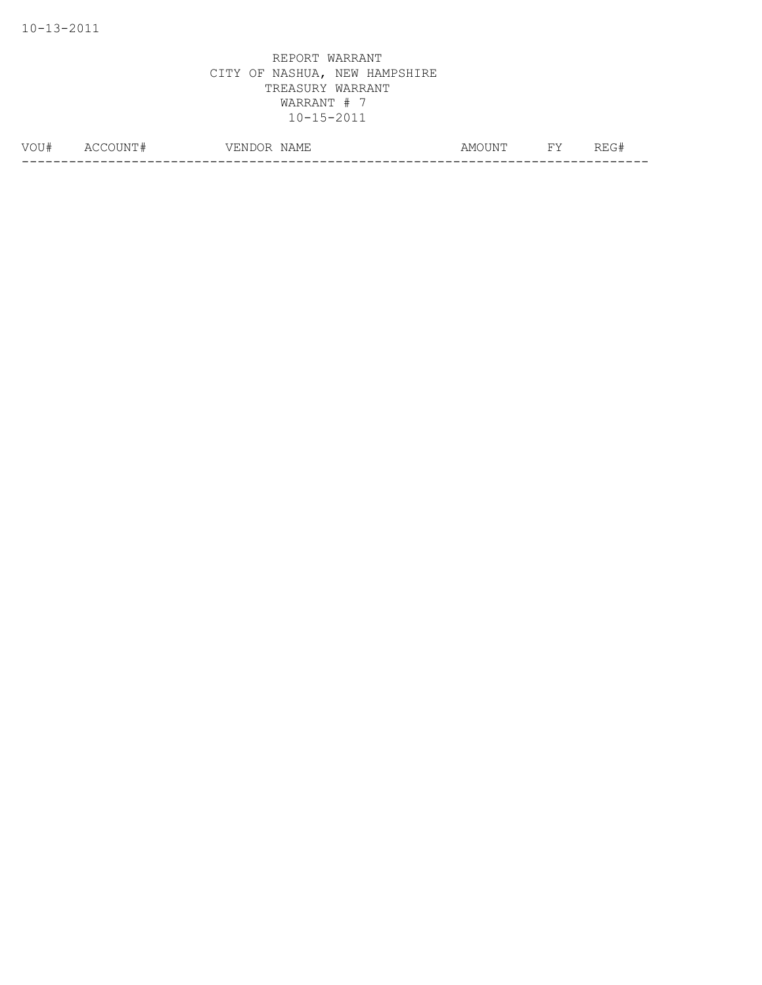| ◡ | ∸<br>__ | 'NE | $-$<br>87 I<br>. | A M G | $\overline{\phantom{0}}$ | . .<br>- 14<br>______ |
|---|---------|-----|------------------|-------|--------------------------|-----------------------|
|   |         |     |                  |       |                          |                       |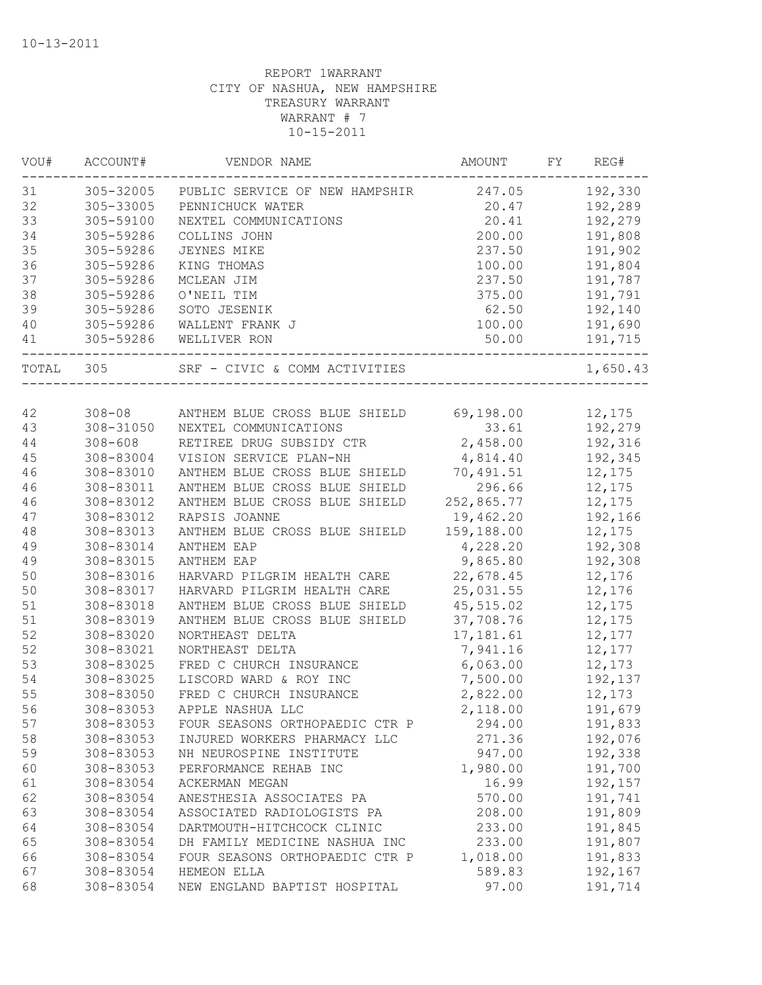| WOU#  | ACCOUNT#    | VENDOR NAME                    | AMOUNT     | FY | REG#     |
|-------|-------------|--------------------------------|------------|----|----------|
| 31    | 305-32005   | PUBLIC SERVICE OF NEW HAMPSHIR | 247.05     |    | 192,330  |
| 32    | 305-33005   | PENNICHUCK WATER               | 20.47      |    | 192,289  |
| 33    | 305-59100   | NEXTEL COMMUNICATIONS          | 20.41      |    | 192,279  |
| 34    | 305-59286   | COLLINS JOHN                   | 200.00     |    | 191,808  |
| 35    | 305-59286   | JEYNES MIKE                    | 237.50     |    | 191,902  |
| 36    | 305-59286   | KING THOMAS                    | 100.00     |    | 191,804  |
| 37    | 305-59286   | MCLEAN JIM                     | 237.50     |    | 191,787  |
| 38    | 305-59286   | O'NEIL TIM                     | 375.00     |    | 191,791  |
| 39    | 305-59286   | SOTO JESENIK                   | 62.50      |    | 192,140  |
| 40    | 305-59286   | WALLENT FRANK J                | 100.00     |    | 191,690  |
| 41    | 305-59286   | WELLIVER RON                   | 50.00      |    | 191,715  |
| TOTAL | 305         | SRF - CIVIC & COMM ACTIVITIES  |            |    | 1,650.43 |
|       |             |                                |            |    |          |
| 42    | $308 - 08$  | ANTHEM BLUE CROSS BLUE SHIELD  | 69,198.00  |    | 12,175   |
| 43    | 308-31050   | NEXTEL COMMUNICATIONS          | 33.61      |    | 192,279  |
| 44    | $308 - 608$ | RETIREE DRUG SUBSIDY CTR       | 2,458.00   |    | 192,316  |
| 45    | 308-83004   | VISION SERVICE PLAN-NH         | 4,814.40   |    | 192,345  |
| 46    | 308-83010   | ANTHEM BLUE CROSS BLUE SHIELD  | 70,491.51  |    | 12,175   |
| 46    | 308-83011   | ANTHEM BLUE CROSS BLUE SHIELD  | 296.66     |    | 12,175   |
| 46    | 308-83012   | ANTHEM BLUE CROSS BLUE SHIELD  | 252,865.77 |    | 12,175   |
| 47    | 308-83012   | RAPSIS JOANNE                  | 19,462.20  |    | 192,166  |
| 48    | 308-83013   | ANTHEM BLUE CROSS BLUE SHIELD  | 159,188.00 |    | 12,175   |
| 49    | 308-83014   | ANTHEM EAP                     | 4,228.20   |    | 192,308  |
| 49    | 308-83015   | ANTHEM EAP                     | 9,865.80   |    | 192,308  |
| 50    | 308-83016   | HARVARD PILGRIM HEALTH CARE    | 22,678.45  |    | 12,176   |
| 50    | 308-83017   | HARVARD PILGRIM HEALTH CARE    | 25,031.55  |    | 12,176   |
| 51    | 308-83018   | ANTHEM BLUE CROSS BLUE SHIELD  | 45,515.02  |    | 12,175   |
| 51    | 308-83019   | ANTHEM BLUE CROSS BLUE SHIELD  | 37,708.76  |    | 12,175   |
| 52    | 308-83020   | NORTHEAST DELTA                | 17, 181.61 |    | 12,177   |
| 52    | 308-83021   | NORTHEAST DELTA                | 7,941.16   |    | 12,177   |
| 53    | 308-83025   | FRED C CHURCH INSURANCE        | 6,063.00   |    | 12,173   |
| 54    | 308-83025   | LISCORD WARD & ROY INC         | 7,500.00   |    | 192,137  |
| 55    | 308-83050   | FRED C CHURCH INSURANCE        | 2,822.00   |    | 12,173   |
| 56    | 308-83053   | APPLE NASHUA LLC               | 2,118.00   |    | 191,679  |
| 57    | 308-83053   | FOUR SEASONS ORTHOPAEDIC CTR P | 294.00     |    | 191,833  |
| 58    | 308-83053   | INJURED WORKERS PHARMACY LLC   | 271.36     |    | 192,076  |
| 59    | 308-83053   | NH NEUROSPINE INSTITUTE        | 947.00     |    | 192,338  |
| 60    | 308-83053   | PERFORMANCE REHAB INC          | 1,980.00   |    | 191,700  |
| 61    | 308-83054   | ACKERMAN MEGAN                 | 16.99      |    | 192,157  |
| 62    | 308-83054   | ANESTHESIA ASSOCIATES PA       | 570.00     |    | 191,741  |
| 63    | 308-83054   | ASSOCIATED RADIOLOGISTS PA     | 208.00     |    | 191,809  |
| 64    | 308-83054   | DARTMOUTH-HITCHCOCK CLINIC     | 233.00     |    | 191,845  |
| 65    | 308-83054   | DH FAMILY MEDICINE NASHUA INC  | 233.00     |    | 191,807  |
| 66    | 308-83054   | FOUR SEASONS ORTHOPAEDIC CTR P | 1,018.00   |    | 191,833  |
| 67    | 308-83054   | HEMEON ELLA                    | 589.83     |    | 192,167  |
| 68    | 308-83054   | NEW ENGLAND BAPTIST HOSPITAL   | 97.00      |    | 191,714  |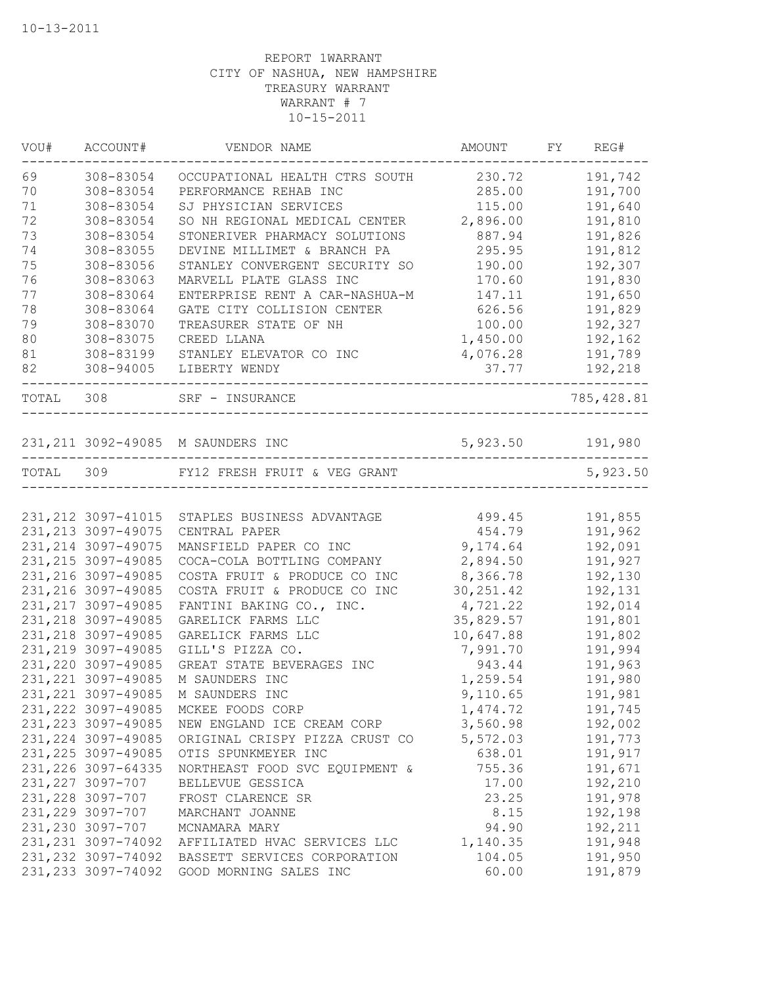| VOU#      | ACCOUNT#            | VENDOR NAME                                    | AMOUNT           | FY REG#     |
|-----------|---------------------|------------------------------------------------|------------------|-------------|
| 69        | 308-83054           | OCCUPATIONAL HEALTH CTRS SOUTH                 | 230.72           | 191,742     |
| 70        | 308-83054           | PERFORMANCE REHAB INC                          | 285.00           | 191,700     |
| 71        | 308-83054           | SJ PHYSICIAN SERVICES                          | 115.00           | 191,640     |
| 72        | 308-83054           | SO NH REGIONAL MEDICAL CENTER                  | 2,896.00         | 191,810     |
| 73        | 308-83054           | STONERIVER PHARMACY SOLUTIONS                  | 887.94           | 191,826     |
| 74        | 308-83055           | DEVINE MILLIMET & BRANCH PA                    | 295.95           | 191,812     |
| 75        | 308-83056           | STANLEY CONVERGENT SECURITY SO                 | 190.00           | 192,307     |
| 76        | 308-83063           | MARVELL PLATE GLASS INC                        | 170.60           | 191,830     |
| 77        | 308-83064           | ENTERPRISE RENT A CAR-NASHUA-M                 | 147.11           | 191,650     |
| 78        | 308-83064           | GATE CITY COLLISION CENTER                     | 626.56           | 191,829     |
| 79        | 308-83070           | TREASURER STATE OF NH                          | 100.00           | 192,327     |
| 80        | 308-83075           | CREED LLANA                                    | 1,450.00         | 192,162     |
| 81        | 308-83199           | STANLEY ELEVATOR CO INC                        | 4,076.28         | 191,789     |
| 82        | 308-94005           | LIBERTY WENDY                                  | 37.77            | 192,218     |
| TOTAL 308 |                     | SRF - INSURANCE                                |                  | 785, 428.81 |
|           |                     | 231, 211 3092-49085 M SAUNDERS INC             | 5,923.50 191,980 |             |
|           |                     |                                                |                  |             |
| TOTAL 309 |                     | FY12 FRESH FRUIT & VEG GRANT                   |                  | 5,923.50    |
|           |                     |                                                |                  |             |
|           |                     | 231, 212 3097-41015 STAPLES BUSINESS ADVANTAGE | 499.45           | 191,855     |
|           | 231, 213 3097-49075 | CENTRAL PAPER                                  | 454.79           | 191,962     |
|           | 231, 214 3097-49075 | MANSFIELD PAPER CO INC                         | 9,174.64         | 192,091     |
|           | 231, 215 3097-49085 | COCA-COLA BOTTLING COMPANY                     | 2,894.50         | 191,927     |
|           | 231, 216 3097-49085 | COSTA FRUIT & PRODUCE CO INC                   | 8,366.78         | 192,130     |
|           | 231, 216 3097-49085 | COSTA FRUIT & PRODUCE CO INC                   | 30, 251.42       | 192,131     |
|           | 231, 217 3097-49085 | FANTINI BAKING CO., INC.                       | 4,721.22         | 192,014     |
|           | 231, 218 3097-49085 | GARELICK FARMS LLC                             | 35,829.57        | 191,801     |
|           | 231, 218 3097-49085 | GARELICK FARMS LLC                             | 10,647.88        | 191,802     |
|           | 231, 219 3097-49085 | GILL'S PIZZA CO.                               | 7,991.70         | 191,994     |
|           | 231, 220 3097-49085 | GREAT STATE BEVERAGES INC                      | 943.44           | 191,963     |
|           | 231, 221 3097-49085 | M SAUNDERS INC                                 | 1,259.54         | 191,980     |
|           | 231, 221 3097-49085 | M SAUNDERS INC                                 | 9,110.65         | 191,981     |
|           | 231, 222 3097-49085 | MCKEE FOODS CORP                               | 1,474.72         | 191,745     |
|           | 231, 223 3097-49085 | NEW ENGLAND ICE CREAM CORP                     | 3,560.98         | 192,002     |
|           | 231, 224 3097-49085 | ORIGINAL CRISPY PIZZA CRUST CO                 | 5,572.03         | 191,773     |
|           | 231, 225 3097-49085 | OTIS SPUNKMEYER INC                            | 638.01           | 191,917     |
|           | 231, 226 3097-64335 | NORTHEAST FOOD SVC EQUIPMENT &                 | 755.36           | 191,671     |
|           | 231, 227 3097-707   | BELLEVUE GESSICA                               | 17.00            | 192,210     |
|           | 231, 228 3097-707   | FROST CLARENCE SR                              | 23.25            | 191,978     |
|           | 231, 229 3097-707   | MARCHANT JOANNE                                | 8.15             | 192,198     |
|           | 231, 230 3097-707   | MCNAMARA MARY                                  | 94.90            | 192,211     |
|           | 231, 231 3097-74092 | AFFILIATED HVAC SERVICES LLC                   | 1,140.35         | 191,948     |
|           | 231, 232 3097-74092 | BASSETT SERVICES CORPORATION                   | 104.05           | 191,950     |
|           | 231, 233 3097-74092 | GOOD MORNING SALES INC                         | 60.00            | 191,879     |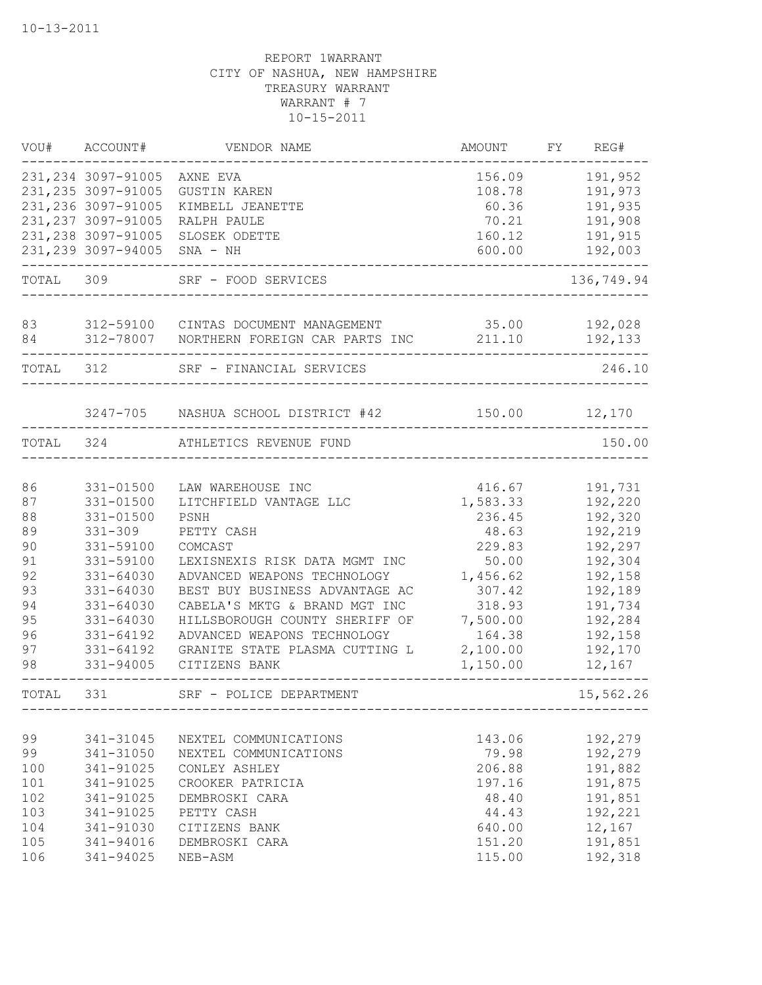|           | VOU# ACCOUNT#       | VENDOR NAME                                        | AMOUNT   | FY REG#    |
|-----------|---------------------|----------------------------------------------------|----------|------------|
|           | 231, 234 3097-91005 | AXNE EVA                                           | 156.09   | 191,952    |
|           | 231, 235 3097-91005 | <b>GUSTIN KAREN</b>                                | 108.78   | 191,973    |
|           | 231, 236 3097-91005 | KIMBELL JEANETTE                                   | 60.36    | 191,935    |
|           | 231, 237 3097-91005 | RALPH PAULE                                        | 70.21    | 191,908    |
|           | 231, 238 3097-91005 | SLOSEK ODETTE                                      | 160.12   | 191,915    |
|           | 231, 239 3097-94005 | $SNA - NH$                                         | 600.00   | 192,003    |
| TOTAL 309 |                     | SRF - FOOD SERVICES                                |          | 136,749.94 |
| 83        |                     | 312-59100 CINTAS DOCUMENT MANAGEMENT 35.00         |          | 192,028    |
| 84        |                     | 312-78007 NORTHERN FOREIGN CAR PARTS INC           | 211.10   | 192,133    |
| TOTAL 312 |                     | ----------------------<br>SRF - FINANCIAL SERVICES |          | 246.10     |
|           |                     | 3247-705 NASHUA SCHOOL DISTRICT #42                | 150.00   | 12,170     |
|           |                     |                                                    |          |            |
| TOTAL     | 324                 | ATHLETICS REVENUE FUND                             |          | 150.00     |
| 86        | 331-01500           | LAW WAREHOUSE INC                                  | 416.67   | 191,731    |
| 87        | 331-01500           | LITCHFIELD VANTAGE LLC                             | 1,583.33 | 192,220    |
| 88        | 331-01500           | PSNH                                               | 236.45   | 192,320    |
| 89        | $331 - 309$         | PETTY CASH                                         | 48.63    | 192,219    |
| 90        | 331-59100           | COMCAST                                            | 229.83   | 192,297    |
| 91        | 331-59100           | LEXISNEXIS RISK DATA MGMT INC                      | 50.00    | 192,304    |
| 92        | 331-64030           | ADVANCED WEAPONS TECHNOLOGY                        | 1,456.62 | 192,158    |
| 93        | 331-64030           | BEST BUY BUSINESS ADVANTAGE AC                     | 307.42   | 192,189    |
| 94        | 331-64030           | CABELA'S MKTG & BRAND MGT INC                      | 318.93   | 191,734    |
| 95        | 331-64030           | HILLSBOROUGH COUNTY SHERIFF OF                     | 7,500.00 | 192,284    |
| 96        | 331-64192           | ADVANCED WEAPONS TECHNOLOGY                        | 164.38   | 192,158    |
| 97        | 331-64192           | GRANITE STATE PLASMA CUTTING L                     | 2,100.00 | 192,170    |
| 98        | 331-94005           | CITIZENS BANK                                      | 1,150.00 | 12,167     |
| TOTAL     | 331                 | SRF - POLICE DEPARTMENT                            |          | 15,562.26  |
| 99        | 341-31045           | NEXTEL COMMUNICATIONS                              | 143.06   | 192,279    |
| 99        | 341-31050           | NEXTEL COMMUNICATIONS                              | 79.98    | 192,279    |
| 100       | 341-91025           | CONLEY ASHLEY                                      | 206.88   | 191,882    |
| 101       | 341-91025           | CROOKER PATRICIA                                   | 197.16   | 191,875    |
| 102       | 341-91025           | DEMBROSKI CARA                                     | 48.40    | 191,851    |
| 103       | 341-91025           | PETTY CASH                                         | 44.43    | 192,221    |
| 104       | 341-91030           | CITIZENS BANK                                      | 640.00   | 12,167     |
| 105       | 341-94016           | DEMBROSKI CARA                                     | 151.20   | 191,851    |
| 106       | 341-94025           | NEB-ASM                                            | 115.00   | 192,318    |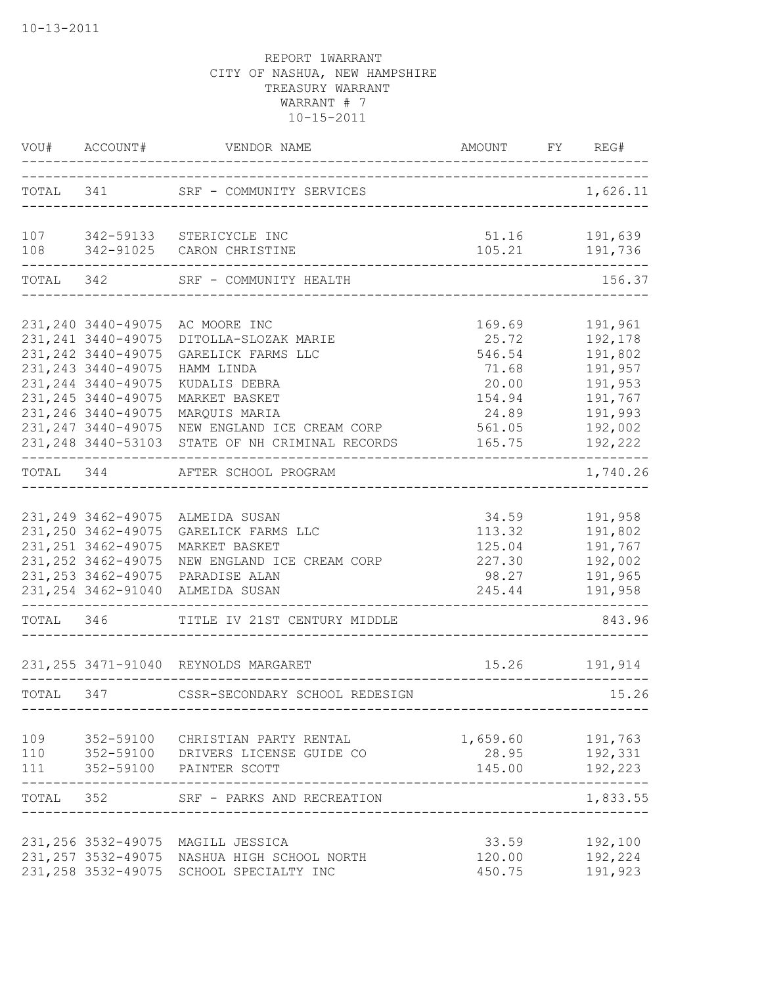|            | VOU# ACCOUNT#                                 |                                                       |                                     | FY REG#                  |
|------------|-----------------------------------------------|-------------------------------------------------------|-------------------------------------|--------------------------|
|            |                                               | TOTAL 341 SRF - COMMUNITY SERVICES                    | _______________________________     | 1,626.11                 |
| 107<br>108 |                                               | 342-59133 STERICYCLE INC<br>342-91025 CARON CHRISTINE | 105.21                              | 51.16 191,639<br>191,736 |
|            |                                               |                                                       |                                     |                          |
|            |                                               | TOTAL 342 SRF - COMMUNITY HEALTH                      | ___________________________________ | 156.37                   |
|            | 231, 240 3440-49075                           | AC MOORE INC                                          | 169.69                              | 191,961                  |
|            | 231, 241 3440-49075                           | DITOLLA-SLOZAK MARIE                                  | 25.72                               | 192,178                  |
|            | 231, 242 3440-49075                           | GARELICK FARMS LLC                                    | 546.54                              | 191,802                  |
|            | 231, 243 3440-49075                           | HAMM LINDA                                            | 71.68                               | 191,957                  |
|            | 231, 244 3440-49075                           | KUDALIS DEBRA                                         | 20.00                               | 191,953                  |
|            | 231, 245 3440-49075                           | MARKET BASKET                                         | 154.94                              | 191,767                  |
|            | 231, 246 3440-49075                           | MARQUIS MARIA                                         | 24.89                               | 191,993                  |
|            | 231, 247 3440-49075                           | NEW ENGLAND ICE CREAM CORP                            | 561.05                              | 192,002                  |
|            | 231, 248 3440-53103<br>---------------------- | STATE OF NH CRIMINAL RECORDS                          | 165.75                              | 192,222                  |
|            | TOTAL 344                                     | AFTER SCHOOL PROGRAM                                  |                                     | 1,740.26                 |
|            |                                               |                                                       |                                     |                          |
|            | 231, 249 3462-49075                           | ALMEIDA SUSAN                                         | 34.59                               | 191,958                  |
|            | 231, 250 3462-49075                           | GARELICK FARMS LLC                                    | 113.32                              | 191,802                  |
|            | 231, 251 3462-49075                           | MARKET BASKET                                         | 125.04                              | 191,767                  |
|            | 231, 252 3462-49075                           | NEW ENGLAND ICE CREAM CORP                            | 227.30                              | 192,002                  |
|            | 231, 253 3462-49075                           | PARADISE ALAN                                         | 98.27                               | 191,965                  |
|            | 231, 254 3462-91040                           | ALMEIDA SUSAN<br>------------------------             | 245.44                              | 191,958                  |
|            |                                               | TOTAL 346 TITLE IV 21ST CENTURY MIDDLE                | __________________________________  | 843.96                   |
|            |                                               | 231, 255 3471-91040 REYNOLDS MARGARET                 | 15.26                               | 191,914                  |
| TOTAL      | 347                                           | CSSR-SECONDARY SCHOOL REDESIGN                        |                                     | 15.26                    |
|            |                                               |                                                       |                                     |                          |
| 109        | 352-59100                                     | CHRISTIAN PARTY RENTAL                                | 1,659.60                            | 191,763                  |
| 110        |                                               | 352-59100 DRIVERS LICENSE GUIDE CO                    | 28.95                               | 192,331                  |
| 111        |                                               | 352-59100 PAINTER SCOTT                               | 145.00                              | 192,223<br>-----         |
| TOTAL 352  |                                               | SRF - PARKS AND RECREATION                            |                                     | 1,833.55                 |
|            | 231, 256 3532-49075                           | MAGILL JESSICA                                        | 33.59                               | 192,100                  |
|            | 231, 257 3532-49075                           | NASHUA HIGH SCHOOL NORTH                              | 120.00                              | 192,224                  |
|            | 231, 258 3532-49075                           | SCHOOL SPECIALTY INC                                  | 450.75                              | 191,923                  |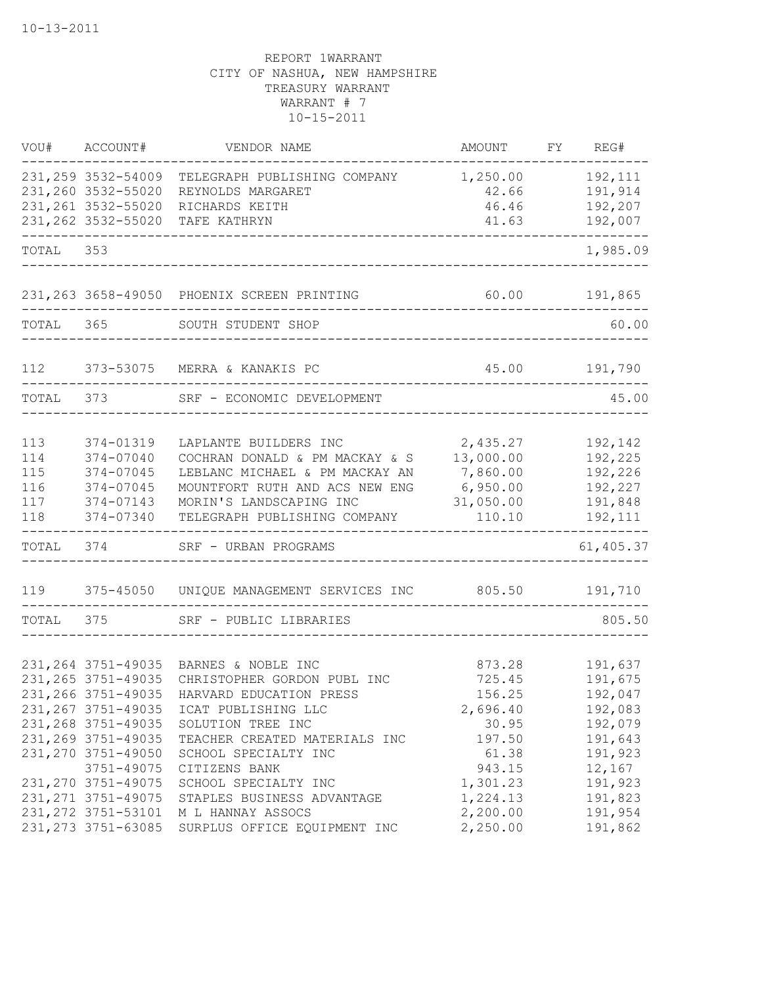|           | VOU# ACCOUNT#       | VENDOR NAME                                 | AMOUNT        | FY REG#       |
|-----------|---------------------|---------------------------------------------|---------------|---------------|
|           | 231, 259 3532-54009 | TELEGRAPH PUBLISHING COMPANY                | 1,250.00      | 192,111       |
|           | 231,260 3532-55020  | REYNOLDS MARGARET                           | 42.66         | 191,914       |
|           | 231, 261 3532-55020 | RICHARDS KEITH                              | 46.46         | 192,207       |
|           | 231, 262 3532-55020 | TAFE KATHRYN                                | 41.63         | 192,007       |
| TOTAL 353 |                     |                                             |               | 1,985.09      |
|           |                     | 231, 263 3658-49050 PHOENIX SCREEN PRINTING |               | 60.00 191,865 |
|           |                     | TOTAL 365 SOUTH STUDENT SHOP                |               | 60.00         |
| 112       |                     | 373-53075 MERRA & KANAKIS PC                | 45.00 191,790 |               |
| TOTAL     |                     | 373 SRF - ECONOMIC DEVELOPMENT              |               | 45.00         |
| 113       | 374-01319           | LAPLANTE BUILDERS INC                       | 2,435.27      | 192,142       |
| 114       | 374-07040           | COCHRAN DONALD & PM MACKAY & S              | 13,000.00     | 192,225       |
| 115       | 374-07045           | LEBLANC MICHAEL & PM MACKAY AN              | 7,860.00      | 192,226       |
| 116       | 374-07045           | MOUNTFORT RUTH AND ACS NEW ENG              | 6,950.00      | 192,227       |
| 117       | 374-07143           | MORIN'S LANDSCAPING INC                     | 31,050.00     | 191,848       |
| 118       | 374-07340           | TELEGRAPH PUBLISHING COMPANY                | 110.10        | 192,111       |
| TOTAL     | 374                 | SRF - URBAN PROGRAMS                        |               | 61,405.37     |
| 119       | 375-45050           | UNIQUE MANAGEMENT SERVICES INC 805.50       |               | 191,710       |
| TOTAL     | 375                 | SRF - PUBLIC LIBRARIES                      |               | 805.50        |
|           |                     |                                             |               |               |
|           | 231, 264 3751-49035 | BARNES & NOBLE INC                          | 873.28        | 191,637       |
|           | 231, 265 3751-49035 | CHRISTOPHER GORDON PUBL INC                 | 725.45        | 191,675       |
|           | 231, 266 3751-49035 | HARVARD EDUCATION PRESS                     | 156.25        | 192,047       |
|           | 231, 267 3751-49035 | ICAT PUBLISHING LLC                         | 2,696.40      | 192,083       |
|           | 231, 268 3751-49035 | SOLUTION TREE INC                           | 30.95         | 192,079       |
|           | 231, 269 3751-49035 | TEACHER CREATED MATERIALS INC               | 197.50        | 191,643       |
|           | 231, 270 3751-49050 | SCHOOL SPECIALTY INC                        | 61.38         | 191,923       |
|           | 3751-49075          | CITIZENS BANK                               | 943.15        | 12,167        |
|           | 231, 270 3751-49075 | SCHOOL SPECIALTY INC                        | 1,301.23      | 191,923       |
|           | 231, 271 3751-49075 | STAPLES BUSINESS ADVANTAGE                  | 1,224.13      | 191,823       |
|           | 231, 272 3751-53101 | M L HANNAY ASSOCS                           | 2,200.00      | 191,954       |
|           | 231, 273 3751-63085 | SURPLUS OFFICE EQUIPMENT INC                | 2,250.00      | 191,862       |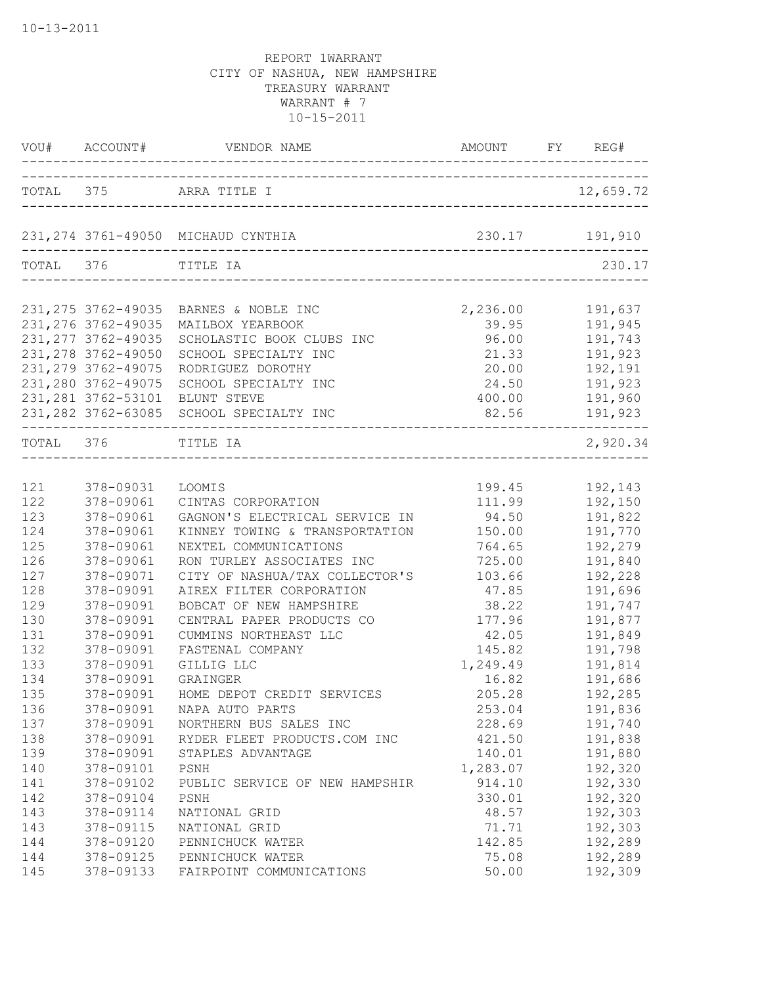| VOU#      | ACCOUNT#                                                                                 | VENDOR NAME                                                                                 | AMOUNT                              | FY REG#                                  |
|-----------|------------------------------------------------------------------------------------------|---------------------------------------------------------------------------------------------|-------------------------------------|------------------------------------------|
|           |                                                                                          | TOTAL 375 ARRA TITLE I                                                                      |                                     | 12,659.72                                |
|           |                                                                                          | 231, 274 3761-49050 MICHAUD CYNTHIA                                                         |                                     | 230.17 191,910                           |
|           | TOTAL 376 TITLE IA                                                                       |                                                                                             |                                     | 230.17                                   |
|           | 231, 275 3762-49035<br>231, 276 3762-49035<br>231, 277 3762-49035<br>231, 278 3762-49050 | BARNES & NOBLE INC<br>MAILBOX YEARBOOK<br>SCHOLASTIC BOOK CLUBS INC<br>SCHOOL SPECIALTY INC | 2,236.00<br>39.95<br>96.00<br>21.33 | 191,637<br>191,945<br>191,743<br>191,923 |
|           | 231, 279 3762-49075<br>231,280 3762-49075<br>231, 281 3762-53101<br>231, 282 3762-63085  | RODRIGUEZ DOROTHY<br>SCHOOL SPECIALTY INC<br>BLUNT STEVE<br>SCHOOL SPECIALTY INC            | 20.00<br>24.50<br>400.00<br>82.56   | 192,191<br>191,923<br>191,960<br>191,923 |
| TOTAL 376 |                                                                                          | TITLE IA                                                                                    |                                     | 2,920.34                                 |
| 121       | 378-09031                                                                                | <b>LOOMIS</b>                                                                               | 199.45                              | 192,143                                  |
| 122       | 378-09061                                                                                | CINTAS CORPORATION                                                                          | 111.99                              | 192,150                                  |
| 123       | 378-09061                                                                                | GAGNON'S ELECTRICAL SERVICE IN                                                              | 94.50                               | 191,822                                  |
| 124       | 378-09061                                                                                | KINNEY TOWING & TRANSPORTATION                                                              | 150.00                              | 191,770                                  |
| 125       | 378-09061                                                                                | NEXTEL COMMUNICATIONS                                                                       | 764.65                              | 192,279                                  |
| 126       | 378-09061                                                                                | RON TURLEY ASSOCIATES INC                                                                   | 725.00                              | 191,840                                  |
| 127       | 378-09071                                                                                | CITY OF NASHUA/TAX COLLECTOR'S                                                              | 103.66                              | 192,228                                  |
| 128       | 378-09091                                                                                | AIREX FILTER CORPORATION                                                                    | 47.85                               | 191,696                                  |
| 129       | 378-09091                                                                                | BOBCAT OF NEW HAMPSHIRE                                                                     | 38.22                               | 191,747                                  |
| 130       | 378-09091                                                                                | CENTRAL PAPER PRODUCTS CO                                                                   | 177.96                              | 191,877                                  |
| 131       | 378-09091                                                                                | CUMMINS NORTHEAST LLC                                                                       | 42.05                               | 191,849                                  |
| 132       | 378-09091                                                                                | FASTENAL COMPANY                                                                            | 145.82                              | 191,798                                  |
| 133       | 378-09091                                                                                | GILLIG LLC                                                                                  | 1,249.49                            | 191,814                                  |
| 134       | 378-09091                                                                                | GRAINGER                                                                                    | 16.82                               | 191,686                                  |
| 135       | 378-09091                                                                                | HOME DEPOT CREDIT SERVICES                                                                  | 205.28                              | 192,285                                  |
| 136       | 378-09091                                                                                | NAPA AUTO PARTS                                                                             | 253.04                              | 191,836                                  |
| 137       | 378-09091                                                                                | NORTHERN BUS SALES INC                                                                      | 228.69                              | 191,740                                  |
| 138       | 378-09091                                                                                | RYDER FLEET PRODUCTS.COM INC                                                                | 421.50                              | 191,838                                  |
| 139       | 378-09091                                                                                | STAPLES ADVANTAGE                                                                           | 140.01                              | 191,880                                  |
| 140       | 378-09101                                                                                | PSNH                                                                                        | 1,283.07                            | 192,320                                  |
| 141       | 378-09102                                                                                | PUBLIC SERVICE OF NEW HAMPSHIR                                                              | 914.10                              | 192,330                                  |
| 142       | 378-09104                                                                                | PSNH                                                                                        | 330.01                              | 192,320                                  |
| 143       | 378-09114                                                                                | NATIONAL GRID                                                                               | 48.57                               | 192,303                                  |
| 143       | 378-09115                                                                                | NATIONAL GRID                                                                               | 71.71                               | 192,303                                  |
| 144       | 378-09120                                                                                | PENNICHUCK WATER                                                                            | 142.85                              | 192,289                                  |
| 144       | 378-09125                                                                                | PENNICHUCK WATER                                                                            | 75.08                               | 192,289                                  |
| 145       | 378-09133                                                                                | FAIRPOINT COMMUNICATIONS                                                                    | 50.00                               | 192,309                                  |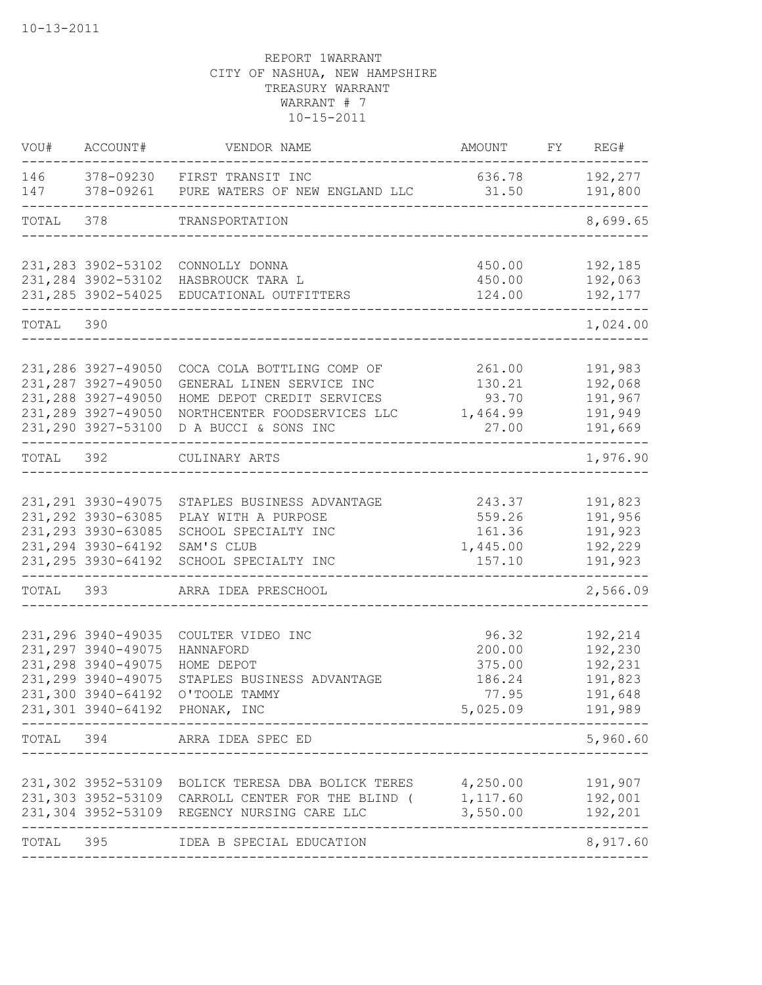| VOU#       | ACCOUNT#                                                                                                        | VENDOR NAME                                                                                                                                           | AMOUNT                                                           | FY REG#                                             |
|------------|-----------------------------------------------------------------------------------------------------------------|-------------------------------------------------------------------------------------------------------------------------------------------------------|------------------------------------------------------------------|-----------------------------------------------------|
| 146<br>147 |                                                                                                                 | 378-09230 FIRST TRANSIT INC<br>378-09261 PURE WATERS OF NEW ENGLAND LLC                                                                               | 636.78<br>31.50                                                  | 192,277<br>191,800                                  |
| TOTAL 378  |                                                                                                                 | TRANSPORTATION                                                                                                                                        |                                                                  | 8,699.65                                            |
|            | 231, 283 3902-53102<br>231, 284 3902-53102                                                                      | CONNOLLY DONNA<br>HASBROUCK TARA L<br>231, 285 3902-54025 EDUCATIONAL OUTFITTERS                                                                      | 450.00<br>450.00<br>124.00                                       | 192,185<br>192,063<br>192,177                       |
| TOTAL 390  |                                                                                                                 |                                                                                                                                                       |                                                                  | 1,024.00                                            |
|            | 231,286 3927-49050<br>231, 287 3927-49050<br>231, 288 3927-49050<br>231, 289 3927-49050<br>231,290 3927-53100   | COCA COLA BOTTLING COMP OF<br>GENERAL LINEN SERVICE INC<br>HOME DEPOT CREDIT SERVICES<br>NORTHCENTER FOODSERVICES LLC<br>D A BUCCI & SONS INC         | 261.00<br>130.21<br>93.70<br>1,464.99<br>27.00                   | 191,983<br>192,068<br>191,967<br>191,949<br>191,669 |
| TOTAL 392  |                                                                                                                 | CULINARY ARTS                                                                                                                                         |                                                                  | 1,976.90                                            |
|            | 231, 291 3930-49075<br>231, 292 3930-63085<br>231, 293 3930-63085<br>231, 294 3930-64192<br>231, 295 3930-64192 | STAPLES BUSINESS ADVANTAGE<br>PLAY WITH A PURPOSE<br>SCHOOL SPECIALTY INC<br>SAM'S CLUB<br>SCHOOL SPECIALTY INC                                       | 243.37<br>559.26<br>161.36<br>1,445.00<br>157.10                 | 191,823<br>191,956<br>191,923<br>192,229<br>191,923 |
| TOTAL      | 393                                                                                                             | ARRA IDEA PRESCHOOL                                                                                                                                   |                                                                  | 2,566.09                                            |
|            | 231, 296 3940-49035<br>231, 297 3940-49075<br>231, 298 3940-49075<br>231, 299 3940-49075<br>231,300 3940-64192  | COULTER VIDEO INC<br>HANNAFORD<br>HOME DEPOT<br>STAPLES BUSINESS ADVANTAGE<br>O'TOOLE TAMMY<br>231,301 3940-64192 PHONAK, INC                         | 96.32<br>200.00<br>375.00<br>186.24<br>77.95<br>5,025.09 191,989 | 192,214<br>192,230<br>192,231<br>191,823<br>191,648 |
| TOTAL      | 394                                                                                                             | ARRA IDEA SPEC ED                                                                                                                                     |                                                                  | 5,960.60                                            |
|            | 231,302 3952-53109                                                                                              | BOLICK TERESA DBA BOLICK TERES<br>231,303 3952-53109 CARROLL CENTER FOR THE BLIND (<br>231,304 3952-53109 REGENCY NURSING CARE LLC<br>_______________ | 4,250.00<br>1,117.60<br>3,550.00                                 | 191,907<br>192,001<br>192,201<br>-----              |
| TOTAL      | 395                                                                                                             | IDEA B SPECIAL EDUCATION<br>------------------                                                                                                        |                                                                  | 8,917.60                                            |
|            |                                                                                                                 |                                                                                                                                                       |                                                                  |                                                     |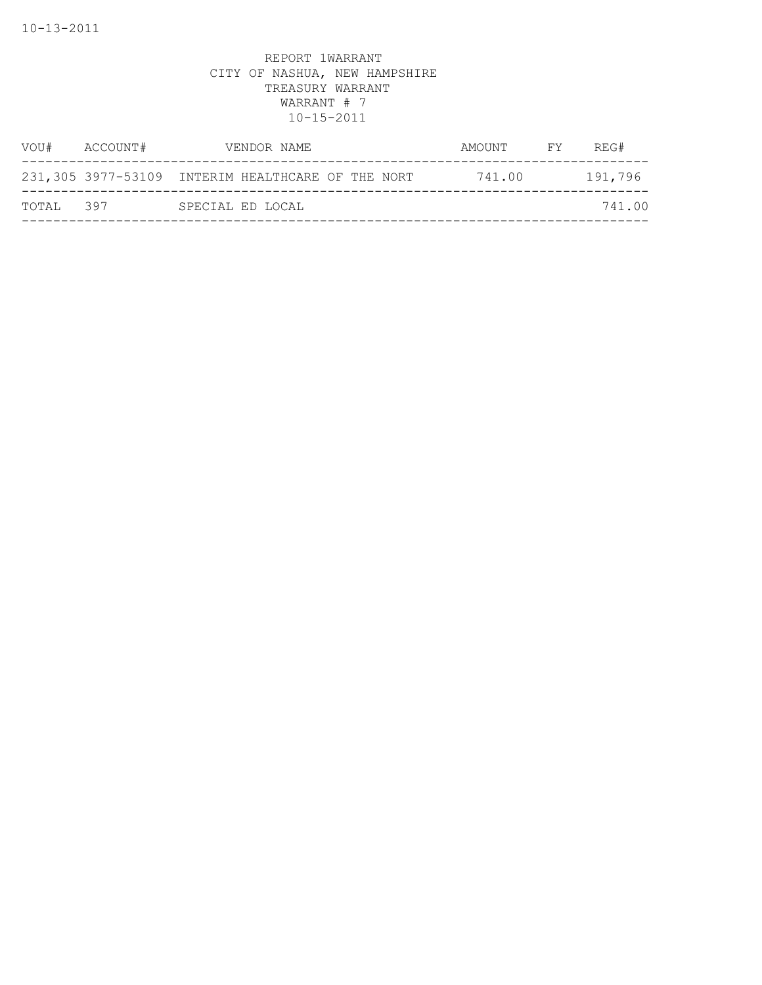| VOU#      | ACCOUNT# | VENDOR NAME                                       | AMOUNT | REG#<br>FY |
|-----------|----------|---------------------------------------------------|--------|------------|
|           |          | 231,305 3977-53109 INTERIM HEALTHCARE OF THE NORT | 741.00 | 191,796    |
| TOTAL 397 |          | SPECIAL ED LOCAL                                  |        | 741.00     |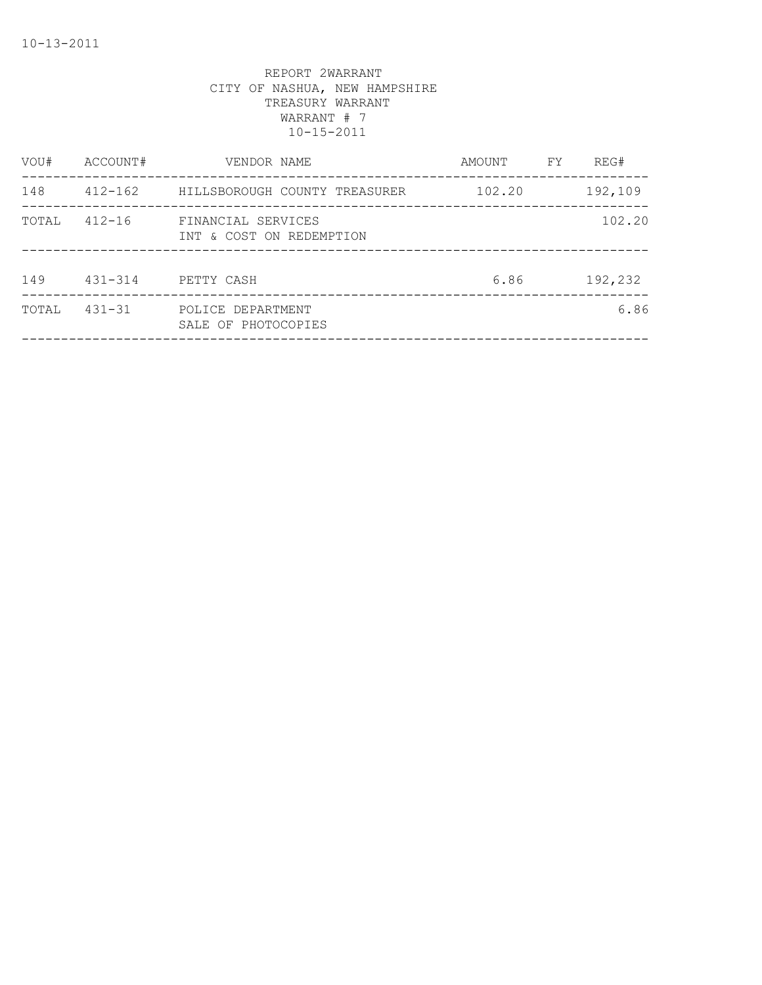| VOU#  | ACCOUNT#    | VENDOR NAME                                    | AMOUNT | FY | REG#    |
|-------|-------------|------------------------------------------------|--------|----|---------|
| 148   | $412 - 162$ | HILLSBOROUGH COUNTY TREASURER                  | 102.20 |    | 192,109 |
| TOTAL | $412 - 16$  | FINANCIAL SERVICES<br>INT & COST ON REDEMPTION |        |    | 102.20  |
| 149   | $431 - 314$ | PETTY CASH                                     | 6.86   |    | 192,232 |
| TOTAL | $431 - 31$  | POLICE DEPARTMENT<br>SALE OF PHOTOCOPIES       |        |    | 6.86    |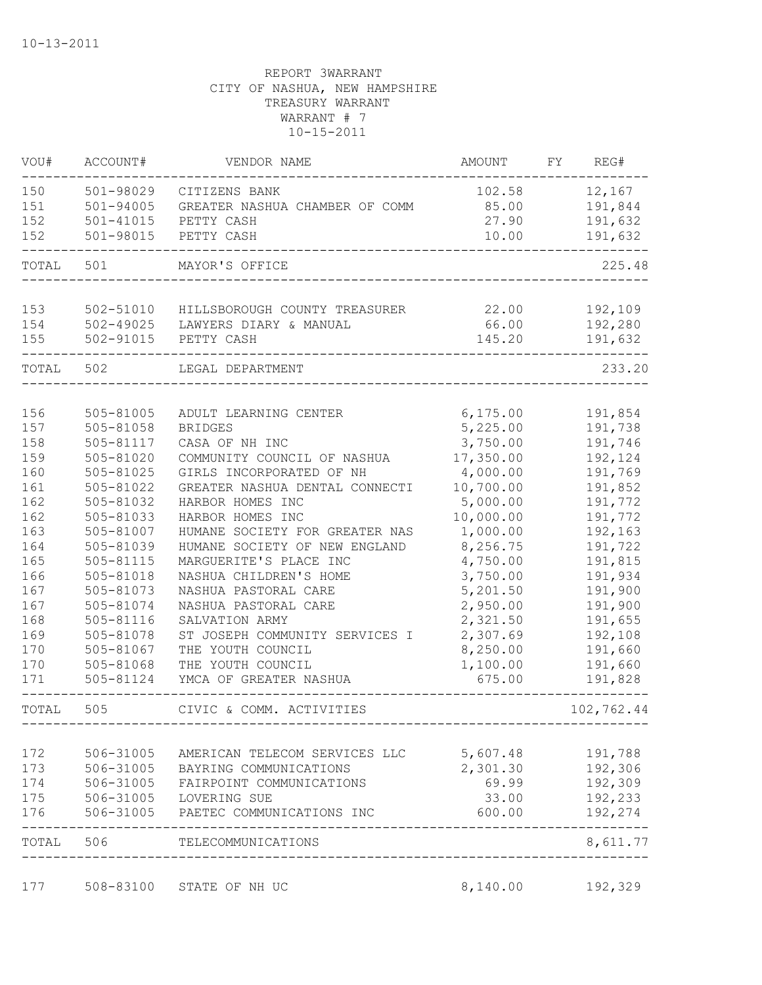| VOU#       | ACCOUNT#               | VENDOR NAME                                   | <b>AMOUNT</b>         | FY | REG#               |
|------------|------------------------|-----------------------------------------------|-----------------------|----|--------------------|
| 150        | 501-98029              | CITIZENS BANK                                 | 102.58                |    | 12,167             |
| 151        | $501 - 94005$          | GREATER NASHUA CHAMBER OF COMM                | 85.00                 |    | 191,844            |
| 152        | 501-41015              | PETTY CASH                                    | 27.90                 |    | 191,632            |
| 152        | 501-98015              | PETTY CASH                                    | 10.00                 |    | 191,632            |
| TOTAL      | 501                    | MAYOR'S OFFICE                                |                       |    | 225.48             |
| 153        | 502-51010              | HILLSBOROUGH COUNTY TREASURER                 | 22.00                 |    | 192,109            |
| 154        | 502-49025              | LAWYERS DIARY & MANUAL                        | 66.00                 |    | 192,280            |
| 155        | 502-91015              | PETTY CASH                                    | 145.20                |    | 191,632            |
| TOTAL      | 502                    | LEGAL DEPARTMENT                              |                       |    | 233.20             |
|            |                        |                                               |                       |    |                    |
| 156        | 505-81005              | ADULT LEARNING CENTER                         | 6, 175.00             |    | 191,854            |
| 157<br>158 | 505-81058              | <b>BRIDGES</b>                                | 5,225.00              |    | 191,738            |
| 159        | 505-81117<br>505-81020 | CASA OF NH INC<br>COMMUNITY COUNCIL OF NASHUA | 3,750.00<br>17,350.00 |    | 191,746<br>192,124 |
| 160        | 505-81025              | GIRLS INCORPORATED OF NH                      | 4,000.00              |    | 191,769            |
| 161        | 505-81022              | GREATER NASHUA DENTAL CONNECTI                | 10,700.00             |    | 191,852            |
| 162        | 505-81032              | HARBOR HOMES INC                              | 5,000.00              |    | 191,772            |
| 162        | 505-81033              | HARBOR HOMES INC                              | 10,000.00             |    | 191,772            |
| 163        | 505-81007              | HUMANE SOCIETY FOR GREATER NAS                | 1,000.00              |    | 192,163            |
| 164        | 505-81039              | HUMANE SOCIETY OF NEW ENGLAND                 | 8,256.75              |    | 191,722            |
| 165        | 505-81115              | MARGUERITE'S PLACE INC                        | 4,750.00              |    | 191,815            |
| 166        | 505-81018              | NASHUA CHILDREN'S HOME                        | 3,750.00              |    | 191,934            |
| 167        | 505-81073              | NASHUA PASTORAL CARE                          | 5,201.50              |    | 191,900            |
| 167        | 505-81074              | NASHUA PASTORAL CARE                          | 2,950.00              |    | 191,900            |
| 168        | 505-81116              | SALVATION ARMY                                | 2,321.50              |    | 191,655            |
| 169        | 505-81078              | ST JOSEPH COMMUNITY SERVICES I                | 2,307.69              |    | 192,108            |
| 170        | 505-81067              | THE YOUTH COUNCIL                             | 8,250.00              |    | 191,660            |
| 170        | 505-81068              | THE YOUTH COUNCIL                             | 1,100.00              |    | 191,660            |
| 171        | 505-81124              | YMCA OF GREATER NASHUA                        | 675.00                |    | 191,828            |
| TOTAL      | 505                    | CIVIC & COMM. ACTIVITIES                      |                       |    | 102,762.44         |
| 172        | 506-31005              | AMERICAN TELECOM SERVICES LLC                 | 5,607.48              |    | 191,788            |
| 173        | 506-31005              | BAYRING COMMUNICATIONS                        | 2,301.30              |    | 192,306            |
| 174        | 506-31005              | FAIRPOINT COMMUNICATIONS                      | 69.99                 |    | 192,309            |
| 175        | 506-31005              | LOVERING SUE                                  | 33.00                 |    | 192,233            |
| 176        | 506-31005              | PAETEC COMMUNICATIONS INC                     | 600.00                |    | 192,274            |
| TOTAL      | 506                    | TELECOMMUNICATIONS                            |                       |    | 8,611.77           |

177 508-83100 STATE OF NH UC 8,140.00 192,329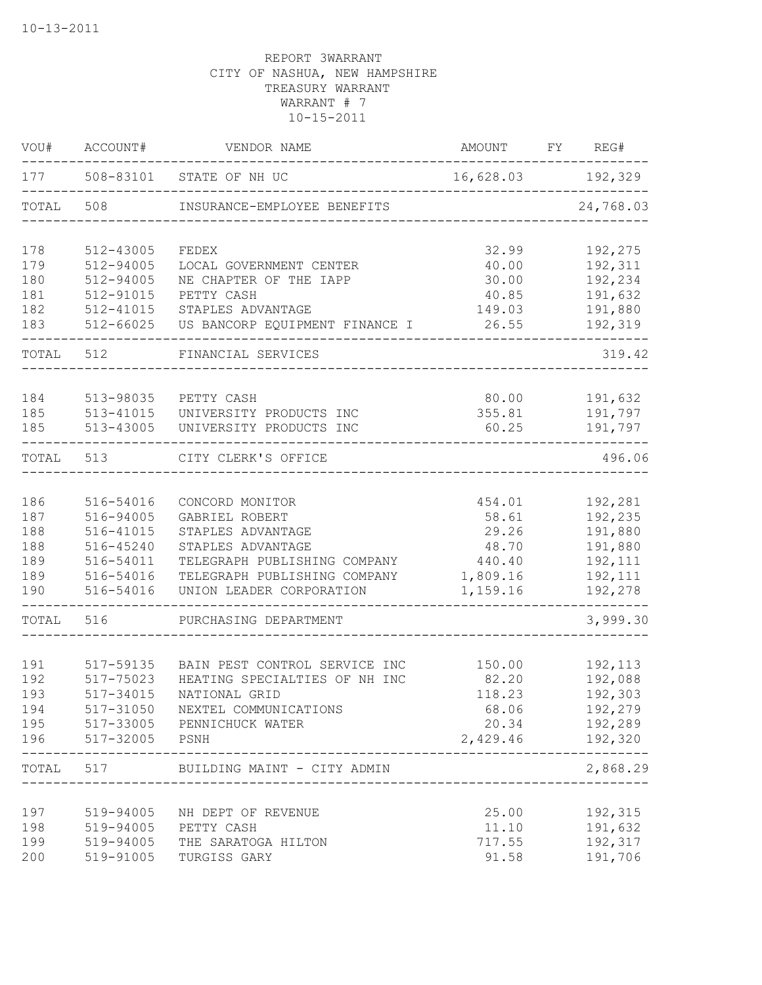| VOU#       | ACCOUNT#               | VENDOR NAME                                                    | AMOUNT            | FY REG#            |
|------------|------------------------|----------------------------------------------------------------|-------------------|--------------------|
| 177        |                        | 508-83101 STATE OF NH UC                                       | 16,628.03 192,329 |                    |
| TOTAL      | 508                    | INSURANCE-EMPLOYEE BENEFITS                                    |                   | 24,768.03          |
| 178        | 512-43005              | FEDEX                                                          | 32.99             | 192,275            |
| 179        | 512-94005              | LOCAL GOVERNMENT CENTER                                        | 40.00             | 192,311            |
| 180        | 512-94005              | NE CHAPTER OF THE IAPP                                         | 30.00             | 192,234            |
| 181        | 512-91015              | PETTY CASH                                                     | 40.85             | 191,632            |
| 182<br>183 | 512-41015<br>512-66025 | STAPLES ADVANTAGE<br>US BANCORP EQUIPMENT FINANCE I            | 149.03<br>26.55   | 191,880<br>192,319 |
| TOTAL      | 512                    | FINANCIAL SERVICES                                             |                   | 319.42             |
|            |                        |                                                                |                   |                    |
| 184        | 513-98035              | PETTY CASH                                                     | 80.00             | 191,632            |
| 185        | 513-41015              | UNIVERSITY PRODUCTS INC                                        | 355.81            | 191,797            |
| 185        | 513-43005              | UNIVERSITY PRODUCTS INC                                        | 60.25             | 191,797            |
| TOTAL      | 513                    | CITY CLERK'S OFFICE                                            |                   | 496.06             |
|            |                        |                                                                |                   |                    |
| 186        | 516-54016              | CONCORD MONITOR                                                | 454.01            | 192,281            |
| 187        | 516-94005              | GABRIEL ROBERT                                                 | 58.61             | 192,235            |
| 188        | 516-41015              | STAPLES ADVANTAGE                                              | 29.26             | 191,880            |
| 188        | 516-45240              | STAPLES ADVANTAGE                                              | 48.70             | 191,880            |
| 189        | 516-54011              | TELEGRAPH PUBLISHING COMPANY                                   | 440.40            | 192,111            |
| 189        | 516-54016              | TELEGRAPH PUBLISHING COMPANY                                   | 1,809.16          | 192,111            |
| 190        | 516-54016              | UNION LEADER CORPORATION                                       | 1,159.16          | 192,278<br>-----   |
| TOTAL      | 516                    | PURCHASING DEPARTMENT                                          |                   | 3,999.30           |
|            |                        |                                                                |                   |                    |
| 191<br>192 | 517-59135<br>517-75023 | BAIN PEST CONTROL SERVICE INC<br>HEATING SPECIALTIES OF NH INC | 150.00<br>82.20   | 192,113<br>192,088 |
| 193        | 517-34015              | NATIONAL GRID                                                  | 118.23            | 192,303            |
| 194        | 517-31050              | NEXTEL COMMUNICATIONS                                          | 68.06             | 192,279            |
| 195        | 517-33005              | PENNICHUCK WATER                                               | 20.34             | 192,289            |
| 196        | 517-32005              | PSNH                                                           | 2,429.46          | 192,320            |
| TOTAL      | 517                    | BUILDING MAINT - CITY ADMIN                                    |                   | 2,868.29           |
|            |                        |                                                                |                   |                    |
| 197        | 519-94005              | NH DEPT OF REVENUE                                             | 25.00             | 192,315            |
| 198        | 519-94005              | PETTY CASH                                                     | 11.10             | 191,632            |
| 199        | 519-94005              | THE SARATOGA HILTON                                            | 717.55            | 192,317            |
| 200        | 519-91005              | TURGISS GARY                                                   | 91.58             | 191,706            |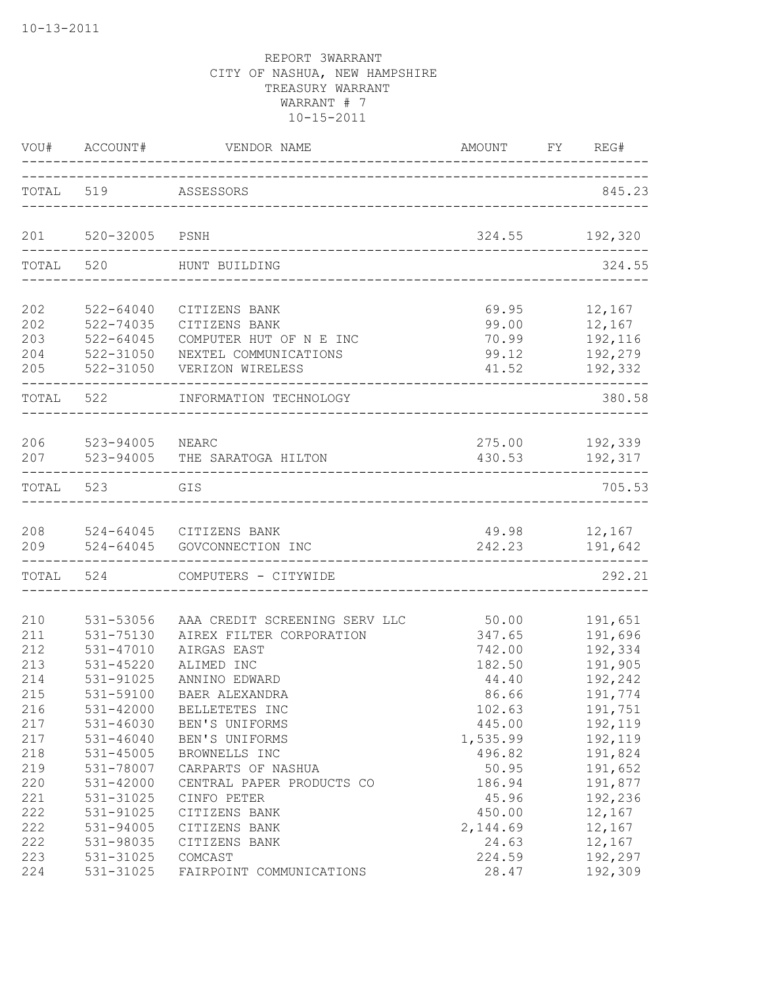| VOU#      | ACCOUNT#      | VENDOR NAME                   | AMOUNT                                 | REG#<br>FY     |
|-----------|---------------|-------------------------------|----------------------------------------|----------------|
| TOTAL 519 |               | ASSESSORS                     |                                        | 845.23         |
| 201       | 520-32005     | PSNH                          | 324.55                                 | 192,320        |
| TOTAL     | 520           | HUNT BUILDING                 |                                        | 324.55         |
| 202       | $522 - 64040$ | CITIZENS BANK                 | 69.95                                  | 12,167         |
| 202       | 522-74035     | CITIZENS BANK                 | 99.00                                  | 12,167         |
| 203       | 522-64045     | COMPUTER HUT OF N E INC       | 70.99                                  | 192,116        |
| 204       | 522-31050     | NEXTEL COMMUNICATIONS         | 99.12                                  | 192,279        |
| 205       | 522-31050     | VERIZON WIRELESS              | 41.52                                  | 192,332        |
| TOTAL     | 522           | INFORMATION TECHNOLOGY        | ______________________________________ | 380.58         |
| 206       | 523-94005     | <b>NEARC</b>                  | 430.53                                 | 275.00 192,339 |
| 207       | 523-94005     | THE SARATOGA HILTON           |                                        | 192,317        |
| TOTAL     | 523           | GIS                           |                                        | 705.53         |
| 208       | 524-64045     | 524-64045 CITIZENS BANK       | 49.98                                  | 12,167         |
| 209       |               | GOVCONNECTION INC             | 242.23                                 | 191,642        |
| TOTAL     | 524           | COMPUTERS - CITYWIDE          |                                        | 292.21         |
| 210       | 531-53056     | AAA CREDIT SCREENING SERV LLC | 50.00                                  | 191,651        |
| 211       | 531-75130     | AIREX FILTER CORPORATION      | 347.65                                 | 191,696        |
| 212       | 531-47010     | AIRGAS EAST                   | 742.00                                 | 192,334        |
| 213       | 531-45220     | ALIMED INC                    | 182.50                                 | 191,905        |
| 214       | 531-91025     | ANNINO EDWARD                 | 44.40                                  | 192,242        |
| 215       | 531-59100     | BAER ALEXANDRA                | 86.66                                  | 191,774        |
| 216       | 531-42000     | BELLETETES INC                | 102.63                                 | 191,751        |
| 217       | 531-46030     | BEN'S UNIFORMS                | 445.00                                 | 192,119        |
| 217       | $531 - 46040$ | BEN'S UNIFORMS                | 1,535.99                               | 192,119        |
| 218       | 531-45005     | BROWNELLS INC                 | 496.82                                 | 191,824        |
| 219       | 531-78007     | CARPARTS OF NASHUA            | 50.95                                  | 191,652        |
| 220       | 531-42000     | CENTRAL PAPER PRODUCTS CO     | 186.94                                 | 191,877        |
| 221       | 531-31025     | CINFO PETER                   | 45.96                                  | 192,236        |
| 222       | 531-91025     | CITIZENS BANK                 | 450.00                                 | 12,167         |
| 222       | 531-94005     | CITIZENS BANK                 | 2,144.69                               | 12,167         |
| 222       | 531-98035     | CITIZENS BANK                 | 24.63                                  | 12,167         |
| 223       | 531-31025     | COMCAST                       | 224.59                                 | 192,297        |
| 224       | 531-31025     | FAIRPOINT COMMUNICATIONS      | 28.47                                  | 192,309        |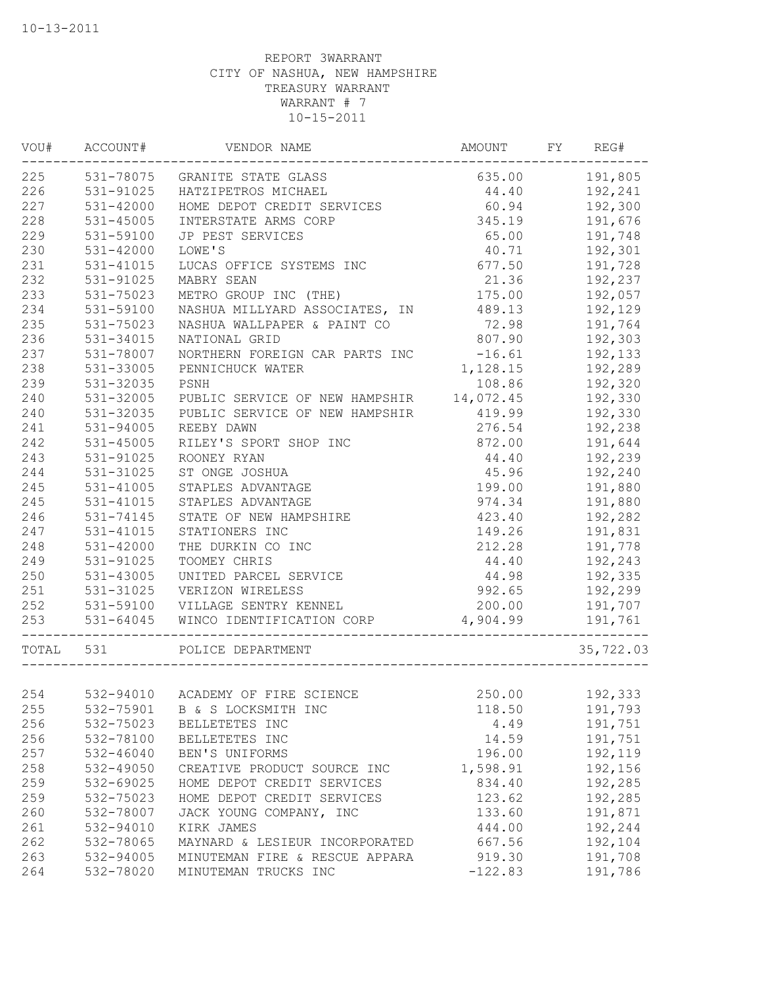|           | VOU# ACCOUNT# | VENDOR NAME                              | AMOUNT FY REG# |                |
|-----------|---------------|------------------------------------------|----------------|----------------|
| 225       |               | 531-78075 GRANITE STATE GLASS            |                | 635.00 191,805 |
| 226       | 531-91025     | HATZIPETROS MICHAEL                      | 44.40          | 192,241        |
| 227       | 531-42000     | HOME DEPOT CREDIT SERVICES               | 60.94          | 192,300        |
| 228       | 531-45005     | INTERSTATE ARMS CORP                     | 345.19         | 191,676        |
| 229       | 531-59100     | JP PEST SERVICES                         | 65.00          | 191,748        |
| 230       | 531-42000     | LOWE'S                                   | 40.71          | 192,301        |
| 231       | 531-41015     | LUCAS OFFICE SYSTEMS INC                 | 677.50         | 191,728        |
| 232       | 531-91025     | MABRY SEAN                               | 21.36          | 192,237        |
| 233       | 531-75023     | METRO GROUP INC (THE)                    | 175.00         | 192,057        |
| 234       | 531-59100     | NASHUA MILLYARD ASSOCIATES, IN           | 489.13         | 192,129        |
| 235       | 531-75023     | NASHUA WALLPAPER & PAINT CO              | 72.98          | 191,764        |
| 236       | 531-34015     | NATIONAL GRID                            | 807.90         | 192,303        |
| 237       | 531-78007     | NORTHERN FOREIGN CAR PARTS INC           | $-16.61$       | 192,133        |
| 238       | 531-33005     | PENNICHUCK WATER                         | 1,128.15       | 192,289        |
| 239       | 531-32035     | PSNH                                     | 108.86         | 192,320        |
| 240       | 531-32005     | PUBLIC SERVICE OF NEW HAMPSHIR 14,072.45 |                | 192,330        |
| 240       | 531-32035     | PUBLIC SERVICE OF NEW HAMPSHIR           | 419.99         | 192,330        |
| 241       | 531-94005     | REEBY DAWN                               | 276.54         | 192,238        |
| 242       | 531-45005     | RILEY'S SPORT SHOP INC                   | 872.00         | 191,644        |
| 243       | 531-91025     | ROONEY RYAN                              | 44.40          | 192,239        |
| 244       | 531-31025     |                                          | 45.96          | 192,240        |
|           | 531-41005     | ST ONGE JOSHUA                           |                |                |
| 245       |               | STAPLES ADVANTAGE                        | 199.00         | 191,880        |
| 245       | 531-41015     | STAPLES ADVANTAGE                        | 974.34         | 191,880        |
| 246       | 531-74145     | STATE OF NEW HAMPSHIRE                   | 423.40         | 192,282        |
| 247       | 531-41015     | STATIONERS INC                           | 149.26         | 191,831        |
| 248       | 531-42000     | THE DURKIN CO INC                        | 212.28         | 191,778        |
| 249       | 531-91025     | TOOMEY CHRIS                             | 44.40          | 192,243        |
| 250       | 531-43005     | UNITED PARCEL SERVICE                    | 44.98          | 192,335        |
| 251       | 531-31025     | VERIZON WIRELESS                         | 992.65         | 192,299        |
| 252       | 531-59100     | VILLAGE SENTRY KENNEL                    | 200.00         | 191,707        |
| 253       | 531-64045     | WINCO IDENTIFICATION CORP                | 4,904.99       | 191,761        |
| TOTAL 531 |               | POLICE DEPARTMENT                        |                | 35,722.03      |
|           |               |                                          |                |                |
| 254       |               | 532-94010 ACADEMY OF FIRE SCIENCE        | 250.00         | 192,333        |
| 255       | 532-75901     | B & S LOCKSMITH INC                      | 118.50         | 191,793        |
| 256       | 532-75023     | BELLETETES INC                           | 4.49           | 191,751        |
| 256       | 532-78100     | BELLETETES INC                           | 14.59          | 191,751        |
| 257       | 532-46040     | BEN'S UNIFORMS                           | 196.00         | 192,119        |
| 258       | 532-49050     | CREATIVE PRODUCT SOURCE INC              | 1,598.91       | 192,156        |
| 259       | 532-69025     | HOME DEPOT CREDIT SERVICES               | 834.40         | 192,285        |
| 259       | 532-75023     | HOME DEPOT CREDIT SERVICES               | 123.62         | 192,285        |
| 260       | 532-78007     | JACK YOUNG COMPANY, INC                  | 133.60         | 191,871        |
| 261       | 532-94010     | KIRK JAMES                               | 444.00         | 192,244        |
| 262       | 532-78065     | MAYNARD & LESIEUR INCORPORATED           | 667.56         | 192,104        |
| 263       | 532-94005     | MINUTEMAN FIRE & RESCUE APPARA           | 919.30         | 191,708        |
| 264       | 532-78020     | MINUTEMAN TRUCKS INC                     | $-122.83$      | 191,786        |
|           |               |                                          |                |                |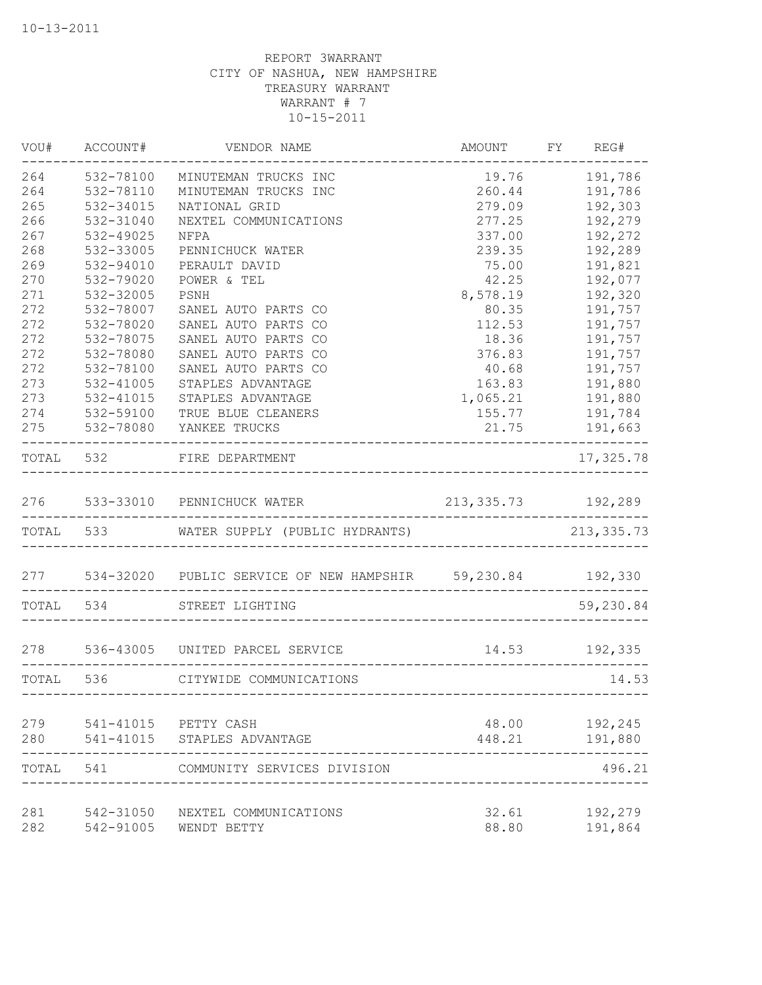| VOU#      | ACCOUNT#  | VENDOR NAME                                                    | AMOUNT FY REG#                  |                              |
|-----------|-----------|----------------------------------------------------------------|---------------------------------|------------------------------|
| 264       | 532-78100 | MINUTEMAN TRUCKS INC                                           | 19.76                           | 191,786                      |
| 264       | 532-78110 | MINUTEMAN TRUCKS INC                                           | 260.44                          | 191,786                      |
| 265       | 532-34015 | NATIONAL GRID                                                  | 279.09                          | 192,303                      |
| 266       | 532-31040 | NEXTEL COMMUNICATIONS                                          | 277.25                          | 192,279                      |
| 267       | 532-49025 | NFPA                                                           | 337.00                          | 192,272                      |
| 268       | 532-33005 | PENNICHUCK WATER                                               | 239.35                          | 192,289                      |
| 269       | 532-94010 | PERAULT DAVID                                                  | 75.00                           | 191,821                      |
| 270       | 532-79020 | POWER & TEL                                                    | 42.25                           | 192,077                      |
| 271       | 532-32005 | PSNH                                                           | 8,578.19                        | 192,320                      |
| 272       | 532-78007 | SANEL AUTO PARTS CO                                            | 80.35                           | 191,757                      |
| 272       | 532-78020 | SANEL AUTO PARTS CO                                            | 112.53                          | 191,757                      |
| 272       | 532-78075 | SANEL AUTO PARTS CO                                            | 18.36                           | 191,757                      |
| 272       | 532-78080 | SANEL AUTO PARTS CO                                            | 376.83                          | 191,757                      |
| 272       | 532-78100 | SANEL AUTO PARTS CO                                            | 40.68                           | 191,757                      |
| 273       | 532-41005 | STAPLES ADVANTAGE                                              | 163.83                          | 191,880                      |
| 273       | 532-41015 | STAPLES ADVANTAGE                                              | 1,065.21                        | 191,880                      |
| 274       | 532-59100 | TRUE BLUE CLEANERS                                             | 155.77                          | 191,784                      |
| 275       |           | 532-78080 YANKEE TRUCKS                                        | 21.75                           | 191,663                      |
|           |           | TOTAL 532 FIRE DEPARTMENT                                      |                                 | _______________<br>17,325.78 |
|           |           | 276 533-33010 PENNICHUCK WATER 213,335.73 192,289              |                                 |                              |
|           |           | TOTAL 533 WATER SUPPLY (PUBLIC HYDRANTS)                       |                                 | 213, 335.73                  |
|           |           |                                                                |                                 |                              |
|           |           | 277 534-32020 PUBLIC SERVICE OF NEW HAMPSHIR 59,230.84 192,330 |                                 |                              |
|           |           | TOTAL 534 STREET LIGHTING                                      | _______________________________ | 59,230.84                    |
| 278       |           | 536-43005 UNITED PARCEL SERVICE                                | 14.53 192,335                   |                              |
| TOTAL 536 |           | CITYWIDE COMMUNICATIONS                                        |                                 | 14.53                        |
|           |           |                                                                |                                 |                              |
| 279       |           | 541-41015 PETTY CASH                                           | 48.00                           | 192,245                      |
| 280       | 541-41015 | STAPLES ADVANTAGE                                              | 448.21                          | 191,880                      |
| TOTAL     | 541       | COMMUNITY SERVICES DIVISION                                    |                                 | 496.21                       |
| 281       | 542-31050 | NEXTEL COMMUNICATIONS                                          | 32.61                           | 192,279                      |
| 282       | 542-91005 | WENDT BETTY                                                    | 88.80                           | 191,864                      |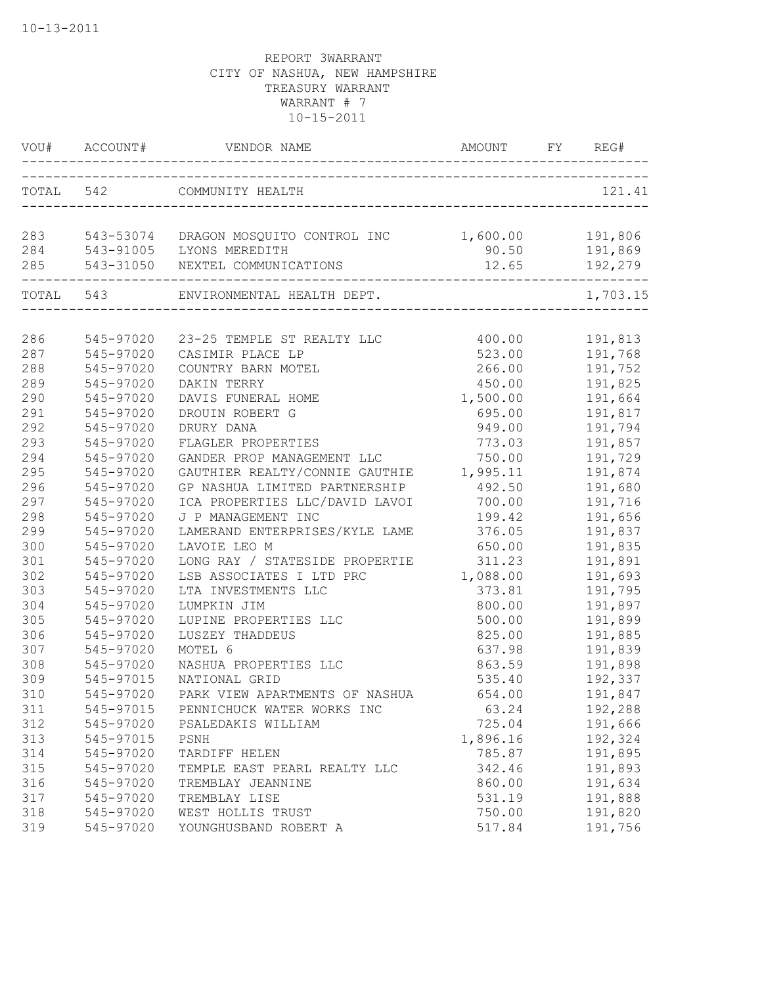|           | VOU# ACCOUNT# | VENDOR NAME                                            | AMOUNT   | FY | REG#     |
|-----------|---------------|--------------------------------------------------------|----------|----|----------|
|           | TOTAL 542     | COMMUNITY HEALTH                                       |          |    | 121.41   |
| 283       |               | 543-53074 DRAGON MOSQUITO CONTROL INC 1,600.00 191,806 |          |    |          |
| 284       |               | 543-91005 LYONS MEREDITH                               | 90.50    |    | 191,869  |
| 285       |               | 543-31050 NEXTEL COMMUNICATIONS                        | 12.65    |    | 192,279  |
| TOTAL 543 |               | ENVIRONMENTAL HEALTH DEPT.                             |          |    | 1,703.15 |
| 286       | 545-97020     | 23-25 TEMPLE ST REALTY LLC                             | 400.00   |    | 191,813  |
| 287       | 545-97020     | CASIMIR PLACE LP                                       | 523.00   |    | 191,768  |
| 288       | 545-97020     | COUNTRY BARN MOTEL                                     | 266.00   |    | 191,752  |
| 289       | 545-97020     | DAKIN TERRY                                            | 450.00   |    | 191,825  |
| 290       | 545-97020     | DAVIS FUNERAL HOME                                     | 1,500.00 |    | 191,664  |
| 291       | 545-97020     | DROUIN ROBERT G                                        | 695.00   |    | 191,817  |
| 292       | 545-97020     | DRURY DANA                                             | 949.00   |    | 191,794  |
| 293       | 545-97020     | FLAGLER PROPERTIES                                     | 773.03   |    | 191,857  |
| 294       | 545-97020     | GANDER PROP MANAGEMENT LLC                             | 750.00   |    | 191,729  |
| 295       | 545-97020     | GAUTHIER REALTY/CONNIE GAUTHIE                         | 1,995.11 |    | 191,874  |
| 296       | 545-97020     | GP NASHUA LIMITED PARTNERSHIP                          | 492.50   |    | 191,680  |
| 297       | 545-97020     | ICA PROPERTIES LLC/DAVID LAVOI                         | 700.00   |    | 191,716  |
| 298       | 545-97020     | J P MANAGEMENT INC                                     | 199.42   |    | 191,656  |
| 299       | 545-97020     | LAMERAND ENTERPRISES/KYLE LAME                         | 376.05   |    | 191,837  |
| 300       | 545-97020     | LAVOIE LEO M                                           | 650.00   |    | 191,835  |
| 301       | 545-97020     | LONG RAY / STATESIDE PROPERTIE                         | 311.23   |    | 191,891  |
| 302       | 545-97020     | LSB ASSOCIATES I LTD PRC                               | 1,088.00 |    | 191,693  |
| 303       | 545-97020     | LTA INVESTMENTS LLC                                    | 373.81   |    | 191,795  |
| 304       | 545-97020     | LUMPKIN JIM                                            | 800.00   |    | 191,897  |
| 305       | 545-97020     | LUPINE PROPERTIES LLC                                  | 500.00   |    | 191,899  |
| 306       | 545-97020     | LUSZEY THADDEUS                                        | 825.00   |    | 191,885  |
| 307       | 545-97020     | MOTEL 6                                                | 637.98   |    | 191,839  |
| 308       | 545-97020     | NASHUA PROPERTIES LLC                                  | 863.59   |    | 191,898  |
| 309       | 545-97015     | NATIONAL GRID                                          | 535.40   |    | 192,337  |
| 310       | 545-97020     | PARK VIEW APARTMENTS OF NASHUA                         | 654.00   |    | 191,847  |
| 311       | 545-97015     | PENNICHUCK WATER WORKS INC                             | 63.24    |    | 192,288  |
| 312       | 545-97020     | PSALEDAKIS WILLIAM                                     | 725.04   |    | 191,666  |
| 313       | 545-97015     | PSNH                                                   | 1,896.16 |    | 192,324  |
| 314       | 545-97020     | TARDIFF HELEN                                          | 785.87   |    | 191,895  |
| 315       | 545-97020     | TEMPLE EAST PEARL REALTY LLC                           | 342.46   |    | 191,893  |
| 316       | 545-97020     | TREMBLAY JEANNINE                                      | 860.00   |    | 191,634  |
| 317       | 545-97020     | TREMBLAY LISE                                          | 531.19   |    | 191,888  |
| 318       | 545-97020     | WEST HOLLIS TRUST                                      | 750.00   |    | 191,820  |
| 319       | 545-97020     | YOUNGHUSBAND ROBERT A                                  | 517.84   |    | 191,756  |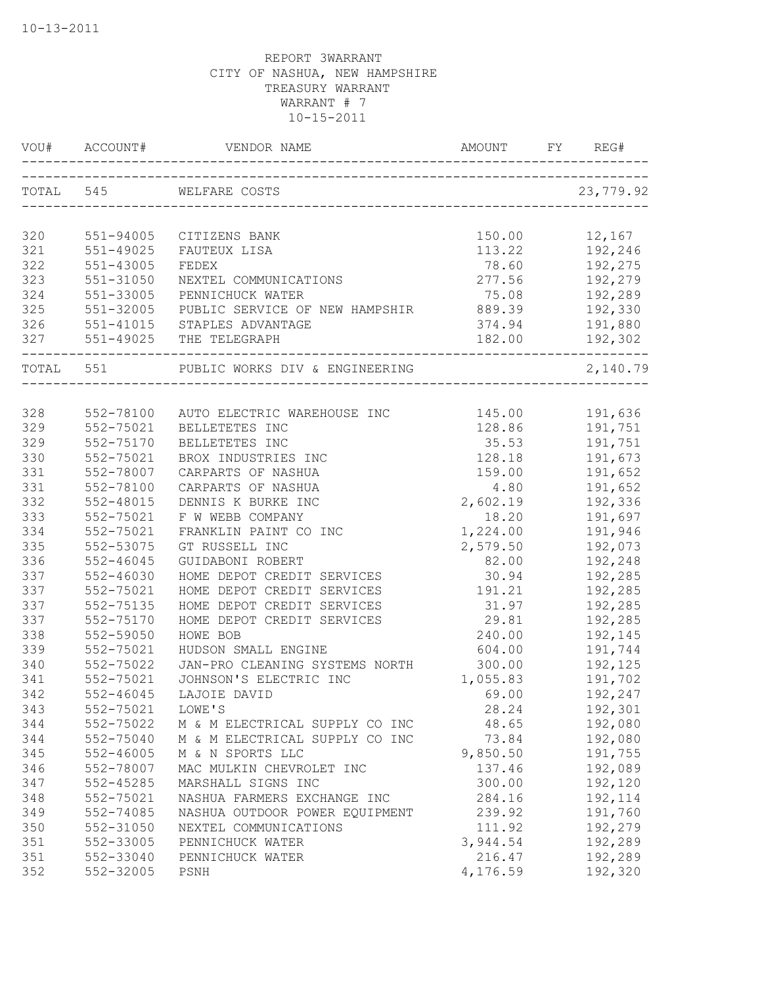| <b>AMOUNT</b><br>ACCOUNT#<br>VENDOR NAME<br>VOU#                                              | REG#<br>FY.        |
|-----------------------------------------------------------------------------------------------|--------------------|
| TOTAL 545<br>WELFARE COSTS                                                                    | 23,779.92          |
| 320<br>150.00<br>551-94005<br>CITIZENS BANK                                                   | 12,167             |
| 321<br>551-49025<br>113.22<br>FAUTEUX LISA                                                    | 192,246            |
| 322<br>551-43005<br>78.60<br>FEDEX                                                            | 192,275            |
| 323<br>277.56<br>551-31050<br>NEXTEL COMMUNICATIONS                                           | 192,279            |
| 324<br>75.08<br>551-33005<br>PENNICHUCK WATER                                                 | 192,289            |
| 325<br>551-32005<br>889.39<br>PUBLIC SERVICE OF NEW HAMPSHIR                                  | 192,330            |
| 551-41015 STAPLES ADVANTAGE<br>326<br>374.94                                                  | 191,880            |
| 327 551-49025 THE TELEGRAPH<br>182.00                                                         | 192,302            |
| TOTAL 551<br>PUBLIC WORKS DIV & ENGINEERING                                                   | 2,140.79           |
|                                                                                               |                    |
| 328<br>145.00<br>552-78100<br>AUTO ELECTRIC WAREHOUSE INC                                     | 191,636            |
| 329<br>552-75021<br>BELLETETES INC<br>128.86                                                  | 191,751            |
| 329<br>552-75170<br>BELLETETES INC<br>35.53                                                   | 191,751            |
| 330<br>552-75021<br>BROX INDUSTRIES INC<br>128.18                                             | 191,673            |
| 331<br>552-78007<br>CARPARTS OF NASHUA<br>159.00                                              | 191,652            |
| 331<br>552-78100<br>CARPARTS OF NASHUA<br>4.80                                                | 191,652            |
| 332<br>552-48015<br>DENNIS K BURKE INC<br>2,602.19                                            | 192,336            |
| 333<br>552-75021<br>F W WEBB COMPANY<br>18.20                                                 | 191,697            |
| 334<br>552-75021<br>FRANKLIN PAINT CO INC<br>1,224.00                                         | 191,946            |
| 335<br>552-53075<br>GT RUSSELL INC<br>2,579.50                                                | 192,073            |
| 336<br>552-46045<br>GUIDABONI ROBERT<br>82.00                                                 | 192,248            |
| 337<br>552-46030<br>HOME DEPOT CREDIT SERVICES<br>30.94                                       | 192,285            |
| 337<br>552-75021<br>HOME DEPOT CREDIT SERVICES<br>191.21                                      | 192,285            |
| 337<br>552-75135<br>HOME DEPOT CREDIT SERVICES<br>31.97                                       | 192,285            |
| 337<br>552-75170<br>HOME DEPOT CREDIT SERVICES<br>29.81                                       | 192,285            |
| 338<br>552-59050<br>240.00<br>HOWE BOB                                                        | 192,145            |
| 339<br>604.00<br>552-75021<br>HUDSON SMALL ENGINE<br>340<br>300.00                            | 191,744            |
| 552-75022<br>JAN-PRO CLEANING SYSTEMS NORTH<br>341<br>1,055.83                                | 192,125            |
| 552-75021<br>JOHNSON'S ELECTRIC INC                                                           | 191,702            |
| 552-46045<br>342<br>LAJOIE DAVID<br>69.00<br>552-75021                                        | 192,247            |
| 28.24<br>343<br>LOWE'S<br>344<br>552-75022<br>48.65                                           | 192,301            |
| M & M ELECTRICAL SUPPLY CO INC<br>344<br>552-75040<br>M & M ELECTRICAL SUPPLY CO INC<br>73.84 | 192,080            |
| 345<br>$552 - 46005$<br>9,850.50<br>M & N SPORTS LLC                                          | 192,080<br>191,755 |
| 346<br>552-78007<br>137.46<br>MAC MULKIN CHEVROLET INC                                        | 192,089            |
| 347<br>552-45285<br>MARSHALL SIGNS INC<br>300.00                                              | 192,120            |
| 348<br>552-75021<br>284.16<br>NASHUA FARMERS EXCHANGE INC                                     | 192,114            |
| 349<br>552-74085<br>239.92<br>NASHUA OUTDOOR POWER EQUIPMENT                                  | 191,760            |
| 350<br>111.92<br>552-31050<br>NEXTEL COMMUNICATIONS                                           | 192,279            |
| 351<br>552-33005<br>PENNICHUCK WATER<br>3,944.54                                              | 192,289            |
| 351<br>552-33040<br>216.47<br>PENNICHUCK WATER                                                | 192,289            |
| 352<br>552-32005<br>4,176.59<br>PSNH                                                          | 192,320            |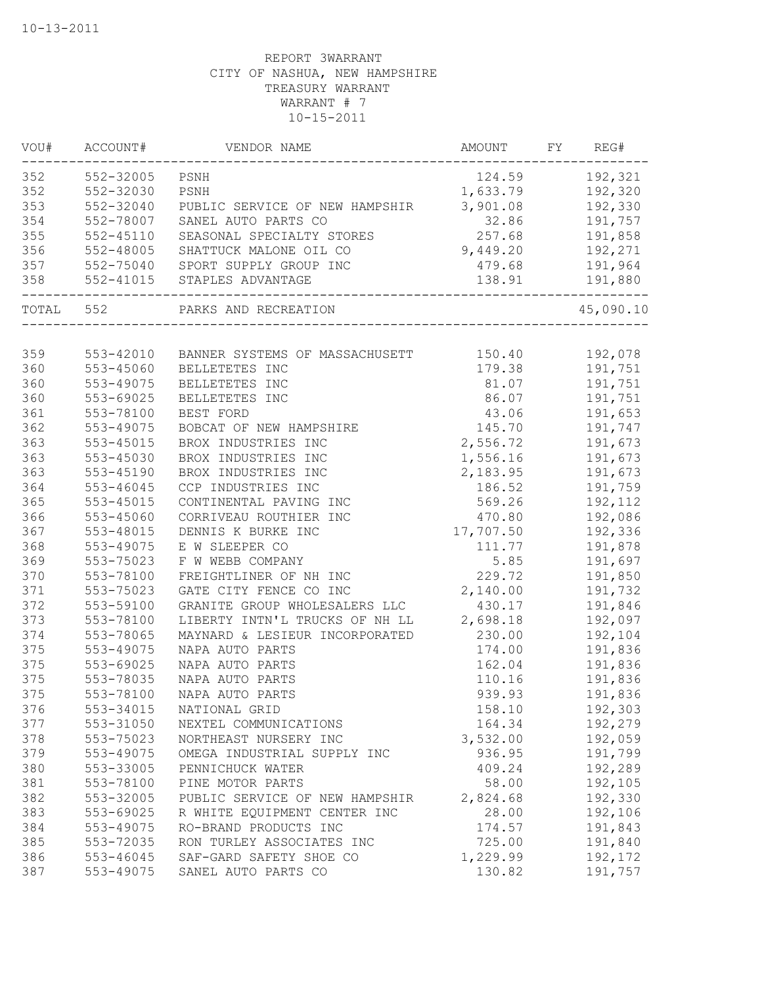| VOU#      | ACCOUNT#  | VENDOR NAME                    | AMOUNT    | FY | REG#      |
|-----------|-----------|--------------------------------|-----------|----|-----------|
| 352       | 552-32005 | PSNH                           | 124.59    |    | 192,321   |
| 352       | 552-32030 | PSNH                           | 1,633.79  |    | 192,320   |
| 353       | 552-32040 | PUBLIC SERVICE OF NEW HAMPSHIR | 3,901.08  |    | 192,330   |
| 354       | 552-78007 | SANEL AUTO PARTS CO            | 32.86     |    | 191,757   |
| 355       | 552-45110 | SEASONAL SPECIALTY STORES      | 257.68    |    | 191,858   |
| 356       | 552-48005 | SHATTUCK MALONE OIL CO         | 9,449.20  |    | 192,271   |
| 357       | 552-75040 | SPORT SUPPLY GROUP INC         | 479.68    |    | 191,964   |
| 358       | 552-41015 | STAPLES ADVANTAGE              | 138.91    |    | 191,880   |
| TOTAL 552 |           | PARKS AND RECREATION           |           |    | 45,090.10 |
|           |           |                                |           |    |           |
| 359       | 553-42010 | BANNER SYSTEMS OF MASSACHUSETT | 150.40    |    | 192,078   |
| 360       | 553-45060 | BELLETETES INC                 | 179.38    |    | 191,751   |
| 360       | 553-49075 | BELLETETES INC                 | 81.07     |    | 191,751   |
| 360       | 553-69025 | BELLETETES INC                 | 86.07     |    | 191,751   |
| 361       | 553-78100 | BEST FORD                      | 43.06     |    | 191,653   |
| 362       | 553-49075 | BOBCAT OF NEW HAMPSHIRE        | 145.70    |    | 191,747   |
| 363       | 553-45015 | BROX INDUSTRIES INC            | 2,556.72  |    | 191,673   |
| 363       | 553-45030 | BROX INDUSTRIES INC            | 1,556.16  |    | 191,673   |
| 363       | 553-45190 | BROX INDUSTRIES INC            | 2,183.95  |    | 191,673   |
| 364       | 553-46045 | CCP INDUSTRIES INC             | 186.52    |    | 191,759   |
| 365       | 553-45015 | CONTINENTAL PAVING INC         | 569.26    |    | 192,112   |
| 366       | 553-45060 | CORRIVEAU ROUTHIER INC         | 470.80    |    | 192,086   |
| 367       | 553-48015 | DENNIS K BURKE INC             | 17,707.50 |    | 192,336   |
| 368       | 553-49075 | E W SLEEPER CO                 | 111.77    |    | 191,878   |
| 369       | 553-75023 | F W WEBB COMPANY               | 5.85      |    | 191,697   |
| 370       | 553-78100 | FREIGHTLINER OF NH INC         | 229.72    |    | 191,850   |
| 371       | 553-75023 | GATE CITY FENCE CO INC         | 2,140.00  |    | 191,732   |
| 372       | 553-59100 | GRANITE GROUP WHOLESALERS LLC  | 430.17    |    | 191,846   |
| 373       | 553-78100 | LIBERTY INTN'L TRUCKS OF NH LL | 2,698.18  |    | 192,097   |
| 374       | 553-78065 | MAYNARD & LESIEUR INCORPORATED | 230.00    |    | 192,104   |
| 375       | 553-49075 | NAPA AUTO PARTS                | 174.00    |    | 191,836   |
| 375       | 553-69025 | NAPA AUTO PARTS                | 162.04    |    | 191,836   |
| 375       | 553-78035 | NAPA AUTO PARTS                | 110.16    |    | 191,836   |
| 375       | 553-78100 | NAPA AUTO PARTS                | 939.93    |    | 191,836   |
| 376       | 553-34015 | NATIONAL GRID                  | 158.10    |    | 192,303   |
| 377       | 553-31050 | NEXTEL COMMUNICATIONS          | 164.34    |    | 192,279   |
| 378       | 553-75023 | NORTHEAST NURSERY INC          | 3,532.00  |    | 192,059   |
| 379       | 553-49075 | OMEGA INDUSTRIAL SUPPLY INC    | 936.95    |    | 191,799   |
| 380       | 553-33005 | PENNICHUCK WATER               | 409.24    |    | 192,289   |
| 381       | 553-78100 | PINE MOTOR PARTS               | 58.00     |    | 192,105   |
| 382       | 553-32005 | PUBLIC SERVICE OF NEW HAMPSHIR | 2,824.68  |    | 192,330   |
| 383       | 553-69025 | R WHITE EQUIPMENT CENTER INC   | 28.00     |    | 192,106   |
| 384       | 553-49075 | RO-BRAND PRODUCTS INC          | 174.57    |    | 191,843   |
| 385       | 553-72035 | RON TURLEY ASSOCIATES INC      | 725.00    |    | 191,840   |
| 386       | 553-46045 | SAF-GARD SAFETY SHOE CO        | 1,229.99  |    | 192,172   |
| 387       | 553-49075 | SANEL AUTO PARTS CO            | 130.82    |    | 191,757   |
|           |           |                                |           |    |           |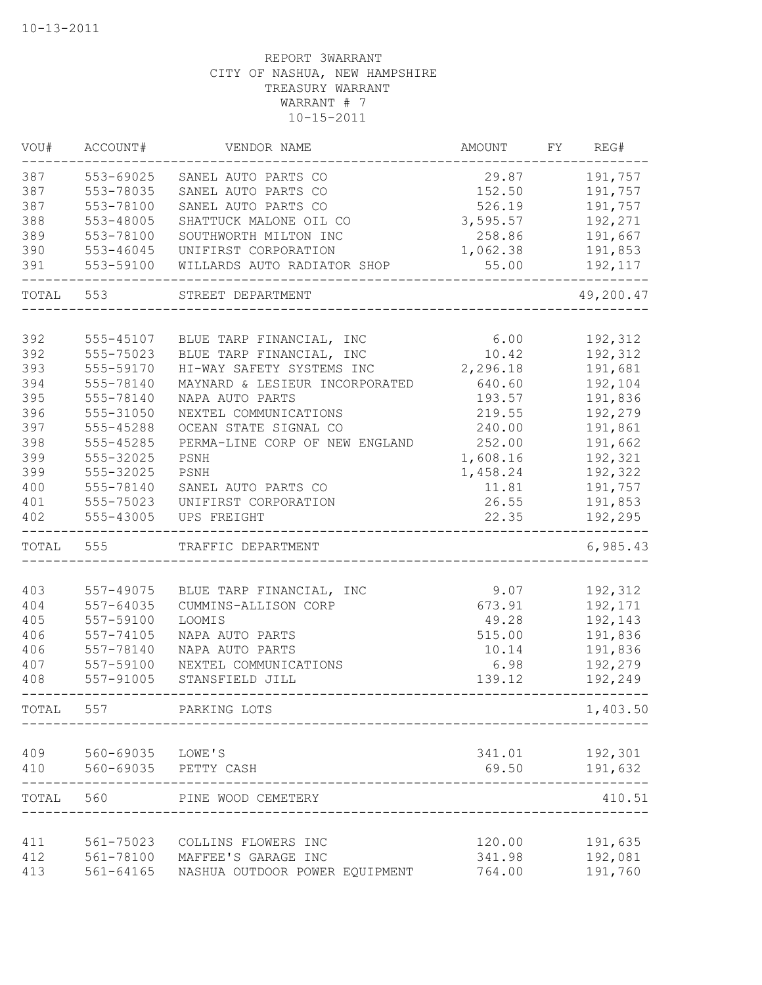| VOU#  | ACCOUNT#         | VENDOR NAME                    | AMOUNT          | FY | REG#      |
|-------|------------------|--------------------------------|-----------------|----|-----------|
| 387   | 553-69025        | SANEL AUTO PARTS CO            | 29.87           |    | 191,757   |
| 387   | 553-78035        | SANEL AUTO PARTS CO            | 152.50          |    | 191,757   |
| 387   | 553-78100        | SANEL AUTO PARTS CO            | 526.19          |    | 191,757   |
| 388   | 553-48005        | SHATTUCK MALONE OIL CO         | 3,595.57        |    | 192,271   |
| 389   | 553-78100        | SOUTHWORTH MILTON INC          | 258.86          |    | 191,667   |
| 390   | 553-46045        | UNIFIRST CORPORATION           | 1,062.38        |    | 191,853   |
| 391   | 553-59100        | WILLARDS AUTO RADIATOR SHOP    | 55.00           |    | 192,117   |
| TOTAL | 553              | STREET DEPARTMENT              |                 |    | 49,200.47 |
|       |                  |                                |                 |    |           |
| 392   | 555-45107        | BLUE TARP FINANCIAL, INC       | 6.00            |    | 192,312   |
| 392   | 555-75023        | BLUE TARP FINANCIAL, INC       | 10.42           |    | 192,312   |
| 393   | 555-59170        | HI-WAY SAFETY SYSTEMS INC      | 2,296.18        |    | 191,681   |
| 394   | 555-78140        | MAYNARD & LESIEUR INCORPORATED | 640.60          |    | 192,104   |
| 395   | 555-78140        | NAPA AUTO PARTS                | 193.57          |    | 191,836   |
| 396   | 555-31050        | NEXTEL COMMUNICATIONS          | 219.55          |    | 192,279   |
| 397   | 555-45288        | OCEAN STATE SIGNAL CO          | 240.00          |    | 191,861   |
| 398   | 555-45285        | PERMA-LINE CORP OF NEW ENGLAND | 252.00          |    | 191,662   |
| 399   | 555-32025        | PSNH                           | 1,608.16        |    | 192,321   |
| 399   | 555-32025        | PSNH                           | 1,458.24        |    | 192,322   |
| 400   | 555-78140        | SANEL AUTO PARTS CO            | 11.81           |    | 191,757   |
| 401   | 555-75023        | UNIFIRST CORPORATION           | 26.55           |    | 191,853   |
| 402   | 555-43005        | UPS FREIGHT                    | 22.35           |    | 192,295   |
| TOTAL | 555              | TRAFFIC DEPARTMENT             |                 |    | 6,985.43  |
|       |                  |                                |                 |    |           |
| 403   | 557-49075        | BLUE TARP FINANCIAL, INC       | 9.07            |    | 192,312   |
| 404   | 557-64035        | CUMMINS-ALLISON CORP           | 673.91          |    | 192,171   |
| 405   | 557-59100        | LOOMIS                         | 49.28           |    | 192,143   |
| 406   | 557-74105        | NAPA AUTO PARTS                | 515.00          |    | 191,836   |
| 406   | 557-78140        | NAPA AUTO PARTS                | 10.14           |    | 191,836   |
| 407   | 557-59100        | NEXTEL COMMUNICATIONS          | 6.98            |    | 192,279   |
| 408   | 557-91005        | STANSFIELD JILL                | 139.12          |    | 192,249   |
| TOTAL | 557              | PARKING LOTS                   |                 |    | 1,403.50  |
|       |                  |                                |                 |    |           |
| 409   | 560-69035 LOWE'S |                                | 341.01<br>69.50 |    | 192,301   |
| 410   | 560-69035        | PETTY CASH                     |                 |    | 191,632   |
| TOTAL | 560              | PINE WOOD CEMETERY             |                 |    | 410.51    |
| 411   | 561-75023        | COLLINS FLOWERS INC            | 120.00          |    | 191,635   |
| 412   | 561-78100        | MAFFEE'S GARAGE INC            | 341.98          |    | 192,081   |
| 413   | 561-64165        | NASHUA OUTDOOR POWER EQUIPMENT | 764.00          |    | 191,760   |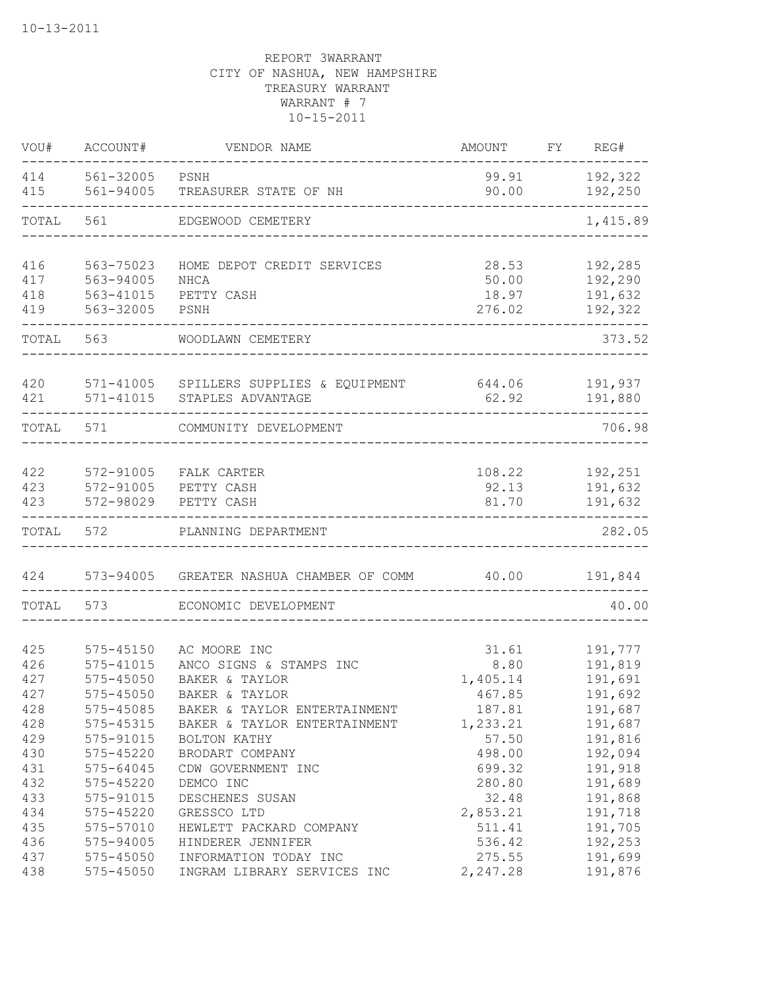| VOU#       | ACCOUNT#       | VENDOR NAME                                            | AMOUNT         | FY REG#                  |
|------------|----------------|--------------------------------------------------------|----------------|--------------------------|
| 414<br>415 | 561-32005 PSNH | 561-94005 TREASURER STATE OF NH                        | 90.00          | 99.91 192,322<br>192,250 |
| TOTAL      |                | 561 EDGEWOOD CEMETERY                                  |                | 1,415.89                 |
| 416        | 563-75023      | HOME DEPOT CREDIT SERVICES                             | 28.53          | 192,285                  |
| 417        | 563-94005      | NHCA                                                   | 50.00          | 192,290                  |
| 418        | 563-41015      | PETTY CASH                                             | 18.97          | 191,632                  |
| 419        | 563-32005      | PSNH                                                   | 276.02         | 192,322                  |
| TOTAL      | 563            | WOODLAWN CEMETERY                                      |                | 373.52                   |
| 420        |                | 571-41005 SPILLERS SUPPLIES & EQUIPMENT 644.06 191,937 |                |                          |
| 421        | 571-41015      | STAPLES ADVANTAGE                                      | 62.92          | 191,880                  |
| TOTAL      | 571            | COMMUNITY DEVELOPMENT                                  |                | 706.98                   |
|            |                |                                                        |                |                          |
| 422        | 572-91005      | FALK CARTER                                            |                | 108.22 192,251           |
| 423<br>423 | 572-98029      | 572-91005 PETTY CASH<br>PETTY CASH                     | 92.13<br>81.70 | 191,632                  |
|            |                |                                                        |                | 191,632                  |
| TOTAL      | 572            | PLANNING DEPARTMENT                                    |                | 282.05                   |
| 424        |                | 573-94005 GREATER NASHUA CHAMBER OF COMM 40.00         |                | 191,844                  |
| TOTAL      | 573            | ECONOMIC DEVELOPMENT                                   |                | 40.00                    |
| 425        | 575-45150      | AC MOORE INC                                           | 31.61          | 191,777                  |
| 426        | 575-41015      | ANCO SIGNS & STAMPS INC                                | 8.80           | 191,819                  |
| 427        | 575-45050      | BAKER & TAYLOR                                         | 1,405.14       | 191,691                  |
| 427        | 575-45050      | BAKER & TAYLOR                                         | 467.85         | 191,692                  |
| 428        | 575-45085      | BAKER & TAYLOR ENTERTAINMENT                           | 187.81         | 191,687                  |
| 428        | 575-45315      | BAKER & TAYLOR ENTERTAINMENT                           | 1,233.21       | 191,687                  |
| 429        | 575-91015      | BOLTON KATHY                                           | 57.50          | 191,816                  |
| 430        | 575-45220      | BRODART COMPANY                                        | 498.00         | 192,094                  |
| 431        | 575-64045      | CDW GOVERNMENT INC                                     | 699.32         | 191,918                  |
| 432        | 575-45220      | DEMCO INC                                              | 280.80         | 191,689                  |
| 433        | 575-91015      | DESCHENES SUSAN                                        | 32.48          | 191,868                  |
| 434        | 575-45220      | GRESSCO LTD                                            | 2,853.21       | 191,718                  |
| 435        | 575-57010      | HEWLETT PACKARD COMPANY                                | 511.41         | 191,705                  |
| 436        | 575-94005      | HINDERER JENNIFER                                      | 536.42         | 192,253                  |
| 437        | 575-45050      | INFORMATION TODAY INC                                  | 275.55         | 191,699                  |
| 438        | 575-45050      | INGRAM LIBRARY SERVICES INC                            | 2,247.28       | 191,876                  |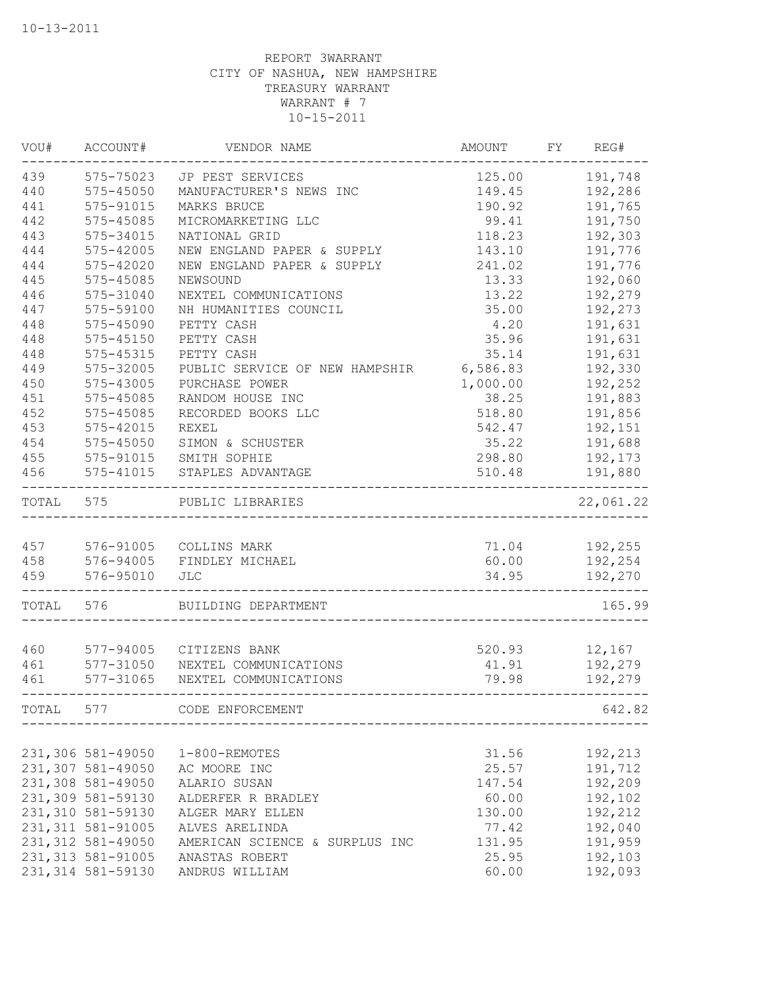| WOU#  | ACCOUNT#           | VENDOR NAME                    | AMOUNT   | FY | REG#      |
|-------|--------------------|--------------------------------|----------|----|-----------|
| 439   | 575-75023          | JP PEST SERVICES               | 125.00   |    | 191,748   |
| 440   | 575-45050          | MANUFACTURER'S NEWS INC        | 149.45   |    | 192,286   |
| 441   | 575-91015          | MARKS BRUCE                    | 190.92   |    | 191,765   |
| 442   | 575-45085          | MICROMARKETING LLC             | 99.41    |    | 191,750   |
| 443   | 575-34015          | NATIONAL GRID                  | 118.23   |    | 192,303   |
| 444   | 575-42005          | NEW ENGLAND PAPER & SUPPLY     | 143.10   |    | 191,776   |
| 444   | 575-42020          | NEW ENGLAND PAPER & SUPPLY     | 241.02   |    | 191,776   |
| 445   | 575-45085          | NEWSOUND                       | 13.33    |    | 192,060   |
| 446   | 575-31040          | NEXTEL COMMUNICATIONS          | 13.22    |    | 192,279   |
| 447   | 575-59100          | NH HUMANITIES COUNCIL          | 35.00    |    | 192,273   |
| 448   | 575-45090          | PETTY CASH                     | 4.20     |    | 191,631   |
| 448   | 575-45150          | PETTY CASH                     | 35.96    |    | 191,631   |
| 448   | 575-45315          | PETTY CASH                     | 35.14    |    | 191,631   |
| 449   | 575-32005          | PUBLIC SERVICE OF NEW HAMPSHIR | 6,586.83 |    | 192,330   |
| 450   | 575-43005          | PURCHASE POWER                 | 1,000.00 |    | 192,252   |
| 451   | 575-45085          | RANDOM HOUSE INC               | 38.25    |    | 191,883   |
| 452   | 575-45085          | RECORDED BOOKS LLC             | 518.80   |    | 191,856   |
| 453   | 575-42015          | REXEL                          | 542.47   |    | 192,151   |
| 454   | 575-45050          | SIMON & SCHUSTER               | 35.22    |    | 191,688   |
| 455   | 575-91015          | SMITH SOPHIE                   | 298.80   |    | 192,173   |
| 456   | 575-41015          | STAPLES ADVANTAGE              | 510.48   |    | 191,880   |
| TOTAL | 575                | PUBLIC LIBRARIES               |          |    | 22,061.22 |
| 457   | 576-91005          |                                | 71.04    |    | 192,255   |
| 458   | 576-94005          | COLLINS MARK                   | 60.00    |    | 192,254   |
| 459   | 576-95010          | FINDLEY MICHAEL                | 34.95    |    |           |
|       |                    | <b>JLC</b>                     |          |    | 192,270   |
| TOTAL | 576                | BUILDING DEPARTMENT            |          |    | 165.99    |
|       |                    |                                |          |    |           |
| 460   | 577-94005          | CITIZENS BANK                  | 520.93   |    | 12,167    |
| 461   | 577-31050          | NEXTEL COMMUNICATIONS          | 41.91    |    | 192,279   |
| 461   | 577-31065          | NEXTEL COMMUNICATIONS          | 79.98    |    | 192,279   |
| TOTAL | 577                | CODE ENFORCEMENT               |          |    | 642.82    |
|       |                    |                                |          |    |           |
|       | 231,306 581-49050  | 1-800-REMOTES                  | 31.56    |    | 192,213   |
|       | 231,307 581-49050  | AC MOORE INC                   | 25.57    |    | 191,712   |
|       | 231,308 581-49050  | ALARIO SUSAN                   | 147.54   |    | 192,209   |
|       | 231,309 581-59130  | ALDERFER R BRADLEY             | 60.00    |    | 192,102   |
|       | 231,310 581-59130  | ALGER MARY ELLEN               | 130.00   |    | 192,212   |
|       | 231, 311 581-91005 | ALVES ARELINDA                 | 77.42    |    | 192,040   |
|       | 231, 312 581-49050 | AMERICAN SCIENCE & SURPLUS INC | 131.95   |    | 191,959   |
|       | 231, 313 581-91005 | ANASTAS ROBERT                 | 25.95    |    | 192,103   |
|       | 231, 314 581-59130 | ANDRUS WILLIAM                 | 60.00    |    | 192,093   |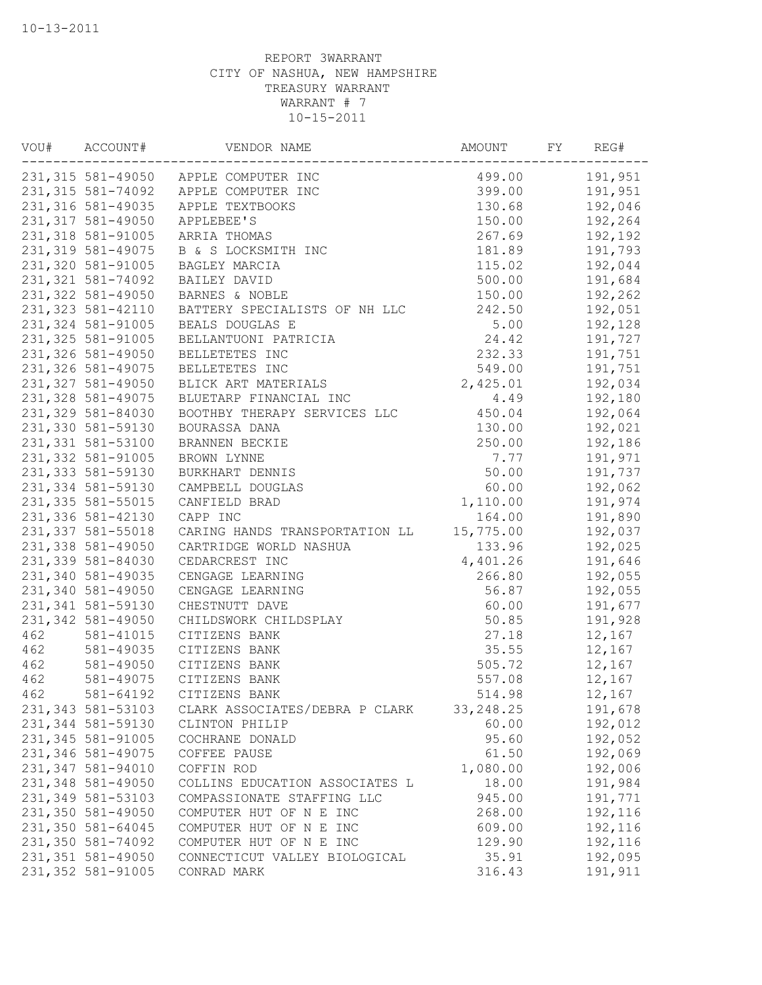| WOU# | ACCOUNT#           | VENDOR NAME                          | AMOUNT     | FY | REG#    |
|------|--------------------|--------------------------------------|------------|----|---------|
|      |                    | 231,315 581-49050 APPLE COMPUTER INC | 499.00     |    | 191,951 |
|      | 231, 315 581-74092 | APPLE COMPUTER INC                   | 399.00     |    | 191,951 |
|      | 231,316 581-49035  | APPLE TEXTBOOKS                      | 130.68     |    | 192,046 |
|      | 231, 317 581-49050 | APPLEBEE'S                           | 150.00     |    | 192,264 |
|      | 231, 318 581-91005 | ARRIA THOMAS                         | 267.69     |    | 192,192 |
|      | 231, 319 581-49075 | B & S LOCKSMITH INC                  | 181.89     |    | 191,793 |
|      | 231,320 581-91005  | BAGLEY MARCIA                        | 115.02     |    | 192,044 |
|      | 231, 321 581-74092 | BAILEY DAVID                         | 500.00     |    | 191,684 |
|      | 231, 322 581-49050 | BARNES & NOBLE                       | 150.00     |    | 192,262 |
|      | 231, 323 581-42110 | BATTERY SPECIALISTS OF NH LLC        | 242.50     |    | 192,051 |
|      | 231, 324 581-91005 | BEALS DOUGLAS E                      | 5.00       |    | 192,128 |
|      | 231, 325 581-91005 | BELLANTUONI PATRICIA                 | 24.42      |    | 191,727 |
|      | 231,326 581-49050  | BELLETETES INC                       | 232.33     |    | 191,751 |
|      | 231,326 581-49075  | BELLETETES INC                       | 549.00     |    | 191,751 |
|      | 231, 327 581-49050 | BLICK ART MATERIALS                  | 2,425.01   |    | 192,034 |
|      | 231, 328 581-49075 | BLUETARP FINANCIAL INC               | 4.49       |    | 192,180 |
|      | 231,329 581-84030  | BOOTHBY THERAPY SERVICES LLC         | 450.04     |    | 192,064 |
|      | 231,330 581-59130  | BOURASSA DANA                        | 130.00     |    | 192,021 |
|      | 231, 331 581-53100 | BRANNEN BECKIE                       | 250.00     |    | 192,186 |
|      | 231, 332 581-91005 | BROWN LYNNE                          | 7.77       |    | 191,971 |
|      | 231, 333 581-59130 | BURKHART DENNIS                      | 50.00      |    | 191,737 |
|      | 231, 334 581-59130 | CAMPBELL DOUGLAS                     | 60.00      |    | 192,062 |
|      | 231,335 581-55015  | CANFIELD BRAD                        | 1,110.00   |    | 191,974 |
|      | 231,336 581-42130  | CAPP INC                             | 164.00     |    | 191,890 |
|      | 231, 337 581-55018 | CARING HANDS TRANSPORTATION LL       | 15,775.00  |    | 192,037 |
|      | 231,338 581-49050  | CARTRIDGE WORLD NASHUA               | 133.96     |    | 192,025 |
|      | 231,339 581-84030  | CEDARCREST INC                       | 4,401.26   |    | 191,646 |
|      | 231,340 581-49035  | CENGAGE LEARNING                     | 266.80     |    | 192,055 |
|      | 231,340 581-49050  | CENGAGE LEARNING                     | 56.87      |    | 192,055 |
|      | 231, 341 581-59130 | CHESTNUTT DAVE                       | 60.00      |    | 191,677 |
|      | 231,342 581-49050  | CHILDSWORK CHILDSPLAY                | 50.85      |    | 191,928 |
| 462  | 581-41015          | CITIZENS BANK                        | 27.18      |    | 12,167  |
| 462  | 581-49035          | CITIZENS BANK                        | 35.55      |    | 12,167  |
| 462  | 581-49050          | CITIZENS BANK                        | 505.72     |    | 12,167  |
| 462  | 581-49075          | CITIZENS BANK                        | 557.08     |    | 12,167  |
| 462  | 581-64192          | CITIZENS BANK                        | 514.98     |    | 12,167  |
|      | 231, 343 581-53103 | CLARK ASSOCIATES/DEBRA P CLARK       | 33, 248.25 |    | 191,678 |
|      | 231, 344 581-59130 | CLINTON PHILIP                       | 60.00      |    | 192,012 |
|      | 231, 345 581-91005 | COCHRANE DONALD                      | 95.60      |    | 192,052 |
|      | 231,346 581-49075  | COFFEE PAUSE                         | 61.50      |    | 192,069 |
|      | 231,347 581-94010  | COFFIN ROD                           | 1,080.00   |    | 192,006 |
|      | 231,348 581-49050  | COLLINS EDUCATION ASSOCIATES L       | 18.00      |    | 191,984 |
|      | 231,349 581-53103  | COMPASSIONATE STAFFING LLC           | 945.00     |    | 191,771 |
|      | 231,350 581-49050  | COMPUTER HUT OF N E INC              | 268.00     |    | 192,116 |
|      | 231,350 581-64045  | COMPUTER HUT OF N E INC              | 609.00     |    | 192,116 |
|      | 231,350 581-74092  | COMPUTER HUT OF N E INC              | 129.90     |    | 192,116 |
|      | 231,351 581-49050  | CONNECTICUT VALLEY BIOLOGICAL        | 35.91      |    | 192,095 |
|      | 231,352 581-91005  | CONRAD MARK                          | 316.43     |    | 191,911 |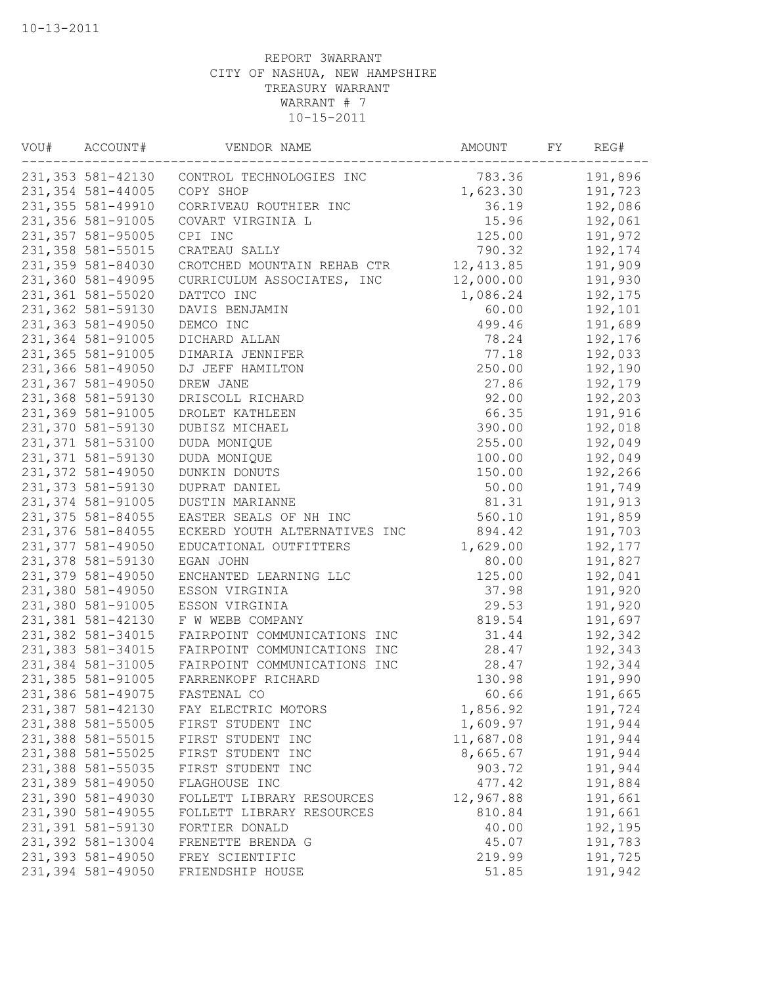| VOU# | ACCOUNT#           | VENDOR NAME                                | AMOUNT     | FY | REG#    |
|------|--------------------|--------------------------------------------|------------|----|---------|
|      |                    | 231,353 581-42130 CONTROL TECHNOLOGIES INC | 783.36     |    | 191,896 |
|      | 231,354 581-44005  | COPY SHOP                                  | 1,623.30   |    | 191,723 |
|      | 231, 355 581-49910 | CORRIVEAU ROUTHIER INC                     | 36.19      |    | 192,086 |
|      | 231,356 581-91005  | COVART VIRGINIA L                          | 15.96      |    | 192,061 |
|      | 231,357 581-95005  | CPI INC                                    | 125.00     |    | 191,972 |
|      | 231,358 581-55015  | CRATEAU SALLY                              | 790.32     |    | 192,174 |
|      | 231,359 581-84030  | CROTCHED MOUNTAIN REHAB CTR                | 12, 413.85 |    | 191,909 |
|      | 231,360 581-49095  | CURRICULUM ASSOCIATES, INC                 | 12,000.00  |    | 191,930 |
|      | 231,361 581-55020  | DATTCO INC                                 | 1,086.24   |    | 192,175 |
|      | 231,362 581-59130  | DAVIS BENJAMIN                             | 60.00      |    | 192,101 |
|      | 231,363 581-49050  | DEMCO INC                                  | 499.46     |    | 191,689 |
|      | 231,364 581-91005  | DICHARD ALLAN                              | 78.24      |    | 192,176 |
|      | 231,365 581-91005  | DIMARIA JENNIFER                           | 77.18      |    | 192,033 |
|      | 231,366 581-49050  | DJ JEFF HAMILTON                           | 250.00     |    | 192,190 |
|      | 231,367 581-49050  | DREW JANE                                  | 27.86      |    | 192,179 |
|      | 231,368 581-59130  | DRISCOLL RICHARD                           | 92.00      |    | 192,203 |
|      | 231,369 581-91005  | DROLET KATHLEEN                            | 66.35      |    | 191,916 |
|      | 231,370 581-59130  | DUBISZ MICHAEL                             | 390.00     |    | 192,018 |
|      | 231, 371 581-53100 | DUDA MONIQUE                               | 255.00     |    | 192,049 |
|      | 231, 371 581-59130 | DUDA MONIQUE                               | 100.00     |    | 192,049 |
|      | 231,372 581-49050  | DUNKIN DONUTS                              | 150.00     |    | 192,266 |
|      | 231, 373 581-59130 | DUPRAT DANIEL                              | 50.00      |    | 191,749 |
|      | 231,374 581-91005  | <b>DUSTIN MARIANNE</b>                     | 81.31      |    | 191,913 |
|      | 231, 375 581-84055 | EASTER SEALS OF NH INC                     | 560.10     |    | 191,859 |
|      | 231,376 581-84055  | ECKERD YOUTH ALTERNATIVES INC              | 894.42     |    | 191,703 |
|      | 231,377 581-49050  | EDUCATIONAL OUTFITTERS                     | 1,629.00   |    | 192,177 |
|      | 231,378 581-59130  | EGAN JOHN                                  | 80.00      |    | 191,827 |
|      |                    |                                            |            |    |         |
|      | 231,379 581-49050  | ENCHANTED LEARNING LLC                     | 125.00     |    | 192,041 |
|      | 231,380 581-49050  | ESSON VIRGINIA                             | 37.98      |    | 191,920 |
|      | 231,380 581-91005  | ESSON VIRGINIA                             | 29.53      |    | 191,920 |
|      | 231,381 581-42130  | F W WEBB COMPANY                           | 819.54     |    | 191,697 |
|      | 231,382 581-34015  | FAIRPOINT COMMUNICATIONS INC               | 31.44      |    | 192,342 |
|      | 231, 383 581-34015 | FAIRPOINT COMMUNICATIONS INC               | 28.47      |    | 192,343 |
|      | 231,384 581-31005  | FAIRPOINT COMMUNICATIONS INC               | 28.47      |    | 192,344 |
|      | 231, 385 581-91005 | FARRENKOPF RICHARD                         | 130.98     |    | 191,990 |
|      | 231,386 581-49075  | FASTENAL CO                                | 60.66      |    | 191,665 |
|      | 231,387 581-42130  | FAY ELECTRIC MOTORS                        | 1,856.92   |    | 191,724 |
|      | 231,388 581-55005  | FIRST STUDENT INC                          | 1,609.97   |    | 191,944 |
|      | 231,388 581-55015  | FIRST STUDENT INC                          | 11,687.08  |    | 191,944 |
|      | 231,388 581-55025  | FIRST STUDENT INC                          | 8,665.67   |    | 191,944 |
|      | 231,388 581-55035  | FIRST STUDENT INC                          | 903.72     |    | 191,944 |
|      | 231,389 581-49050  | FLAGHOUSE INC                              | 477.42     |    | 191,884 |
|      | 231,390 581-49030  | FOLLETT LIBRARY RESOURCES                  | 12,967.88  |    | 191,661 |
|      | 231,390 581-49055  | FOLLETT LIBRARY RESOURCES                  | 810.84     |    | 191,661 |
|      | 231,391 581-59130  | FORTIER DONALD                             | 40.00      |    | 192,195 |
|      | 231,392 581-13004  | FRENETTE BRENDA G                          | 45.07      |    | 191,783 |
|      | 231,393 581-49050  | FREY SCIENTIFIC                            | 219.99     |    | 191,725 |
|      | 231,394 581-49050  | FRIENDSHIP HOUSE                           | 51.85      |    | 191,942 |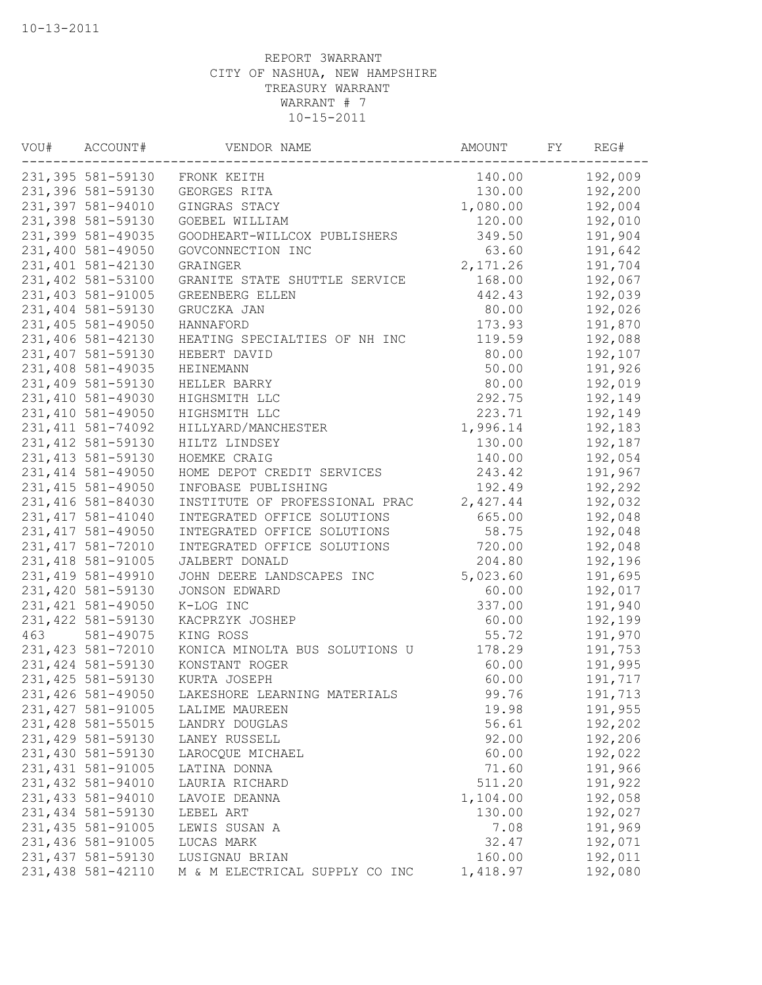| VOU# | ACCOUNT#           | VENDOR NAME                    | AMOUNT    | FY | REG#    |
|------|--------------------|--------------------------------|-----------|----|---------|
|      |                    | 231,395 581-59130 FRONK KEITH  | 140.00    |    | 192,009 |
|      | 231,396 581-59130  | GEORGES RITA                   | 130.00    |    | 192,200 |
|      | 231,397 581-94010  | GINGRAS STACY                  | 1,080.00  |    | 192,004 |
|      | 231,398 581-59130  | GOEBEL WILLIAM                 | 120.00    |    | 192,010 |
|      | 231,399 581-49035  | GOODHEART-WILLCOX PUBLISHERS   | 349.50    |    | 191,904 |
|      | 231,400 581-49050  | GOVCONNECTION INC              | 63.60     |    | 191,642 |
|      | 231,401 581-42130  | GRAINGER                       | 2, 171.26 |    | 191,704 |
|      | 231,402 581-53100  | GRANITE STATE SHUTTLE SERVICE  | 168.00    |    | 192,067 |
|      | 231,403 581-91005  | GREENBERG ELLEN                | 442.43    |    | 192,039 |
|      | 231,404 581-59130  | GRUCZKA JAN                    | 80.00     |    | 192,026 |
|      | 231,405 581-49050  | HANNAFORD                      | 173.93    |    | 191,870 |
|      | 231,406 581-42130  | HEATING SPECIALTIES OF NH INC  | 119.59    |    | 192,088 |
|      | 231,407 581-59130  | HEBERT DAVID                   | 80.00     |    | 192,107 |
|      | 231,408 581-49035  | HEINEMANN                      | 50.00     |    | 191,926 |
|      | 231,409 581-59130  | HELLER BARRY                   | 80.00     |    | 192,019 |
|      | 231,410 581-49030  | HIGHSMITH LLC                  | 292.75    |    | 192,149 |
|      | 231,410 581-49050  | HIGHSMITH LLC                  | 223.71    |    | 192,149 |
|      | 231, 411 581-74092 | HILLYARD/MANCHESTER            | 1,996.14  |    | 192,183 |
|      | 231, 412 581-59130 | HILTZ LINDSEY                  | 130.00    |    | 192,187 |
|      | 231, 413 581-59130 | HOEMKE CRAIG                   | 140.00    |    | 192,054 |
|      | 231, 414 581-49050 | HOME DEPOT CREDIT SERVICES     | 243.42    |    | 191,967 |
|      | 231, 415 581-49050 | INFOBASE PUBLISHING            | 192.49    |    | 192,292 |
|      | 231,416 581-84030  | INSTITUTE OF PROFESSIONAL PRAC | 2,427.44  |    | 192,032 |
|      | 231, 417 581-41040 | INTEGRATED OFFICE SOLUTIONS    | 665.00    |    | 192,048 |
|      | 231, 417 581-49050 | INTEGRATED OFFICE SOLUTIONS    | 58.75     |    | 192,048 |
|      | 231, 417 581-72010 | INTEGRATED OFFICE SOLUTIONS    | 720.00    |    | 192,048 |
|      | 231, 418 581-91005 | JALBERT DONALD                 | 204.80    |    | 192,196 |
|      | 231, 419 581-49910 | JOHN DEERE LANDSCAPES INC      | 5,023.60  |    | 191,695 |
|      | 231,420 581-59130  | <b>JONSON EDWARD</b>           | 60.00     |    | 192,017 |
|      | 231, 421 581-49050 | K-LOG INC                      | 337.00    |    | 191,940 |
|      | 231, 422 581-59130 | KACPRZYK JOSHEP                | 60.00     |    | 192,199 |
| 463  | 581-49075          | KING ROSS                      | 55.72     |    | 191,970 |
|      | 231, 423 581-72010 | KONICA MINOLTA BUS SOLUTIONS U | 178.29    |    | 191,753 |
|      | 231, 424 581-59130 | KONSTANT ROGER                 | 60.00     |    | 191,995 |
|      | 231, 425 581-59130 | KURTA JOSEPH                   | 60.00     |    | 191,717 |
|      | 231,426 581-49050  | LAKESHORE LEARNING MATERIALS   | 99.76     |    | 191,713 |
|      | 231, 427 581-91005 | LALIME MAUREEN                 | 19.98     |    | 191,955 |
|      | 231,428 581-55015  | LANDRY DOUGLAS                 | 56.61     |    | 192,202 |
|      | 231,429 581-59130  | LANEY RUSSELL                  | 92.00     |    | 192,206 |
|      | 231,430 581-59130  | LAROCQUE MICHAEL               | 60.00     |    | 192,022 |
|      | 231, 431 581-91005 | LATINA DONNA                   | 71.60     |    | 191,966 |
|      | 231,432 581-94010  | LAURIA RICHARD                 | 511.20    |    | 191,922 |
|      | 231, 433 581-94010 | LAVOIE DEANNA                  | 1,104.00  |    | 192,058 |
|      | 231, 434 581-59130 | LEBEL ART                      | 130.00    |    | 192,027 |
|      | 231, 435 581-91005 | LEWIS SUSAN A                  | 7.08      |    | 191,969 |
|      | 231,436 581-91005  | LUCAS MARK                     | 32.47     |    | 192,071 |
|      | 231, 437 581-59130 | LUSIGNAU BRIAN                 | 160.00    |    | 192,011 |
|      | 231,438 581-42110  | M & M ELECTRICAL SUPPLY CO INC | 1,418.97  |    | 192,080 |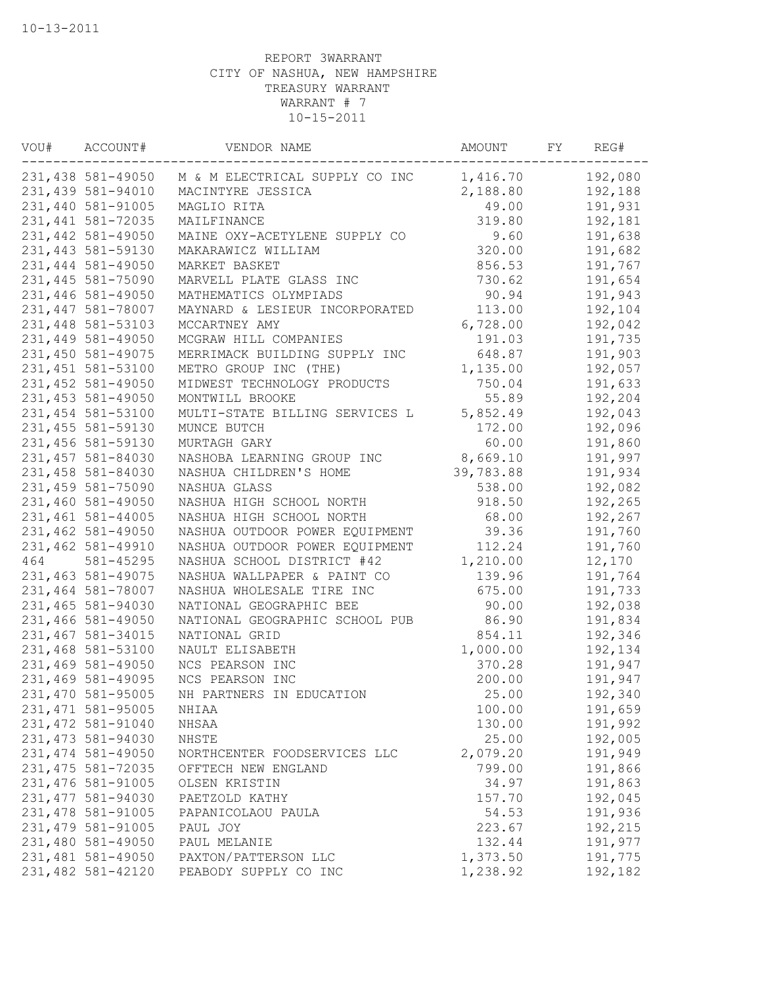| WOU# | ACCOUNT#           | VENDOR NAME                    | AMOUNT    | FY | REG#    |
|------|--------------------|--------------------------------|-----------|----|---------|
|      | 231,438 581-49050  | M & M ELECTRICAL SUPPLY CO INC | 1,416.70  |    | 192,080 |
|      | 231,439 581-94010  | MACINTYRE JESSICA              | 2,188.80  |    | 192,188 |
|      | 231,440 581-91005  | MAGLIO RITA                    | 49.00     |    | 191,931 |
|      | 231, 441 581-72035 | MAILFINANCE                    | 319.80    |    | 192,181 |
|      | 231,442 581-49050  | MAINE OXY-ACETYLENE SUPPLY CO  | 9.60      |    | 191,638 |
|      | 231, 443 581-59130 | MAKARAWICZ WILLIAM             | 320.00    |    | 191,682 |
|      | 231,444 581-49050  | MARKET BASKET                  | 856.53    |    | 191,767 |
|      | 231, 445 581-75090 | MARVELL PLATE GLASS INC        | 730.62    |    | 191,654 |
|      | 231,446 581-49050  | MATHEMATICS OLYMPIADS          | 90.94     |    | 191,943 |
|      | 231,447 581-78007  | MAYNARD & LESIEUR INCORPORATED | 113.00    |    | 192,104 |
|      | 231,448 581-53103  | MCCARTNEY AMY                  | 6,728.00  |    | 192,042 |
|      | 231,449 581-49050  | MCGRAW HILL COMPANIES          | 191.03    |    | 191,735 |
|      | 231,450 581-49075  | MERRIMACK BUILDING SUPPLY INC  | 648.87    |    | 191,903 |
|      | 231,451 581-53100  | METRO GROUP INC (THE)          | 1,135.00  |    | 192,057 |
|      | 231,452 581-49050  | MIDWEST TECHNOLOGY PRODUCTS    | 750.04    |    | 191,633 |
|      | 231, 453 581-49050 | MONTWILL BROOKE                | 55.89     |    | 192,204 |
|      | 231,454 581-53100  | MULTI-STATE BILLING SERVICES L | 5,852.49  |    | 192,043 |
|      | 231, 455 581-59130 | MUNCE BUTCH                    | 172.00    |    | 192,096 |
|      | 231,456 581-59130  | MURTAGH GARY                   | 60.00     |    | 191,860 |
|      | 231,457 581-84030  | NASHOBA LEARNING GROUP INC     | 8,669.10  |    | 191,997 |
|      | 231,458 581-84030  | NASHUA CHILDREN'S HOME         | 39,783.88 |    | 191,934 |
|      | 231,459 581-75090  | NASHUA GLASS                   | 538.00    |    | 192,082 |
|      | 231,460 581-49050  | NASHUA HIGH SCHOOL NORTH       | 918.50    |    | 192,265 |
|      | 231,461 581-44005  | NASHUA HIGH SCHOOL NORTH       | 68.00     |    | 192,267 |
|      | 231,462 581-49050  | NASHUA OUTDOOR POWER EQUIPMENT | 39.36     |    | 191,760 |
|      | 231,462 581-49910  | NASHUA OUTDOOR POWER EQUIPMENT | 112.24    |    | 191,760 |
| 464  | 581-45295          | NASHUA SCHOOL DISTRICT #42     | 1,210.00  |    | 12,170  |
|      | 231,463 581-49075  | NASHUA WALLPAPER & PAINT CO    | 139.96    |    | 191,764 |
|      | 231,464 581-78007  | NASHUA WHOLESALE TIRE INC      | 675.00    |    | 191,733 |
|      | 231,465 581-94030  | NATIONAL GEOGRAPHIC BEE        | 90.00     |    | 192,038 |
|      | 231,466 581-49050  | NATIONAL GEOGRAPHIC SCHOOL PUB | 86.90     |    | 191,834 |
|      | 231,467 581-34015  | NATIONAL GRID                  | 854.11    |    | 192,346 |
|      | 231,468 581-53100  | NAULT ELISABETH                | 1,000.00  |    | 192,134 |
|      | 231,469 581-49050  | NCS PEARSON INC                | 370.28    |    | 191,947 |
|      | 231,469 581-49095  | NCS PEARSON INC                | 200.00    |    | 191,947 |
|      | 231,470 581-95005  | NH PARTNERS IN EDUCATION       | 25.00     |    | 192,340 |
|      | 231, 471 581-95005 | NHIAA                          | 100.00    |    | 191,659 |
|      | 231, 472 581-91040 | NHSAA                          | 130.00    |    | 191,992 |
|      | 231, 473 581-94030 | NHSTE                          | 25.00     |    | 192,005 |
|      | 231, 474 581-49050 | NORTHCENTER FOODSERVICES LLC   | 2,079.20  |    | 191,949 |
|      | 231, 475 581-72035 | OFFTECH NEW ENGLAND            | 799.00    |    | 191,866 |
|      | 231,476 581-91005  | OLSEN KRISTIN                  | 34.97     |    | 191,863 |
|      | 231, 477 581-94030 | PAETZOLD KATHY                 | 157.70    |    | 192,045 |
|      | 231,478 581-91005  | PAPANICOLAOU PAULA             | 54.53     |    | 191,936 |
|      | 231,479 581-91005  | PAUL JOY                       | 223.67    |    | 192,215 |
|      | 231,480 581-49050  | PAUL MELANIE                   | 132.44    |    | 191,977 |
|      | 231,481 581-49050  | PAXTON/PATTERSON LLC           | 1,373.50  |    | 191,775 |
|      | 231,482 581-42120  | PEABODY SUPPLY CO INC          | 1,238.92  |    | 192,182 |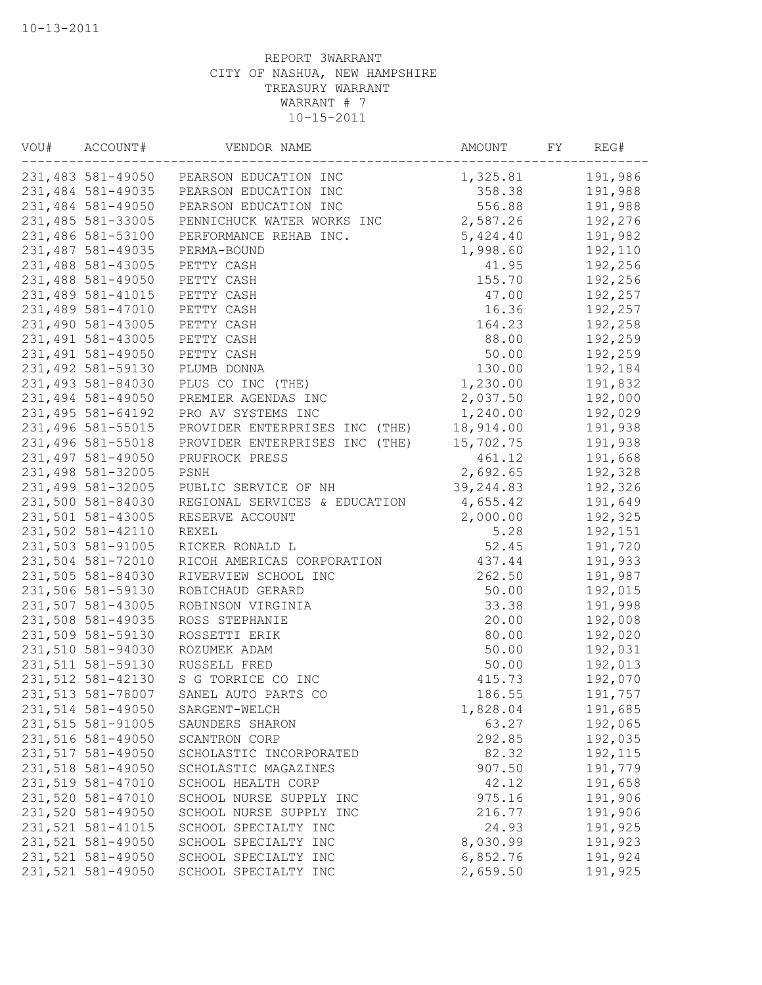| VOU# | ACCOUNT#           | VENDOR NAME                             | AMOUNT     | FY | REG#    |
|------|--------------------|-----------------------------------------|------------|----|---------|
|      |                    | 231,483 581-49050 PEARSON EDUCATION INC | 1,325.81   |    | 191,986 |
|      | 231,484 581-49035  | PEARSON EDUCATION INC                   | 358.38     |    | 191,988 |
|      | 231,484 581-49050  | PEARSON EDUCATION INC                   | 556.88     |    | 191,988 |
|      | 231,485 581-33005  | PENNICHUCK WATER WORKS INC              | 2,587.26   |    | 192,276 |
|      | 231,486 581-53100  | PERFORMANCE REHAB INC.                  | 5,424.40   |    | 191,982 |
|      | 231,487 581-49035  | PERMA-BOUND                             | 1,998.60   |    | 192,110 |
|      | 231,488 581-43005  | PETTY CASH                              | 41.95      |    | 192,256 |
|      | 231,488 581-49050  | PETTY CASH                              | 155.70     |    | 192,256 |
|      | 231,489 581-41015  | PETTY CASH                              | 47.00      |    | 192,257 |
|      | 231,489 581-47010  | PETTY CASH                              | 16.36      |    | 192,257 |
|      | 231,490 581-43005  | PETTY CASH                              | 164.23     |    | 192,258 |
|      | 231,491 581-43005  | PETTY CASH                              | 88.00      |    | 192,259 |
|      | 231,491 581-49050  | PETTY CASH                              | 50.00      |    | 192,259 |
|      | 231,492 581-59130  | PLUMB DONNA                             | 130.00     |    | 192,184 |
|      | 231,493 581-84030  | PLUS CO INC (THE)                       | 1,230.00   |    | 191,832 |
|      | 231,494 581-49050  | PREMIER AGENDAS INC                     | 2,037.50   |    | 192,000 |
|      | 231, 495 581-64192 | PRO AV SYSTEMS INC                      | 1,240.00   |    | 192,029 |
|      | 231,496 581-55015  | PROVIDER ENTERPRISES INC (THE)          | 18,914.00  |    | 191,938 |
|      | 231,496 581-55018  | PROVIDER ENTERPRISES INC (THE)          | 15,702.75  |    | 191,938 |
|      | 231,497 581-49050  | PRUFROCK PRESS                          | 461.12     |    | 191,668 |
|      | 231,498 581-32005  | PSNH                                    | 2,692.65   |    | 192,328 |
|      | 231,499 581-32005  | PUBLIC SERVICE OF NH                    | 39, 244.83 |    | 192,326 |
|      | 231,500 581-84030  | REGIONAL SERVICES & EDUCATION           | 4,655.42   |    | 191,649 |
|      | 231,501 581-43005  | RESERVE ACCOUNT                         | 2,000.00   |    | 192,325 |
|      | 231,502 581-42110  | REXEL                                   | 5.28       |    | 192,151 |
|      | 231,503 581-91005  | RICKER RONALD L                         | 52.45      |    | 191,720 |
|      | 231,504 581-72010  | RICOH AMERICAS CORPORATION              | 437.44     |    | 191,933 |
|      | 231,505 581-84030  | RIVERVIEW SCHOOL INC                    | 262.50     |    | 191,987 |
|      | 231,506 581-59130  | ROBICHAUD GERARD                        | 50.00      |    | 192,015 |
|      | 231,507 581-43005  | ROBINSON VIRGINIA                       | 33.38      |    | 191,998 |
|      | 231,508 581-49035  | ROSS STEPHANIE                          | 20.00      |    | 192,008 |
|      | 231,509 581-59130  | ROSSETTI ERIK                           | 80.00      |    | 192,020 |
|      | 231,510 581-94030  | ROZUMEK ADAM                            | 50.00      |    | 192,031 |
|      | 231,511 581-59130  | RUSSELL FRED                            | 50.00      |    | 192,013 |
|      | 231,512 581-42130  | S G TORRICE CO INC                      | 415.73     |    | 192,070 |
|      | 231,513 581-78007  | SANEL AUTO PARTS CO                     | 186.55     |    | 191,757 |
|      | 231,514 581-49050  | SARGENT-WELCH                           | 1,828.04   |    | 191,685 |
|      | 231,515 581-91005  | SAUNDERS SHARON                         | 63.27      |    | 192,065 |
|      | 231,516 581-49050  | SCANTRON CORP                           | 292.85     |    | 192,035 |
|      | 231,517 581-49050  | SCHOLASTIC INCORPORATED                 | 82.32      |    | 192,115 |
|      | 231,518 581-49050  | SCHOLASTIC MAGAZINES                    | 907.50     |    | 191,779 |
|      | 231,519 581-47010  | SCHOOL HEALTH CORP                      | 42.12      |    | 191,658 |
|      | 231,520 581-47010  | SCHOOL NURSE SUPPLY INC                 | 975.16     |    | 191,906 |
|      | 231,520 581-49050  | SCHOOL NURSE SUPPLY INC                 | 216.77     |    | 191,906 |
|      | 231,521 581-41015  | SCHOOL SPECIALTY INC                    | 24.93      |    | 191,925 |
|      | 231,521 581-49050  | SCHOOL SPECIALTY INC                    | 8,030.99   |    | 191,923 |
|      | 231,521 581-49050  | SCHOOL SPECIALTY INC                    | 6,852.76   |    | 191,924 |
|      | 231,521 581-49050  | SCHOOL SPECIALTY INC                    | 2,659.50   |    | 191,925 |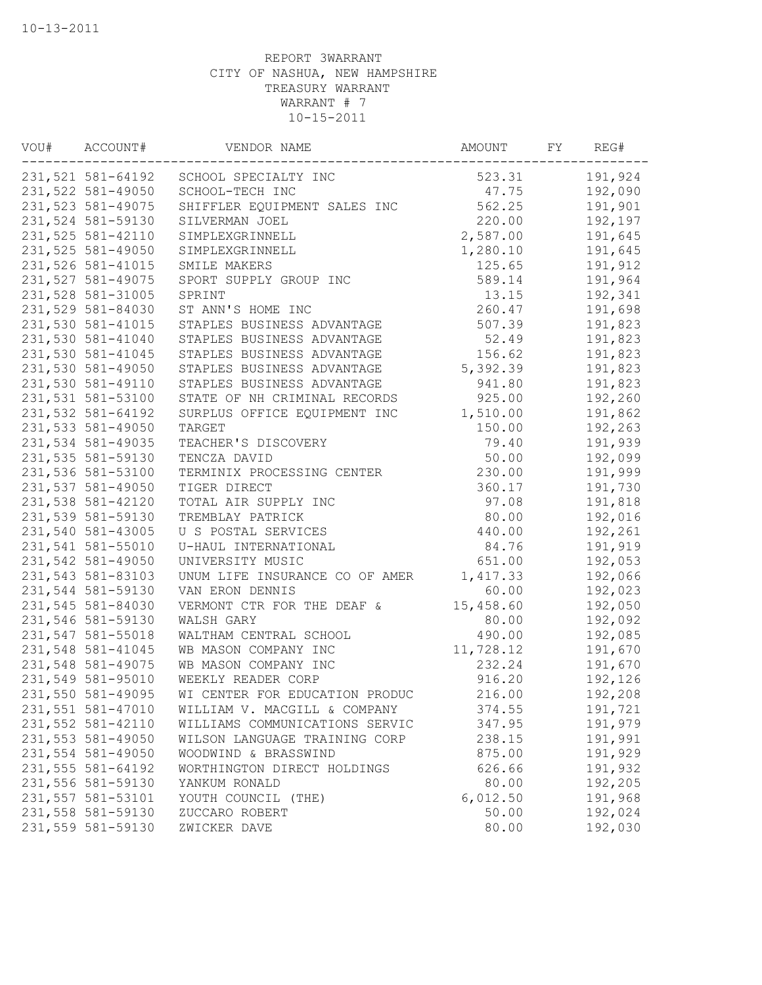| VOU# | ACCOUNT#          | VENDOR NAME                    | AMOUNT    | FY | REG#    |
|------|-------------------|--------------------------------|-----------|----|---------|
|      | 231,521 581-64192 | SCHOOL SPECIALTY INC           | 523.31    |    | 191,924 |
|      | 231,522 581-49050 | SCHOOL-TECH INC                | 47.75     |    | 192,090 |
|      | 231,523 581-49075 | SHIFFLER EQUIPMENT SALES INC   | 562.25    |    | 191,901 |
|      | 231,524 581-59130 | SILVERMAN JOEL                 | 220.00    |    | 192,197 |
|      | 231,525 581-42110 | SIMPLEXGRINNELL                | 2,587.00  |    | 191,645 |
|      | 231,525 581-49050 | SIMPLEXGRINNELL                | 1,280.10  |    | 191,645 |
|      | 231,526 581-41015 | SMILE MAKERS                   | 125.65    |    | 191,912 |
|      | 231,527 581-49075 | SPORT SUPPLY GROUP INC         | 589.14    |    | 191,964 |
|      | 231,528 581-31005 | SPRINT                         | 13.15     |    | 192,341 |
|      | 231,529 581-84030 | ST ANN'S HOME INC              | 260.47    |    | 191,698 |
|      | 231,530 581-41015 | STAPLES BUSINESS ADVANTAGE     | 507.39    |    | 191,823 |
|      | 231,530 581-41040 | STAPLES BUSINESS ADVANTAGE     | 52.49     |    | 191,823 |
|      | 231,530 581-41045 | STAPLES BUSINESS ADVANTAGE     | 156.62    |    | 191,823 |
|      | 231,530 581-49050 | STAPLES BUSINESS ADVANTAGE     | 5,392.39  |    | 191,823 |
|      | 231,530 581-49110 | STAPLES BUSINESS ADVANTAGE     | 941.80    |    | 191,823 |
|      | 231,531 581-53100 | STATE OF NH CRIMINAL RECORDS   | 925.00    |    | 192,260 |
|      | 231,532 581-64192 | SURPLUS OFFICE EQUIPMENT INC   | 1,510.00  |    | 191,862 |
|      | 231,533 581-49050 | TARGET                         | 150.00    |    | 192,263 |
|      | 231,534 581-49035 | TEACHER'S DISCOVERY            | 79.40     |    | 191,939 |
|      | 231,535 581-59130 | TENCZA DAVID                   | 50.00     |    | 192,099 |
|      | 231,536 581-53100 | TERMINIX PROCESSING CENTER     | 230.00    |    | 191,999 |
|      | 231,537 581-49050 | TIGER DIRECT                   | 360.17    |    | 191,730 |
|      | 231,538 581-42120 | TOTAL AIR SUPPLY INC           | 97.08     |    | 191,818 |
|      | 231,539 581-59130 | TREMBLAY PATRICK               | 80.00     |    | 192,016 |
|      | 231,540 581-43005 | U S POSTAL SERVICES            | 440.00    |    | 192,261 |
|      | 231,541 581-55010 | U-HAUL INTERNATIONAL           | 84.76     |    | 191,919 |
|      | 231,542 581-49050 | UNIVERSITY MUSIC               | 651.00    |    | 192,053 |
|      | 231,543 581-83103 | UNUM LIFE INSURANCE CO OF AMER | 1,417.33  |    | 192,066 |
|      | 231,544 581-59130 | VAN ERON DENNIS                | 60.00     |    | 192,023 |
|      | 231,545 581-84030 | VERMONT CTR FOR THE DEAF &     | 15,458.60 |    | 192,050 |
|      | 231,546 581-59130 | WALSH GARY                     | 80.00     |    | 192,092 |
|      | 231,547 581-55018 | WALTHAM CENTRAL SCHOOL         | 490.00    |    | 192,085 |
|      | 231,548 581-41045 | WB MASON COMPANY INC           | 11,728.12 |    | 191,670 |
|      | 231,548 581-49075 | WB MASON COMPANY INC           | 232.24    |    | 191,670 |
|      | 231,549 581-95010 | WEEKLY READER CORP             | 916.20    |    | 192,126 |
|      | 231,550 581-49095 | WI CENTER FOR EDUCATION PRODUC | 216.00    |    | 192,208 |
|      | 231,551 581-47010 | WILLIAM V. MACGILL & COMPANY   | 374.55    |    | 191,721 |
|      | 231,552 581-42110 | WILLIAMS COMMUNICATIONS SERVIC | 347.95    |    | 191,979 |
|      | 231,553 581-49050 | WILSON LANGUAGE TRAINING CORP  | 238.15    |    | 191,991 |
|      | 231,554 581-49050 | WOODWIND & BRASSWIND           | 875.00    |    | 191,929 |
|      | 231,555 581-64192 | WORTHINGTON DIRECT HOLDINGS    | 626.66    |    | 191,932 |
|      | 231,556 581-59130 | YANKUM RONALD                  | 80.00     |    | 192,205 |
|      | 231,557 581-53101 | YOUTH COUNCIL (THE)            | 6,012.50  |    | 191,968 |
|      | 231,558 581-59130 | ZUCCARO ROBERT                 | 50.00     |    | 192,024 |
|      | 231,559 581-59130 | ZWICKER DAVE                   | 80.00     |    | 192,030 |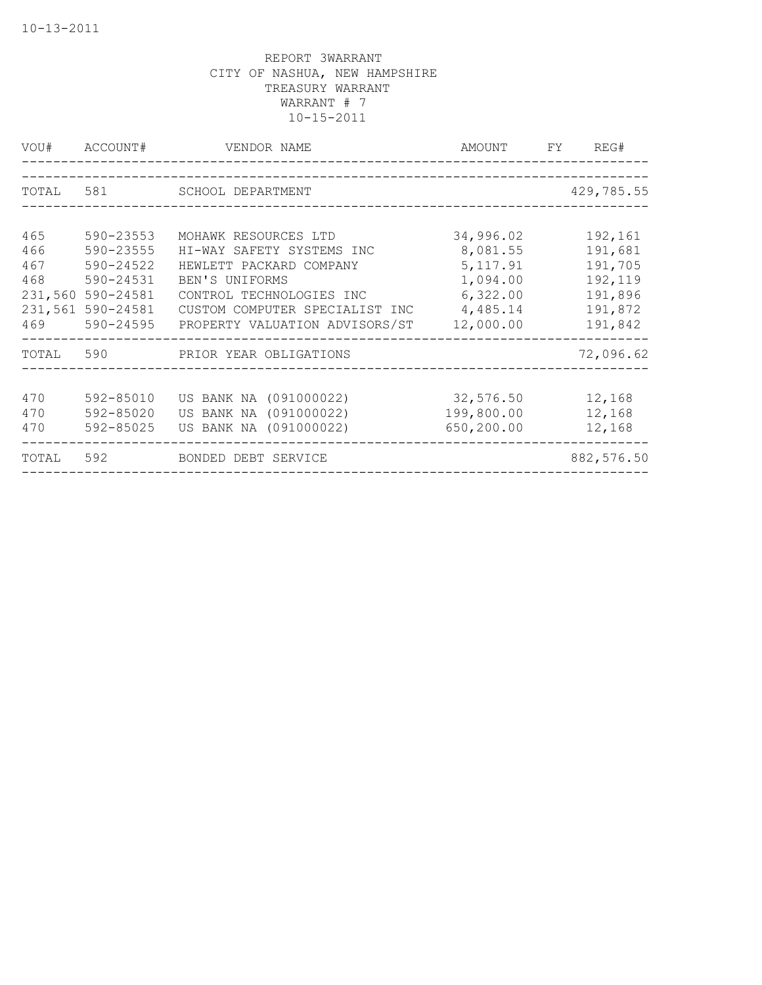| VOU#    | ACCOUNT#  | VENDOR NAME                    | AMOUNT     | FY. | REG#        |
|---------|-----------|--------------------------------|------------|-----|-------------|
|         |           |                                |            |     |             |
| TOTAL   | 581       | SCHOOL DEPARTMENT              |            |     | 429,785.55  |
|         |           |                                |            |     |             |
| 465     | 590-23553 | MOHAWK RESOURCES LTD           | 34,996.02  |     | 192,161     |
| 466     | 590-23555 | HI-WAY SAFETY SYSTEMS INC      | 8,081.55   |     | 191,681     |
| 467     | 590-24522 | HEWLETT PACKARD COMPANY        | 5, 117.91  |     | 191,705     |
| 468     | 590-24531 | BEN'S UNIFORMS                 | 1,094.00   |     | 192,119     |
| 231,560 | 590-24581 | CONTROL TECHNOLOGIES INC       | 6,322.00   |     | 191,896     |
| 231,561 | 590-24581 | CUSTOM COMPUTER SPECIALIST INC | 4,485.14   |     | 191,872     |
| 469     | 590-24595 | PROPERTY VALUATION ADVISORS/ST | 12,000.00  |     | 191,842     |
| TOTAL   | 590       | PRIOR YEAR OBLIGATIONS         |            |     | 72,096.62   |
| 470     | 592-85010 | US BANK NA (091000022)         | 32,576.50  |     | 12,168      |
| 470     | 592-85020 | US BANK NA (091000022)         | 199,800.00 |     | 12,168      |
| 470     | 592-85025 | US BANK NA (091000022)         | 650,200.00 |     | 12,168      |
| TOTAL   | 592       | BONDED DEBT SERVICE            |            |     | 882, 576.50 |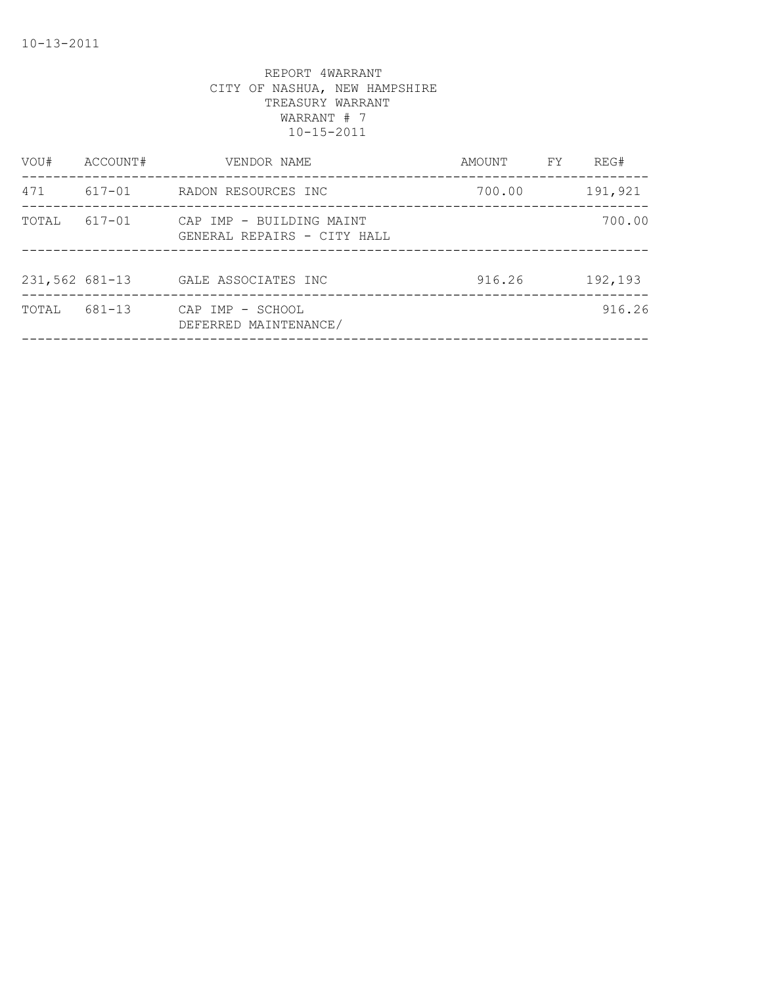| VOU#           | ACCOUNT# | VENDOR NAME                                             | AMOUNT | FY | REG#    |
|----------------|----------|---------------------------------------------------------|--------|----|---------|
| 471            | 617-01   | RADON RESOURCES INC                                     | 700.00 |    | 191,921 |
| TOTAL          | 617-01   | CAP IMP - BUILDING MAINT<br>GENERAL REPAIRS - CITY HALL |        |    | 700.00  |
| 231,562 681-13 |          | GALE ASSOCIATES INC                                     | 916.26 |    | 192,193 |
| TOTAL          | 681-13   | CAP IMP - SCHOOL<br>DEFERRED MAINTENANCE/               |        |    | 916.26  |
|                |          |                                                         |        |    |         |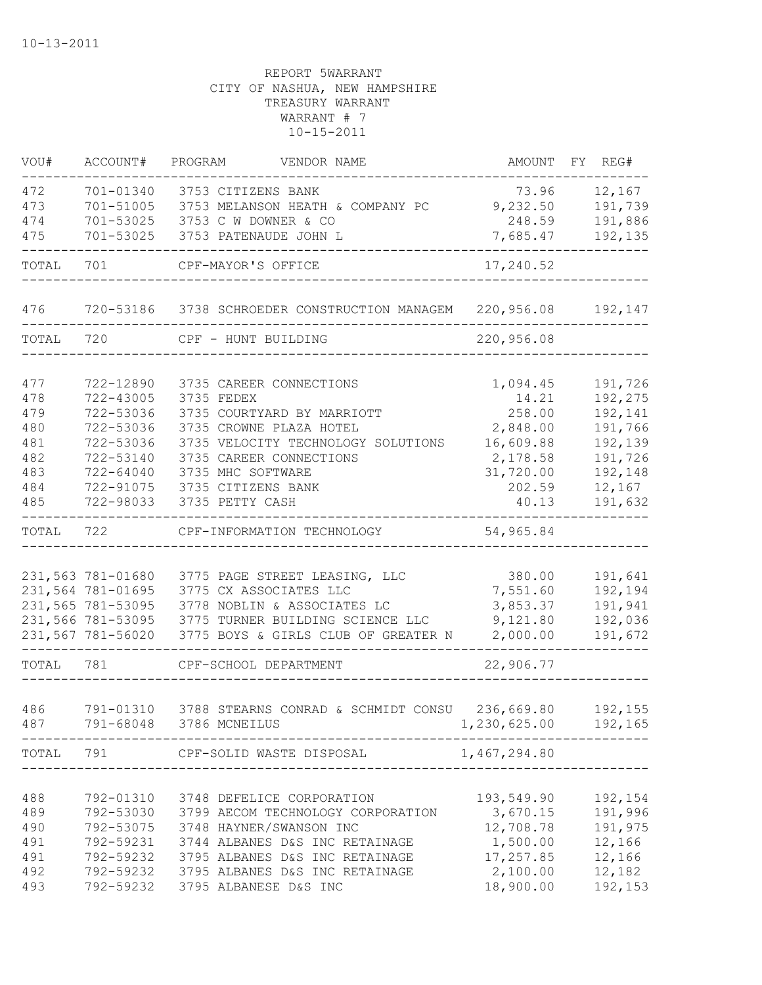| VOU#              | ACCOUNT#                                | PROGRAM<br>VENDOR NAME                                                         | AMOUNT                             | FY REG#                      |
|-------------------|-----------------------------------------|--------------------------------------------------------------------------------|------------------------------------|------------------------------|
| 472<br>473<br>474 | 701-01340<br>701-51005<br>$701 - 53025$ | 3753 CITIZENS BANK<br>3753 MELANSON HEATH & COMPANY PC<br>3753 C W DOWNER & CO | 73.96<br>9,232.50<br>248.59        | 12,167<br>191,739<br>191,886 |
| 475               | 701-53025                               | 3753 PATENAUDE JOHN L                                                          | 7,685.47                           | 192,135                      |
| TOTAL             | 701                                     | CPF-MAYOR'S OFFICE                                                             | 17,240.52                          |                              |
| 476               |                                         | 720-53186 3738 SCHROEDER CONSTRUCTION MANAGEM                                  | 220,956.08                         | 192,147                      |
| TOTAL             | 720                                     | CPF - HUNT BUILDING                                                            | 220,956.08                         |                              |
| 477               | 722-12890                               | 3735 CAREER CONNECTIONS                                                        | 1,094.45                           | 191,726                      |
| 478<br>479        | 722-43005<br>722-53036                  | 3735 FEDEX<br>3735 COURTYARD BY MARRIOTT                                       | 14.21<br>258.00                    | 192,275<br>192,141           |
| 480               | 722-53036                               | 3735 CROWNE PLAZA HOTEL                                                        | 2,848.00                           | 191,766                      |
| 481               | 722-53036                               | 3735 VELOCITY TECHNOLOGY SOLUTIONS                                             | 16,609.88                          | 192,139                      |
| 482               | 722-53140                               | 3735 CAREER CONNECTIONS                                                        | 2,178.58                           | 191,726                      |
| 483               | 722-64040                               | 3735 MHC SOFTWARE                                                              | 31,720.00                          | 192,148                      |
| 484<br>485        | 722-91075<br>722-98033                  | 3735 CITIZENS BANK<br>3735 PETTY CASH                                          | 202.59<br>40.13                    | 12,167<br>191,632            |
| TOTAL             | 722                                     | CPF-INFORMATION TECHNOLOGY                                                     | 54,965.84                          |                              |
|                   |                                         |                                                                                |                                    |                              |
|                   | 231,563 781-01680                       | 3775 PAGE STREET LEASING, LLC                                                  | 380.00                             | 191,641                      |
|                   | 231,564 781-01695                       | 3775 CX ASSOCIATES LLC                                                         | 7,551.60                           | 192,194                      |
|                   | 231,565 781-53095                       | 3778 NOBLIN & ASSOCIATES LC                                                    | 3,853.37                           | 191,941                      |
|                   | 231,566 781-53095                       | 3775 TURNER BUILDING SCIENCE LLC                                               | 9,121.80                           | 192,036                      |
|                   | 231,567 781-56020                       | 3775 BOYS & GIRLS CLUB OF GREATER N                                            | 2,000.00                           | 191,672                      |
| TOTAL             | 781                                     | CPF-SCHOOL DEPARTMENT                                                          | 22,906.77                          |                              |
|                   |                                         |                                                                                |                                    |                              |
| 486<br>487        | 791-01310                               | 3788 STEARNS CONRAD & SCHMIDT CONSU<br>791-68048 3786 MCNEILUS                 | 236,669.80<br>1,230,625.00 192,165 | 192,155                      |
| TOTAL             | 791                                     | CPF-SOLID WASTE DISPOSAL                                                       | 1,467,294.80                       |                              |
|                   |                                         |                                                                                |                                    |                              |
| 488               | 792-01310                               | 3748 DEFELICE CORPORATION                                                      | 193,549.90                         | 192,154                      |
| 489<br>490        | 792-53030<br>792-53075                  | 3799 AECOM TECHNOLOGY CORPORATION<br>3748 HAYNER/SWANSON INC                   | 3,670.15<br>12,708.78              | 191,996<br>191,975           |
| 491               | 792-59231                               | 3744 ALBANES D&S INC RETAINAGE                                                 | 1,500.00                           | 12,166                       |
| 491               | 792-59232                               | 3795 ALBANES D&S INC RETAINAGE                                                 | 17,257.85                          | 12,166                       |
| 492               | 792-59232                               | 3795 ALBANES D&S INC RETAINAGE                                                 | 2,100.00                           | 12,182                       |
| 493               | 792-59232                               | 3795 ALBANESE D&S INC                                                          | 18,900.00                          | 192,153                      |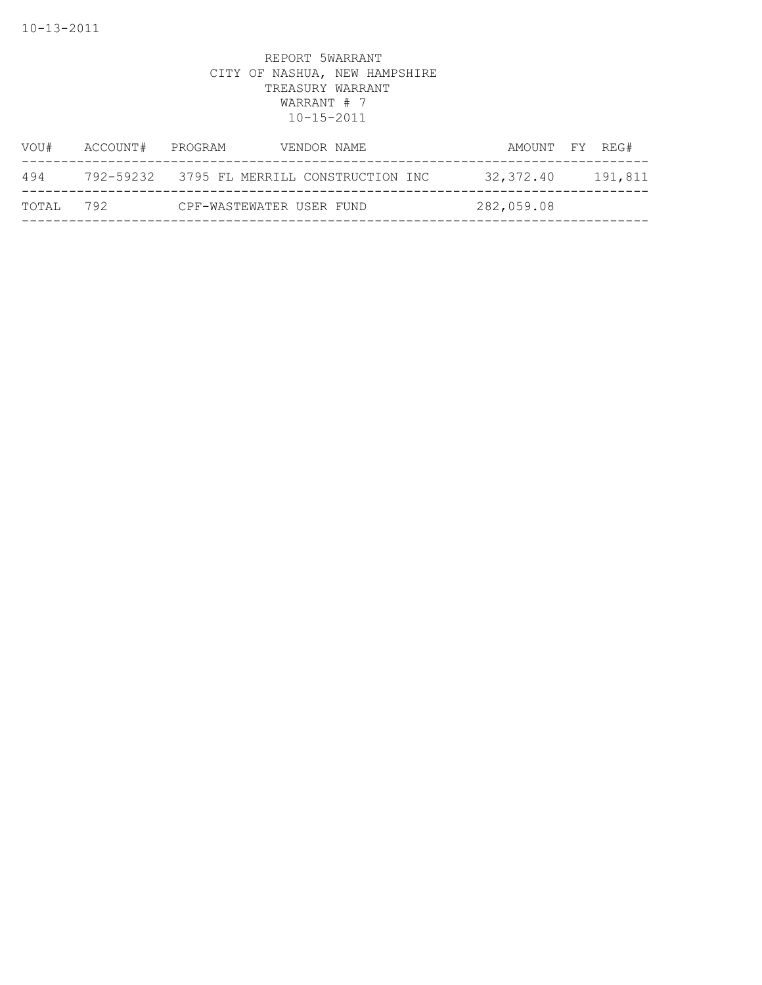| VOU#  | ACCOUNT# | PROGRAM                  | VENDOR NAME                                | AMOUNT FY REG# |         |
|-------|----------|--------------------------|--------------------------------------------|----------------|---------|
| 494   |          |                          | 792-59232 3795 FL MERRILL CONSTRUCTION INC | 32,372.40      | 191,811 |
| TOTAL | 792      | CPF-WASTEWATER USER FUND |                                            | 282,059.08     |         |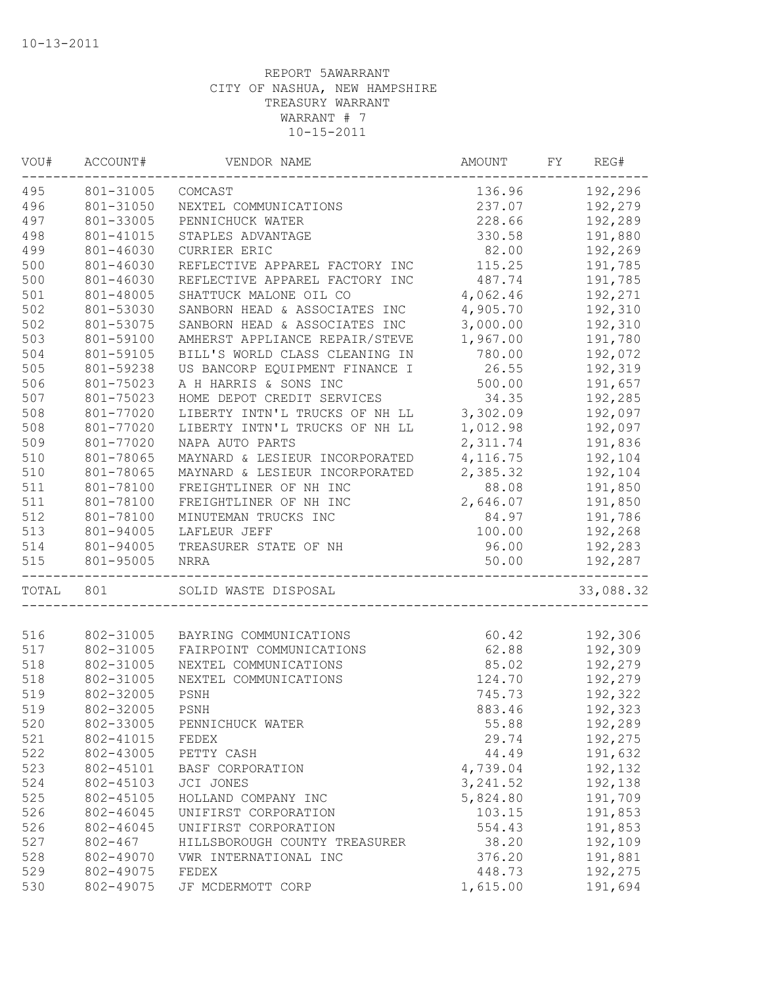| VOU#  | ACCOUNT#    | VENDOR NAME                    | AMOUNT    | FY | REG#      |
|-------|-------------|--------------------------------|-----------|----|-----------|
| 495   | 801-31005   | COMCAST                        | 136.96    |    | 192,296   |
| 496   | 801-31050   | NEXTEL COMMUNICATIONS          | 237.07    |    | 192,279   |
| 497   | 801-33005   | PENNICHUCK WATER               | 228.66    |    | 192,289   |
| 498   | 801-41015   | STAPLES ADVANTAGE              | 330.58    |    | 191,880   |
| 499   | 801-46030   | CURRIER ERIC                   | 82.00     |    | 192,269   |
| 500   | 801-46030   | REFLECTIVE APPAREL FACTORY INC | 115.25    |    | 191,785   |
| 500   | 801-46030   | REFLECTIVE APPAREL FACTORY INC | 487.74    |    | 191,785   |
| 501   | 801-48005   | SHATTUCK MALONE OIL CO         | 4,062.46  |    | 192,271   |
| 502   | 801-53030   | SANBORN HEAD & ASSOCIATES INC  | 4,905.70  |    | 192,310   |
| 502   | 801-53075   | SANBORN HEAD & ASSOCIATES INC  | 3,000.00  |    | 192,310   |
| 503   | 801-59100   | AMHERST APPLIANCE REPAIR/STEVE | 1,967.00  |    | 191,780   |
| 504   | 801-59105   | BILL'S WORLD CLASS CLEANING IN | 780.00    |    | 192,072   |
| 505   | 801-59238   | US BANCORP EQUIPMENT FINANCE I | 26.55     |    | 192,319   |
| 506   | 801-75023   | A H HARRIS & SONS INC          | 500.00    |    | 191,657   |
| 507   | 801-75023   | HOME DEPOT CREDIT SERVICES     | 34.35     |    | 192,285   |
| 508   | 801-77020   | LIBERTY INTN'L TRUCKS OF NH LL | 3,302.09  |    | 192,097   |
| 508   | 801-77020   | LIBERTY INTN'L TRUCKS OF NH LL | 1,012.98  |    | 192,097   |
| 509   | 801-77020   | NAPA AUTO PARTS                | 2,311.74  |    | 191,836   |
| 510   | 801-78065   | MAYNARD & LESIEUR INCORPORATED | 4,116.75  |    | 192,104   |
| 510   | 801-78065   | MAYNARD & LESIEUR INCORPORATED | 2,385.32  |    | 192,104   |
| 511   | 801-78100   | FREIGHTLINER OF NH INC         | 88.08     |    | 191,850   |
| 511   | 801-78100   | FREIGHTLINER OF NH INC         | 2,646.07  |    | 191,850   |
| 512   | 801-78100   | MINUTEMAN TRUCKS INC           | 84.97     |    | 191,786   |
| 513   | 801-94005   | LAFLEUR JEFF                   | 100.00    |    | 192,268   |
| 514   | 801-94005   | TREASURER STATE OF NH          | 96.00     |    | 192,283   |
| 515   | 801-95005   | NRRA                           | 50.00     |    | 192,287   |
| TOTAL | 801         | SOLID WASTE DISPOSAL           |           |    | 33,088.32 |
|       |             |                                |           |    |           |
| 516   | 802-31005   | BAYRING COMMUNICATIONS         | 60.42     |    | 192,306   |
| 517   | 802-31005   | FAIRPOINT COMMUNICATIONS       | 62.88     |    | 192,309   |
| 518   | 802-31005   | NEXTEL COMMUNICATIONS          | 85.02     |    | 192,279   |
| 518   | 802-31005   | NEXTEL COMMUNICATIONS          | 124.70    |    | 192,279   |
| 519   | 802-32005   | PSNH                           | 745.73    |    | 192,322   |
| 519   | 802-32005   | PSNH                           | 883.46    |    | 192,323   |
| 520   | 802-33005   | PENNICHUCK WATER               | 55.88     |    | 192,289   |
| 521   | 802-41015   | FEDEX                          | 29.74     |    | 192,275   |
| 522   | 802-43005   | PETTY CASH                     | 44.49     |    | 191,632   |
| 523   | 802-45101   | BASF CORPORATION               | 4,739.04  |    | 192,132   |
| 524   | 802-45103   | JCI JONES                      | 3, 241.52 |    | 192,138   |
| 525   | 802-45105   | HOLLAND COMPANY INC            | 5,824.80  |    | 191,709   |
| 526   | 802-46045   | UNIFIRST CORPORATION           | 103.15    |    | 191,853   |
| 526   | 802-46045   | UNIFIRST CORPORATION           | 554.43    |    | 191,853   |
| 527   | $802 - 467$ | HILLSBOROUGH COUNTY TREASURER  | 38.20     |    | 192,109   |
| 528   | 802-49070   | VWR INTERNATIONAL INC          | 376.20    |    | 191,881   |
| 529   | 802-49075   | FEDEX                          | 448.73    |    | 192,275   |
| 530   | 802-49075   | JF MCDERMOTT CORP              | 1,615.00  |    | 191,694   |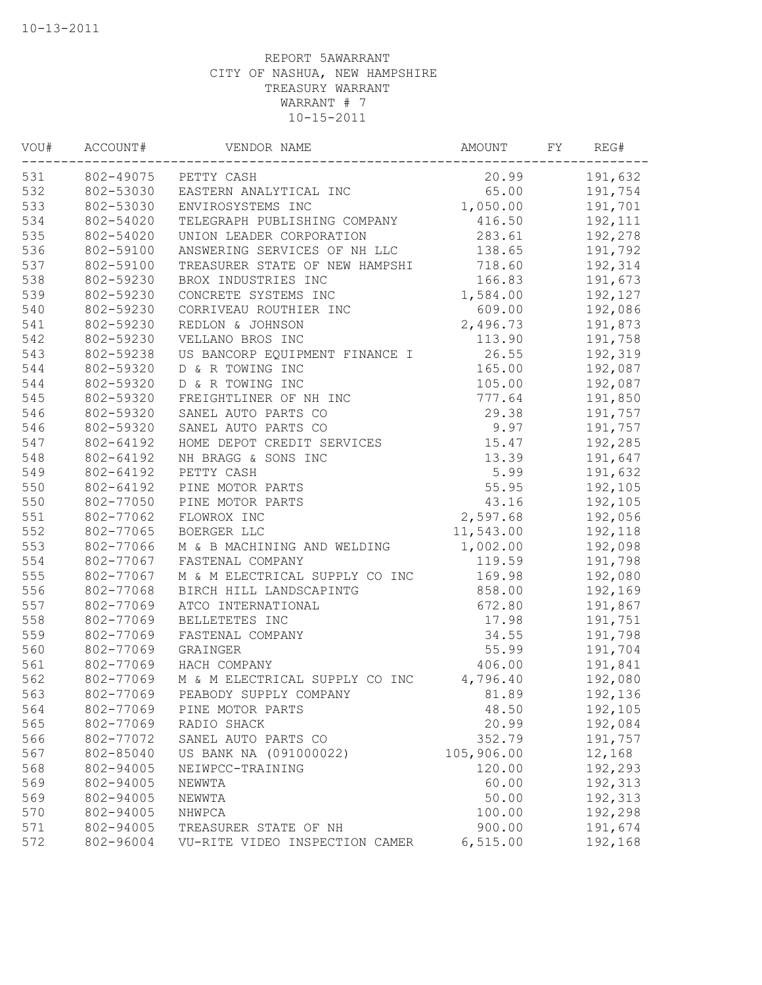| VOU# | ACCOUNT#               | VENDOR NAME                     | AMOUNT         | FY | REG#               |
|------|------------------------|---------------------------------|----------------|----|--------------------|
| 531  |                        | 802-49075 PETTY CASH            | 20.99          |    | 191,632            |
| 532  | 802-53030              | EASTERN ANALYTICAL INC          | 65.00          |    | 191,754            |
| 533  | 802-53030              | ENVIROSYSTEMS INC               | 1,050.00       |    | 191,701            |
| 534  | 802-54020              | TELEGRAPH PUBLISHING COMPANY    | 416.50         |    | 192,111            |
| 535  | 802-54020              | UNION LEADER CORPORATION        | 283.61         |    | 192,278            |
| 536  | 802-59100              | ANSWERING SERVICES OF NH LLC    | 138.65         |    | 191,792            |
| 537  | 802-59100              | TREASURER STATE OF NEW HAMPSHI  | 718.60         |    | 192,314            |
| 538  | 802-59230              | BROX INDUSTRIES INC             | 166.83         |    | 191,673            |
| 539  | 802-59230              | CONCRETE SYSTEMS INC            | 1,584.00       |    | 192,127            |
| 540  | 802-59230              | CORRIVEAU ROUTHIER INC          | 609.00         |    | 192,086            |
| 541  | 802-59230              | REDLON & JOHNSON                | 2,496.73       |    | 191,873            |
| 542  | 802-59230              | VELLANO BROS INC                | 113.90         |    | 191,758            |
| 543  | 802-59238              | US BANCORP EQUIPMENT FINANCE I  | 26.55          |    | 192,319            |
| 544  | 802-59320              | D & R TOWING INC                | 165.00         |    | 192,087            |
| 544  | 802-59320              | D & R TOWING INC                | 105.00         |    | 192,087            |
| 545  | 802-59320              | FREIGHTLINER OF NH INC          | 777.64         |    | 191,850            |
| 546  | 802-59320              | SANEL AUTO PARTS CO             | 29.38          |    | 191,757            |
| 546  | 802-59320              | SANEL AUTO PARTS CO             | 9.97           |    | 191,757            |
| 547  | 802-64192              | HOME DEPOT CREDIT SERVICES      | 15.47          |    | 192,285            |
| 548  | 802-64192              | NH BRAGG & SONS INC             | 13.39          |    | 191,647            |
| 549  | 802-64192              | PETTY CASH                      | 5.99           |    | 191,632            |
| 550  | 802-64192              | PINE MOTOR PARTS                | 55.95          |    | 192,105            |
| 550  | 802-77050              | PINE MOTOR PARTS                | 43.16          |    | 192,105            |
| 551  | 802-77062              | FLOWROX INC                     | 2,597.68       |    | 192,056            |
| 552  | 802-77065              | BOERGER LLC                     | 11,543.00      |    | 192,118            |
| 553  | 802-77066              | M & B MACHINING AND WELDING     | 1,002.00       |    | 192,098            |
| 554  | 802-77067              | FASTENAL COMPANY                | 119.59         |    | 191,798            |
| 555  | 802-77067              | M & M ELECTRICAL SUPPLY CO INC  | 169.98         |    | 192,080            |
| 556  | 802-77068              | BIRCH HILL LANDSCAPINTG         | 858.00         |    | 192,169            |
| 557  | 802-77069              | ATCO INTERNATIONAL              | 672.80         |    | 191,867            |
| 558  | 802-77069              | BELLETETES INC                  | 17.98          |    | 191,751            |
| 559  | 802-77069              | FASTENAL COMPANY                | 34.55          |    | 191,798            |
| 560  | 802-77069              | GRAINGER                        | 55.99          |    | 191,704            |
| 561  | 802-77069              | HACH COMPANY                    | 406.00         |    | 191,841            |
| 562  | 802-77069              | M & M ELECTRICAL SUPPLY CO INC  | 4,796.40       |    | 192,080            |
| 563  | 802-77069              |                                 |                |    | 192,136            |
| 564  | 802-77069              | PEABODY SUPPLY COMPANY          | 81.89          |    |                    |
| 565  | 802-77069              | PINE MOTOR PARTS<br>RADIO SHACK | 48.50<br>20.99 |    | 192,105<br>192,084 |
| 566  |                        |                                 |                |    |                    |
| 567  | 802-77072<br>802-85040 | SANEL AUTO PARTS CO             | 352.79         |    | 191,757            |
|      |                        | US BANK NA (091000022)          | 105,906.00     |    | 12,168             |
| 568  | 802-94005              | NEIWPCC-TRAINING                | 120.00         |    | 192,293            |
| 569  | 802-94005              | NEWWTA                          | 60.00          |    | 192,313            |
| 569  | 802-94005              | NEWWTA                          | 50.00          |    | 192,313            |
| 570  | 802-94005              | NHWPCA                          | 100.00         |    | 192,298            |
| 571  | 802-94005              | TREASURER STATE OF NH           | 900.00         |    | 191,674            |
| 572  | 802-96004              | VU-RITE VIDEO INSPECTION CAMER  | 6, 515.00      |    | 192,168            |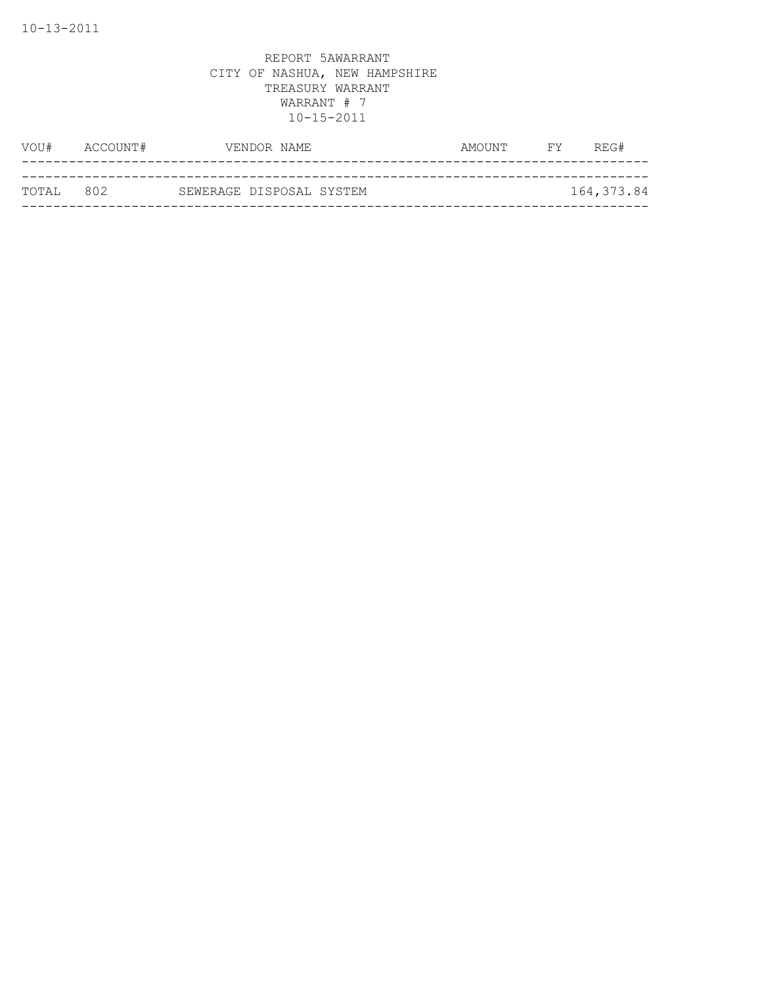| VOU#   | ACCOUNT# | VENDOR NAME              | AMOUNT | FY. | REG#       |
|--------|----------|--------------------------|--------|-----|------------|
|        |          |                          |        |     |            |
| TOTAI, | 802      | SEWERAGE DISPOSAL SYSTEM |        |     | 164,373.84 |
|        |          |                          |        |     |            |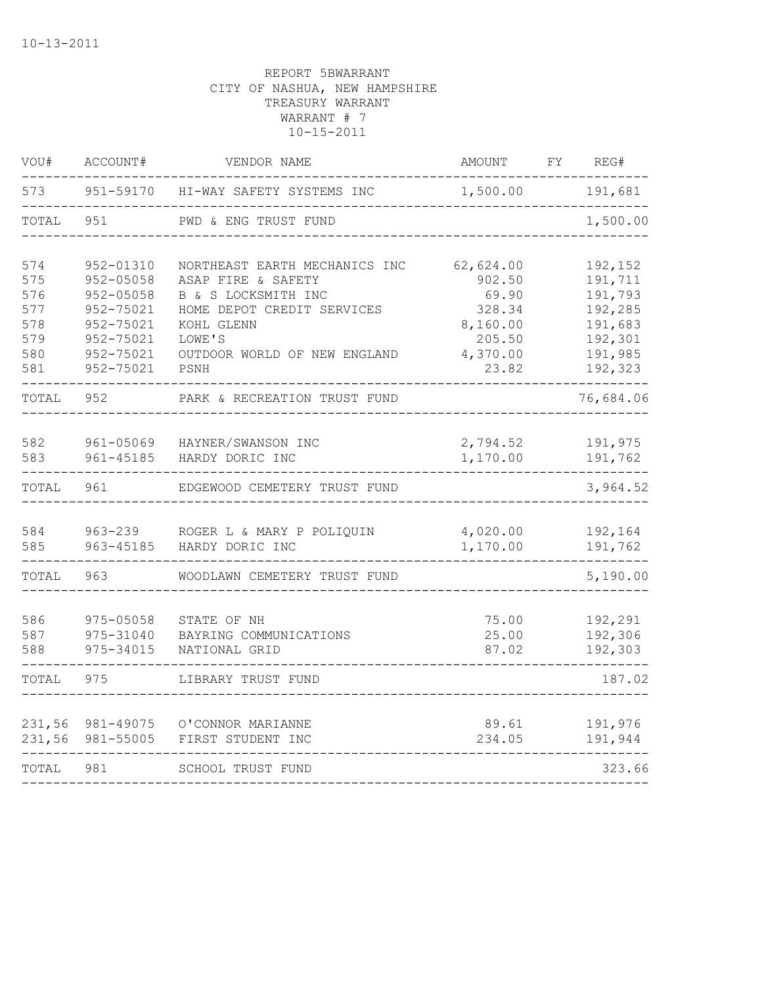| VOU#       | ACCOUNT#             | VENDOR NAME                                  | AMOUNT               | FY | REG#               |
|------------|----------------------|----------------------------------------------|----------------------|----|--------------------|
| 573        | 951-59170            | HI-WAY SAFETY SYSTEMS INC                    | 1,500.00             |    | 191,681            |
| TOTAL      | 951                  | PWD & ENG TRUST FUND                         |                      |    | 1,500.00           |
| 574        | 952-01310            | NORTHEAST EARTH MECHANICS INC                | 62,624.00            |    | 192,152            |
| 575        | 952-05058            | ASAP FIRE & SAFETY                           | 902.50               |    | 191,711            |
| 576        | 952-05058            | B & S LOCKSMITH INC                          | 69.90                |    | 191,793            |
| 577        | 952-75021            | HOME DEPOT CREDIT SERVICES                   | 328.34               |    | 192,285            |
| 578        | 952-75021            | KOHL GLENN                                   | 8,160.00             |    | 191,683            |
| 579        | 952-75021            | LOWE'S                                       | 205.50               |    | 192,301            |
| 580        | 952-75021            | OUTDOOR WORLD OF NEW ENGLAND                 | 4,370.00             |    | 191,985            |
| 581        | 952-75021            | PSNH                                         | 23.82                |    | 192,323            |
| TOTAL      | 952                  | PARK & RECREATION TRUST FUND                 |                      |    | 76,684.06          |
| 582        | 961-05069            | HAYNER/SWANSON INC                           | 2,794.52             |    | 191,975            |
| 583        | 961-45185            | HARDY DORIC INC                              | 1,170.00             |    | 191,762            |
| TOTAL      | 961                  | EDGEWOOD CEMETERY TRUST FUND                 |                      |    | 3,964.52           |
|            |                      |                                              |                      |    |                    |
| 584<br>585 | 963-239<br>963-45185 | ROGER L & MARY P POLIQUIN<br>HARDY DORIC INC | 4,020.00<br>1,170.00 |    | 192,164<br>191,762 |
| TOTAL      | 963                  | WOODLAWN CEMETERY TRUST FUND                 |                      |    | 5,190.00           |
| 586        | 975-05058            |                                              | 75.00                |    | 192,291            |
| 587        | 975-31040            | STATE OF NH<br>BAYRING COMMUNICATIONS        | 25.00                |    | 192,306            |
| 588        | 975-34015            | NATIONAL GRID                                | 87.02                |    | 192,303            |
| TOTAL      | 975                  | LIBRARY TRUST FUND                           |                      |    | 187.02             |
|            |                      |                                              |                      |    |                    |
| 231,56     | 981-49075            | O'CONNOR MARIANNE                            | 89.61                |    | 191,976            |
| 231,56     | 981-55005            | FIRST STUDENT INC                            | 234.05               |    | 191,944            |
| TOTAL      | 981                  | SCHOOL TRUST FUND                            |                      |    | 323.66             |
|            |                      |                                              |                      |    |                    |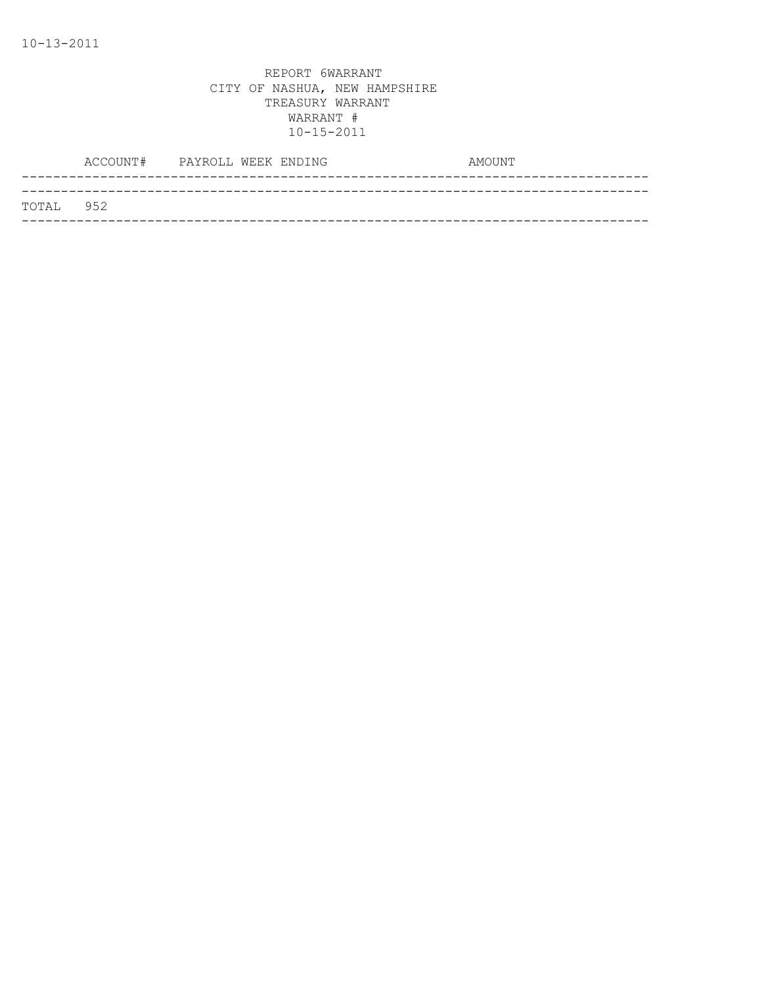|           | ACCOUNT# | PAYROLL WEEK ENDING | AMOUNT |
|-----------|----------|---------------------|--------|
|           |          |                     |        |
| TOTAL 952 |          |                     |        |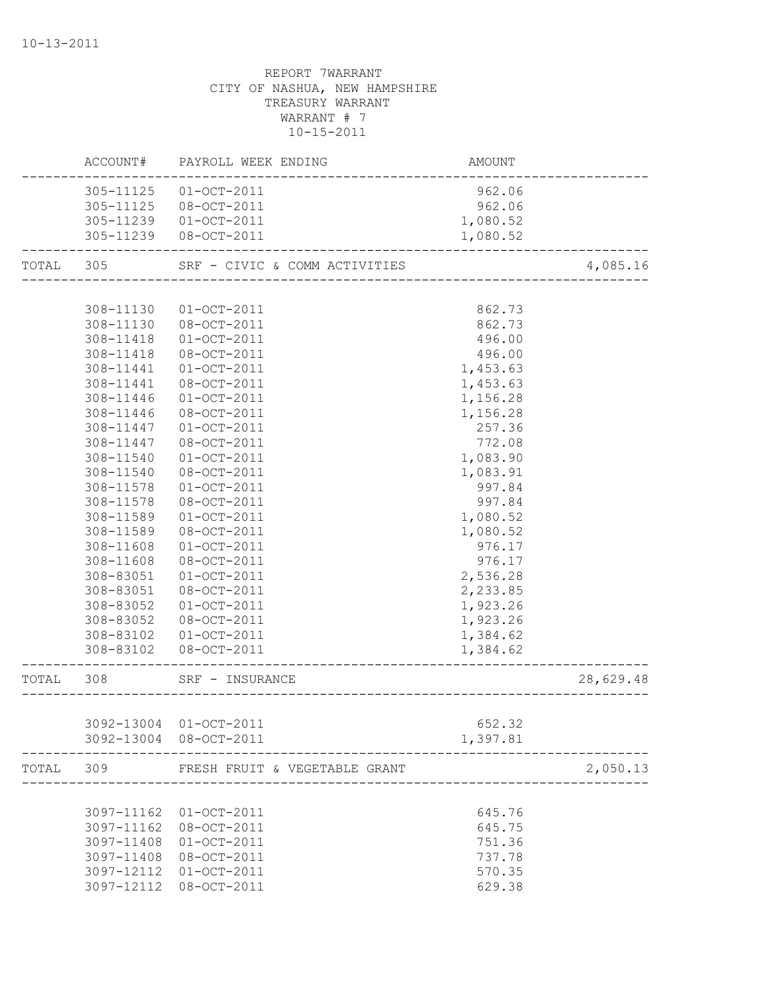|           | ACCOUNT#   | PAYROLL WEEK ENDING           | AMOUNT   |           |
|-----------|------------|-------------------------------|----------|-----------|
|           | 305-11125  | $01 - OCT - 2011$             | 962.06   |           |
|           | 305-11125  | 08-OCT-2011                   | 962.06   |           |
|           | 305-11239  | $01 - OCT - 2011$             | 1,080.52 |           |
|           |            | 305-11239 08-OCT-2011         | 1,080.52 |           |
| TOTAL 305 |            | SRF - CIVIC & COMM ACTIVITIES |          | 4,085.16  |
|           |            |                               |          |           |
|           | 308-11130  | $01 - OCT - 2011$             | 862.73   |           |
|           | 308-11130  | 08-OCT-2011                   | 862.73   |           |
|           | 308-11418  | $01 - OCT - 2011$             | 496.00   |           |
|           | 308-11418  | 08-OCT-2011                   | 496.00   |           |
|           | 308-11441  | $01 - OCT - 2011$             | 1,453.63 |           |
|           | 308-11441  | 08-OCT-2011                   | 1,453.63 |           |
|           | 308-11446  | $01 - OCT - 2011$             | 1,156.28 |           |
|           | 308-11446  | 08-OCT-2011                   | 1,156.28 |           |
|           | 308-11447  | $01 - OCT - 2011$             | 257.36   |           |
|           | 308-11447  | 08-OCT-2011                   | 772.08   |           |
|           | 308-11540  | $01-OCT-2011$                 | 1,083.90 |           |
|           | 308-11540  | 08-OCT-2011                   | 1,083.91 |           |
|           | 308-11578  | $01 - OCT - 2011$             | 997.84   |           |
|           | 308-11578  | 08-OCT-2011                   | 997.84   |           |
|           | 308-11589  | $01 - OCT - 2011$             | 1,080.52 |           |
|           | 308-11589  | 08-OCT-2011                   | 1,080.52 |           |
|           | 308-11608  | $01 - OCT - 2011$             | 976.17   |           |
|           | 308-11608  | 08-OCT-2011                   | 976.17   |           |
|           | 308-83051  | $01 - OCT - 2011$             | 2,536.28 |           |
|           | 308-83051  | 08-OCT-2011                   | 2,233.85 |           |
|           | 308-83052  | $01 - OCT - 2011$             | 1,923.26 |           |
|           | 308-83052  | 08-OCT-2011                   | 1,923.26 |           |
|           | 308-83102  | $01 - OCT - 2011$             | 1,384.62 |           |
|           | 308-83102  | 08-OCT-2011                   | 1,384.62 |           |
| TOTAL     | 308        | SRF - INSURANCE               |          | 28,629.48 |
|           |            |                               |          |           |
|           |            | 3092-13004 01-OCT-2011        | 652.32   |           |
|           |            | 3092-13004 08-OCT-2011        | 1,397.81 |           |
| TOTAL     | 309        | FRESH FRUIT & VEGETABLE GRANT |          | 2,050.13  |
|           |            |                               |          |           |
|           | 3097-11162 | $01 - OCT - 2011$             | 645.76   |           |
|           | 3097-11162 | 08-OCT-2011                   | 645.75   |           |
|           | 3097-11408 | $01 - OCT - 2011$             | 751.36   |           |
|           | 3097-11408 | 08-OCT-2011                   | 737.78   |           |
|           | 3097-12112 | $01-OCT-2011$                 | 570.35   |           |
|           | 3097-12112 | 08-OCT-2011                   | 629.38   |           |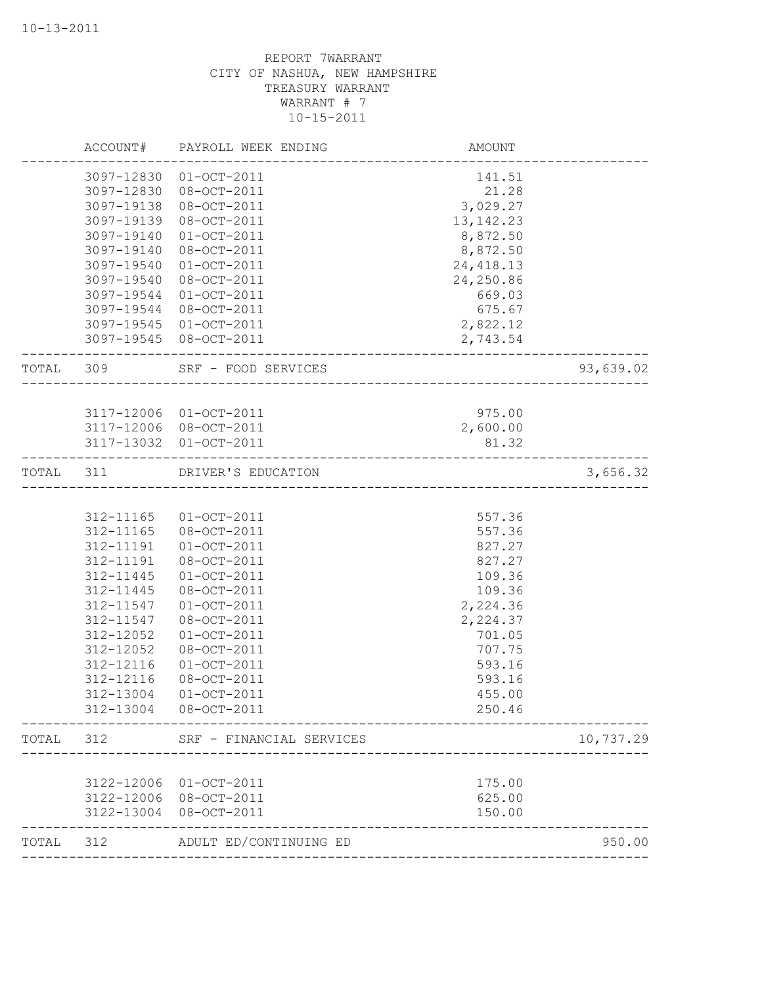|           | ACCOUNT#   | PAYROLL WEEK ENDING      | AMOUNT                 |           |
|-----------|------------|--------------------------|------------------------|-----------|
|           | 3097-12830 | $01 - OCT - 2011$        | 141.51                 |           |
|           | 3097-12830 | 08-OCT-2011              | 21.28                  |           |
|           | 3097-19138 | 08-OCT-2011              | 3,029.27               |           |
|           | 3097-19139 | 08-OCT-2011              | 13, 142. 23            |           |
|           | 3097-19140 | $01-OCT-2011$            | 8,872.50               |           |
|           | 3097-19140 | 08-OCT-2011              | 8,872.50               |           |
|           | 3097-19540 | $01-0CT-2011$            | 24, 418.13             |           |
|           | 3097-19540 | 08-OCT-2011              | 24,250.86              |           |
|           | 3097-19544 | $01-OCT-2011$            | 669.03                 |           |
|           | 3097-19544 | 08-OCT-2011              | 675.67                 |           |
|           | 3097-19545 | $01 - OCT - 2011$        | 2,822.12               |           |
|           |            | 3097-19545 08-OCT-2011   | 2,743.54               |           |
| TOTAL 309 |            | SRF - FOOD SERVICES      | ______________________ | 93,639.02 |
|           |            |                          |                        |           |
|           |            | 3117-12006 01-OCT-2011   | 975.00                 |           |
|           |            | 3117-12006 08-OCT-2011   | 2,600.00               |           |
|           |            | 3117-13032 01-OCT-2011   | 81.32                  |           |
| TOTAL 311 |            | DRIVER'S EDUCATION       |                        | 3,656.32  |
|           |            |                          |                        |           |
|           | 312-11165  | $01 - OCT - 2011$        | 557.36                 |           |
|           | 312-11165  | 08-OCT-2011              | 557.36                 |           |
|           | 312-11191  | $01 - OCT - 2011$        | 827.27                 |           |
|           | 312-11191  | 08-OCT-2011              | 827.27                 |           |
|           | 312-11445  | $01 - OCT - 2011$        | 109.36                 |           |
|           | 312-11445  | 08-OCT-2011              | 109.36                 |           |
|           | 312-11547  | $01 - OCT - 2011$        | 2,224.36               |           |
|           | 312-11547  | 08-OCT-2011              | 2,224.37               |           |
|           | 312-12052  | $01 - OCT - 2011$        | 701.05                 |           |
|           | 312-12052  | 08-OCT-2011              | 707.75                 |           |
|           | 312-12116  | $01 - OCT - 2011$        | 593.16                 |           |
|           | 312-12116  | 08-OCT-2011              | 593.16                 |           |
|           |            |                          | 455.00                 |           |
|           |            | 312-13004 08-OCT-2011    | 250.46                 |           |
| TOTAL 312 |            | SRF - FINANCIAL SERVICES |                        | 10,737.29 |
|           |            |                          |                        |           |
|           |            | 3122-12006 01-OCT-2011   | 175.00                 |           |
|           |            | 3122-12006 08-OCT-2011   | 625.00                 |           |
|           |            | 3122-13004 08-OCT-2011   | 150.00                 |           |
| TOTAL     | 312        | ADULT ED/CONTINUING ED   | ____________________   | 950.00    |
|           |            |                          |                        |           |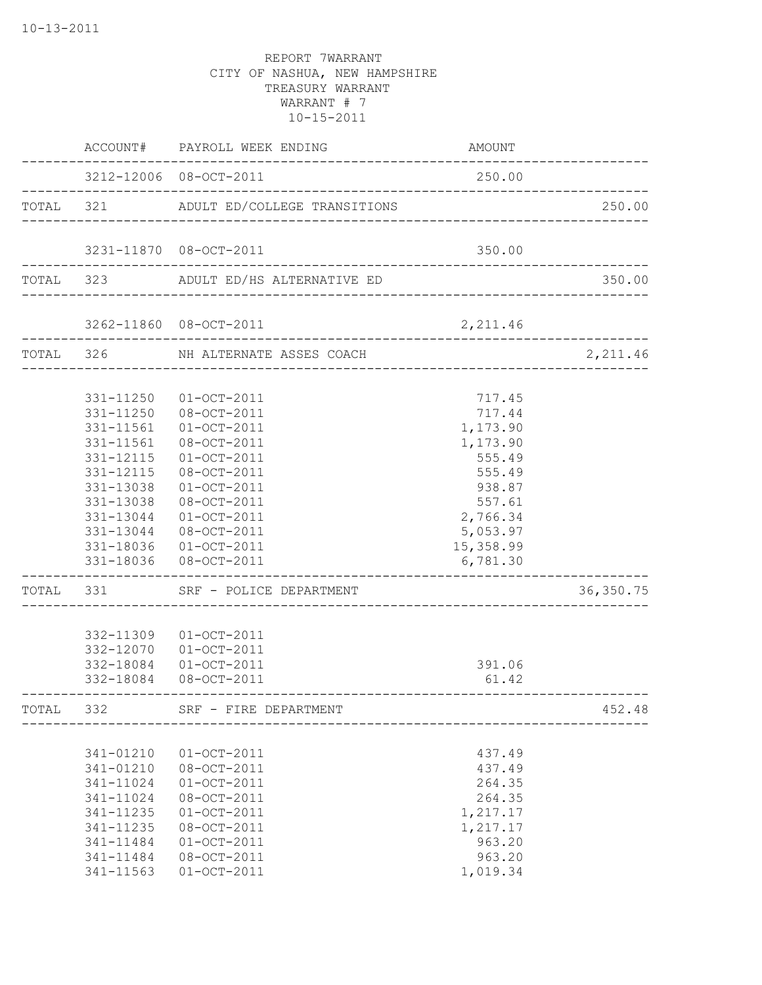|           | ACCOUNT#                                                                                                                                    | PAYROLL WEEK ENDING                                                                                                                                                                                                            | AMOUNT                                                                                                                            |            |
|-----------|---------------------------------------------------------------------------------------------------------------------------------------------|--------------------------------------------------------------------------------------------------------------------------------------------------------------------------------------------------------------------------------|-----------------------------------------------------------------------------------------------------------------------------------|------------|
|           |                                                                                                                                             | 3212-12006 08-OCT-2011                                                                                                                                                                                                         | 250.00                                                                                                                            |            |
| TOTAL 321 |                                                                                                                                             | ADULT ED/COLLEGE TRANSITIONS                                                                                                                                                                                                   |                                                                                                                                   | 250.00     |
|           |                                                                                                                                             | 3231-11870 08-OCT-2011                                                                                                                                                                                                         | 350.00                                                                                                                            |            |
| TOTAL 323 |                                                                                                                                             | ADULT ED/HS ALTERNATIVE ED                                                                                                                                                                                                     |                                                                                                                                   | 350.00     |
|           |                                                                                                                                             | 3262-11860 08-OCT-2011                                                                                                                                                                                                         | 2,211.46                                                                                                                          |            |
| TOTAL 326 |                                                                                                                                             | NH ALTERNATE ASSES COACH                                                                                                                                                                                                       |                                                                                                                                   | 2,211.46   |
|           | 331-11250<br>331-11250<br>331-11561<br>331-11561<br>331-12115<br>331-12115<br>331-13038<br>331-13038<br>331-13044<br>331-13044<br>331-18036 | $01 - OCT - 2011$<br>08-OCT-2011<br>$01 - OCT - 2011$<br>08-OCT-2011<br>$01 - OCT - 2011$<br>08-OCT-2011<br>$01 - OCT - 2011$<br>08-OCT-2011<br>$01 - OCT - 2011$<br>08-OCT-2011<br>$01 - OCT - 2011$<br>331-18036 08-OCT-2011 | 717.45<br>717.44<br>1,173.90<br>1,173.90<br>555.49<br>555.49<br>938.87<br>557.61<br>2,766.34<br>5,053.97<br>15,358.99<br>6,781.30 |            |
| TOTAL 331 |                                                                                                                                             | SRF - POLICE DEPARTMENT                                                                                                                                                                                                        |                                                                                                                                   | 36, 350.75 |
|           | 332-11309<br>332-12070<br>332-18084<br>332-18084                                                                                            | $01 - OCT - 2011$<br>$01 - OCT - 2011$<br>$01 - OCT - 2011$<br>08-OCT-2011                                                                                                                                                     | 391.06<br>61.42                                                                                                                   |            |
| TOTAL     | 332                                                                                                                                         | SRF - FIRE DEPARTMENT                                                                                                                                                                                                          |                                                                                                                                   | 452.48     |
|           | 341-01210<br>341-01210<br>$341 - 11024$<br>341-11024<br>341-11235<br>341-11235<br>341-11484<br>341-11484<br>341-11563                       | $01 - OCT - 2011$<br>08-OCT-2011<br>$01-OCT-2011$<br>08-OCT-2011<br>$01 - OCT - 2011$<br>08-OCT-2011<br>$01-0CT-2011$<br>08-OCT-2011<br>$01-OCT-2011$                                                                          | 437.49<br>437.49<br>264.35<br>264.35<br>1,217.17<br>1,217.17<br>963.20<br>963.20<br>1,019.34                                      |            |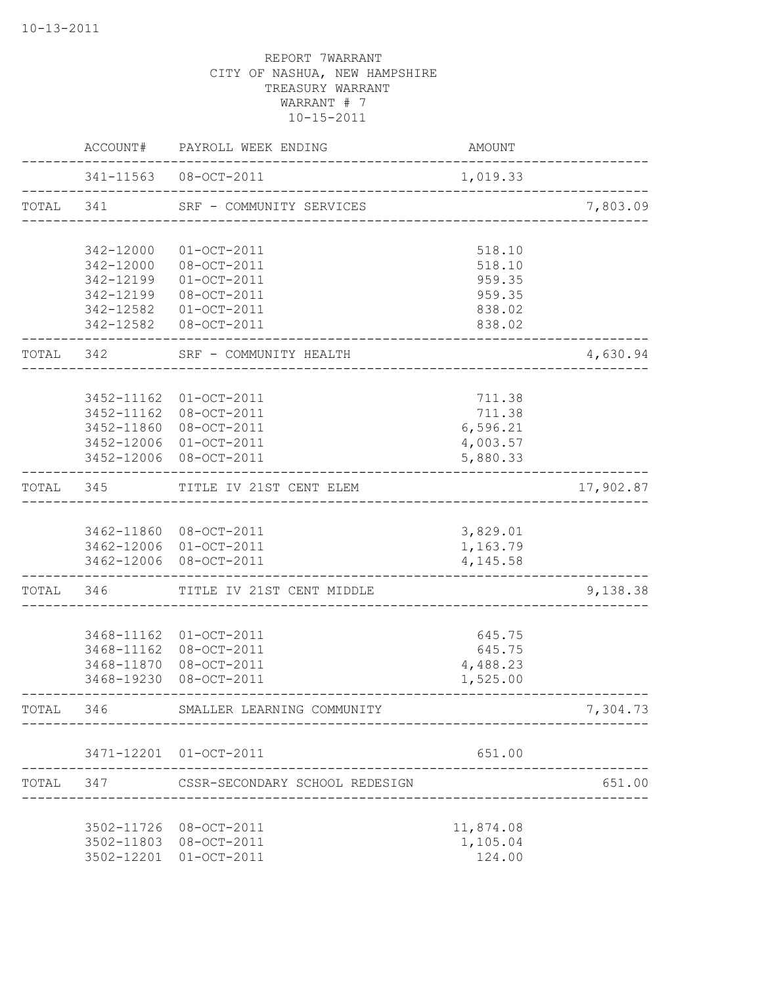|           | ACCOUNT#               | PAYROLL WEEK ENDING                | AMOUNT           |           |
|-----------|------------------------|------------------------------------|------------------|-----------|
|           |                        | 341-11563 08-OCT-2011              | 1,019.33         |           |
| TOTAL 341 |                        | SRF - COMMUNITY SERVICES           |                  | 7,803.09  |
|           | 342-12000              | $01-0CT-2011$                      | 518.10           |           |
|           | 342-12000              | 08-OCT-2011                        | 518.10           |           |
|           | 342-12199              | $01-OCT-2011$                      | 959.35           |           |
|           | 342-12199              | 08-OCT-2011                        | 959.35           |           |
|           | 342-12582<br>342-12582 | $01-OCT-2011$<br>08-OCT-2011       | 838.02<br>838.02 |           |
| TOTAL 342 |                        | SRF - COMMUNITY HEALTH             |                  | 4,630.94  |
|           | 3452-11162             | $01-0CT-2011$                      | 711.38           |           |
|           | 3452-11162             | 08-OCT-2011                        | 711.38           |           |
|           | 3452-11860             | 08-OCT-2011                        | 6,596.21         |           |
|           | 3452-12006             | $01-0CT-2011$                      | 4,003.57         |           |
|           | 3452-12006             | 08-OCT-2011                        | 5,880.33         |           |
| TOTAL     | 345                    | TITLE IV 21ST CENT ELEM            |                  | 17,902.87 |
|           |                        | 3462-11860 08-OCT-2011             | 3,829.01         |           |
|           |                        | 3462-12006 01-OCT-2011             | 1,163.79         |           |
|           | 3462-12006             | 08-OCT-2011                        | 4,145.58         |           |
| TOTAL     | 346                    | TITLE IV 21ST CENT MIDDLE          |                  | 9,138.38  |
|           | 3468-11162             | $01 - OCT - 2011$                  | 645.75           |           |
|           | 3468-11162             | 08-OCT-2011                        | 645.75           |           |
|           | 3468-11870             | 08-OCT-2011                        | 4,488.23         |           |
|           | 3468-19230             | 08-OCT-2011                        | 1,525.00         |           |
| TOTAL     | 346                    | SMALLER LEARNING COMMUNITY         |                  | 7,304.73  |
|           |                        | 3471-12201 01-OCT-2011             | 651.00           |           |
| TOTAL     |                        | 347 CSSR-SECONDARY SCHOOL REDESIGN |                  | 651.00    |
|           |                        |                                    |                  |           |
|           |                        | 3502-11726 08-OCT-2011             | 11,874.08        |           |
|           |                        | 3502-11803 08-OCT-2011             | 1,105.04         |           |
|           |                        | 3502-12201 01-OCT-2011             | 124.00           |           |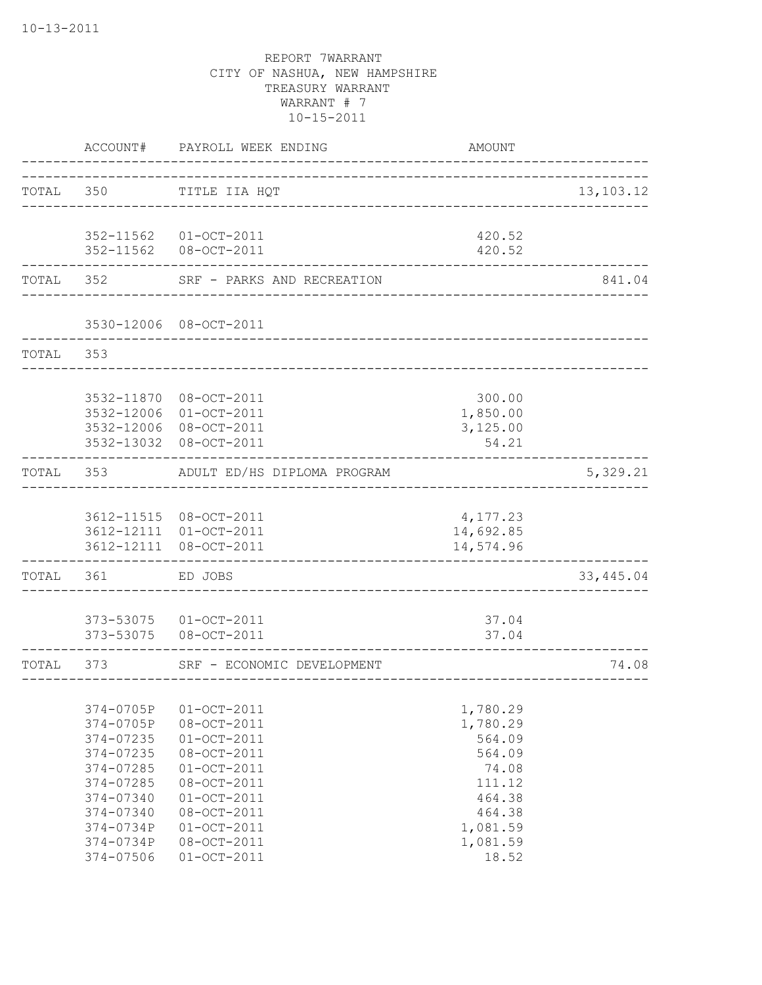|           | ACCOUNT#                                                                                                                                    | PAYROLL WEEK ENDING                                                                                                                                                           | <b>AMOUNT</b>                                                                                                    |             |
|-----------|---------------------------------------------------------------------------------------------------------------------------------------------|-------------------------------------------------------------------------------------------------------------------------------------------------------------------------------|------------------------------------------------------------------------------------------------------------------|-------------|
| TOTAL 350 |                                                                                                                                             | TITLE IIA HQT<br>_________________________                                                                                                                                    |                                                                                                                  | 13, 103. 12 |
|           | 352-11562<br>352-11562                                                                                                                      | $01-OCT-2011$<br>08-OCT-2011                                                                                                                                                  | 420.52<br>420.52                                                                                                 |             |
| TOTAL 352 |                                                                                                                                             | SRF - PARKS AND RECREATION                                                                                                                                                    |                                                                                                                  | 841.04      |
|           |                                                                                                                                             | 3530-12006 08-OCT-2011                                                                                                                                                        |                                                                                                                  |             |
| TOTAL     | 353                                                                                                                                         |                                                                                                                                                                               |                                                                                                                  |             |
|           | 3532-11870<br>3532-12006<br>3532-12006<br>3532-13032                                                                                        | 08-OCT-2011<br>$01 - OCT - 2011$<br>08-OCT-2011<br>08-OCT-2011                                                                                                                | 300.00<br>1,850.00<br>3,125.00<br>54.21                                                                          |             |
| TOTAL     | 353                                                                                                                                         | ADULT ED/HS DIPLOMA PROGRAM                                                                                                                                                   |                                                                                                                  | 5,329.21    |
|           | 3612-11515<br>3612-12111<br>3612-12111                                                                                                      | 08-OCT-2011<br>$01 - OCT - 2011$<br>08-OCT-2011                                                                                                                               | 4,177.23<br>14,692.85<br>14,574.96                                                                               |             |
| TOTAL     | 361                                                                                                                                         | ED JOBS                                                                                                                                                                       |                                                                                                                  | 33, 445.04  |
|           | 373-53075<br>373-53075                                                                                                                      | $01 - OCT - 2011$<br>08-OCT-2011                                                                                                                                              | 37.04<br>37.04                                                                                                   |             |
| TOTAL     | 373                                                                                                                                         | SRF - ECONOMIC DEVELOPMENT                                                                                                                                                    |                                                                                                                  | 74.08       |
|           | 374-0705P<br>374-0705P<br>374-07235<br>374-07235<br>374-07285<br>374-07285<br>374-07340<br>374-07340<br>374-0734P<br>374-0734P<br>374-07506 | $01-OCT-2011$<br>08-OCT-2011<br>$01-0CT-2011$<br>08-OCT-2011<br>$01-0CT-2011$<br>08-OCT-2011<br>$01-OCT-2011$<br>08-OCT-2011<br>$01-OCT-2011$<br>08-OCT-2011<br>$01-OCT-2011$ | 1,780.29<br>1,780.29<br>564.09<br>564.09<br>74.08<br>111.12<br>464.38<br>464.38<br>1,081.59<br>1,081.59<br>18.52 |             |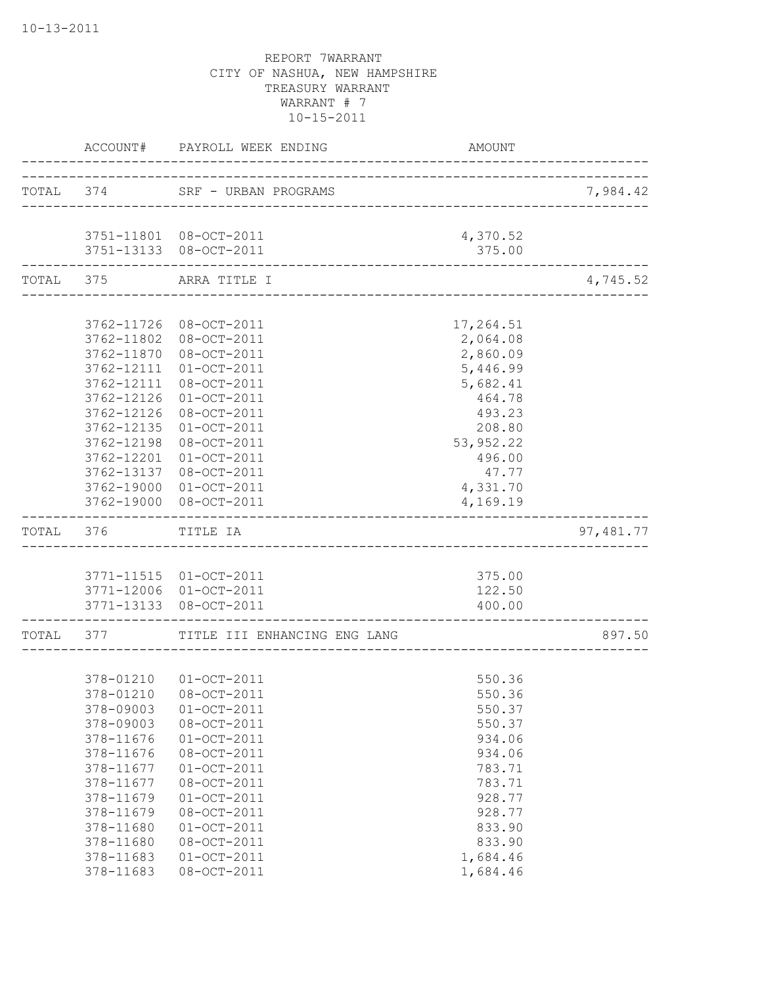|           |                          | ACCOUNT# PAYROLL WEEK ENDING                   | AMOUNT               |           |
|-----------|--------------------------|------------------------------------------------|----------------------|-----------|
|           |                          | TOTAL 374 SRF - URBAN PROGRAMS                 |                      | 7,984.42  |
|           |                          | 3751-11801 08-OCT-2011                         | 4,370.52             |           |
|           |                          | 3751-13133 08-OCT-2011                         | 375.00               |           |
| TOTAL 375 |                          | ARRA TITLE I<br>------------------------------ |                      | 4,745.52  |
|           |                          |                                                |                      |           |
|           | 3762-11726<br>3762-11802 | 08-OCT-2011<br>08-OCT-2011                     | 17,264.51            |           |
|           | 3762-11870               | 08-OCT-2011                                    | 2,064.08<br>2,860.09 |           |
|           | 3762-12111               | $01 - OCT - 2011$                              | 5,446.99             |           |
|           | 3762-12111               | 08-OCT-2011                                    | 5,682.41             |           |
|           | 3762-12126               | $01-0CT-2011$                                  | 464.78               |           |
|           | 3762-12126               | 08-OCT-2011                                    | 493.23               |           |
|           | 3762-12135               | $01-OCT-2011$                                  | 208.80               |           |
|           | 3762-12198               | 08-OCT-2011                                    | 53, 952.22           |           |
|           | 3762-12201               | $01-OCT-2011$                                  | 496.00               |           |
|           | 3762-13137               | 08-OCT-2011                                    | 47.77                |           |
|           | 3762-19000               | 01-OCT-2011                                    | 4,331.70             |           |
|           |                          | 3762-19000 08-OCT-2011                         | 4,169.19             |           |
|           | TOTAL 376 TITLE IA       |                                                |                      | 97,481.77 |
|           |                          |                                                |                      |           |
|           |                          | 3771-11515 01-OCT-2011                         | 375.00               |           |
|           |                          | 3771-12006 01-OCT-2011                         | 122.50               |           |
|           |                          | 3771-13133 08-OCT-2011                         | 400.00               |           |
|           |                          | TOTAL 377 TITLE III ENHANCING ENG LANG         |                      | 897.50    |
|           |                          |                                                |                      |           |
|           |                          | 378-01210  01-OCT-2011                         | 550.36               |           |
|           |                          | 378-01210 08-OCT-2011<br>$01-OCT-2011$         | 550.36               |           |
|           | 378-09003<br>378-09003   | 08-OCT-2011                                    | 550.37<br>550.37     |           |
|           | 378-11676                | $01 - OCT - 2011$                              | 934.06               |           |
|           | 378-11676                | 08-OCT-2011                                    | 934.06               |           |
|           | 378-11677                | $01-0CT-2011$                                  | 783.71               |           |
|           | 378-11677                | 08-OCT-2011                                    | 783.71               |           |
|           | 378-11679                | $01 - OCT - 2011$                              | 928.77               |           |
|           | 378-11679                | 08-OCT-2011                                    | 928.77               |           |
|           | 378-11680                | $01-0CT-2011$                                  | 833.90               |           |
|           | 378-11680                | 08-OCT-2011                                    | 833.90               |           |
|           | 378-11683                | $01-0CT-2011$                                  | 1,684.46             |           |
|           | 378-11683                | 08-OCT-2011                                    | 1,684.46             |           |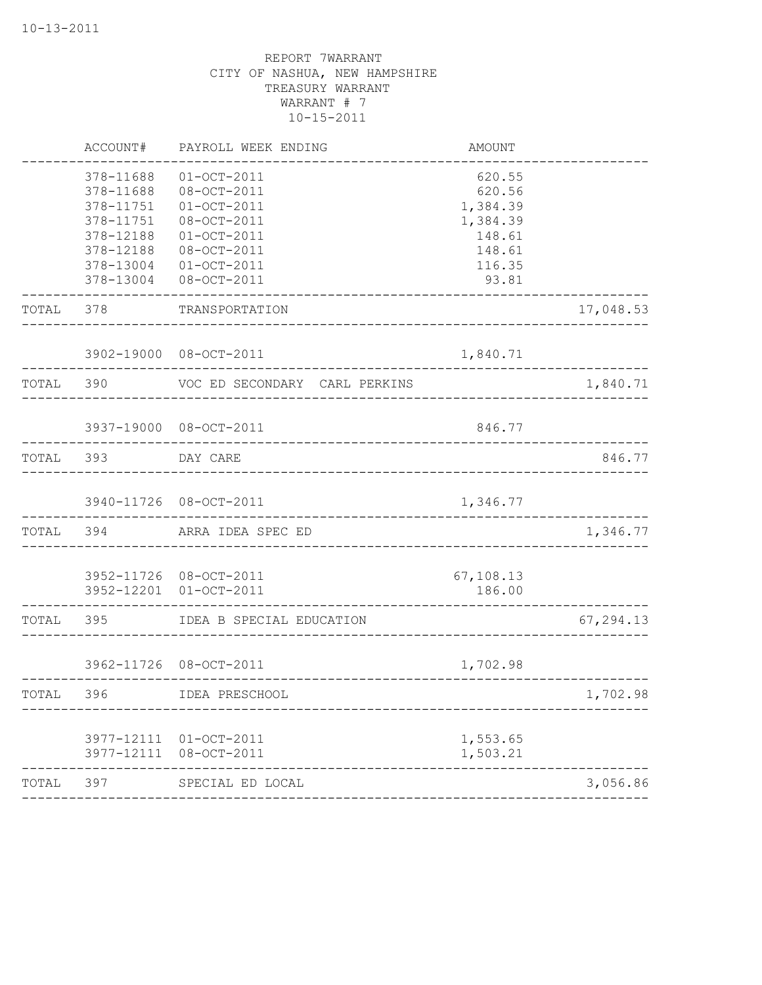|           | ACCOUNT#               | PAYROLL WEEK ENDING                     | AMOUNT           |                            |
|-----------|------------------------|-----------------------------------------|------------------|----------------------------|
|           | 378-11688<br>378-11688 | $01-OCT-2011$<br>08-OCT-2011            | 620.55<br>620.56 |                            |
|           | 378-11751              | $01-0CT-2011$                           | 1,384.39         |                            |
|           | 378-11751              | 08-OCT-2011                             | 1,384.39         |                            |
|           | 378-12188              | $01-0CT-2011$                           | 148.61           |                            |
|           | 378-12188              | 08-OCT-2011                             | 148.61           |                            |
|           | 378-13004              | $01-OCT-2011$                           | 116.35           |                            |
|           | 378-13004              | 08-OCT-2011                             | 93.81            |                            |
| TOTAL 378 |                        | TRANSPORTATION                          |                  | 17,048.53                  |
|           |                        | 3902-19000 08-OCT-2011                  | 1,840.71         | ---------------            |
| TOTAL 390 |                        | VOC ED SECONDARY CARL PERKINS           |                  | 1,840.71                   |
|           |                        | 3937-19000 08-OCT-2011                  | 846.77           |                            |
| TOTAL 393 |                        | ___________________________<br>DAY CARE |                  | 846.77                     |
|           |                        | 3940-11726 08-OCT-2011                  | 1,346.77         |                            |
| TOTAL 394 |                        | ARRA IDEA SPEC ED                       |                  | ______________<br>1,346.77 |
|           |                        | 3952-11726 08-OCT-2011                  | 67,108.13        |                            |
|           |                        | 3952-12201 01-OCT-2011                  | 186.00           |                            |
| TOTAL 395 |                        | IDEA B SPECIAL EDUCATION                |                  | 67,294.13                  |
|           |                        | 3962-11726 08-OCT-2011                  | 1,702.98         |                            |
| TOTAL     | 396                    | IDEA PRESCHOOL                          |                  | 1,702.98                   |
|           |                        | 3977-12111 01-OCT-2011                  | 1,553.65         |                            |
|           |                        | 3977-12111 08-OCT-2011<br>----------    | 1,503.21         |                            |
| TOTAL     | 397                    | SPECIAL ED LOCAL                        |                  | 3,056.86                   |
|           |                        |                                         |                  |                            |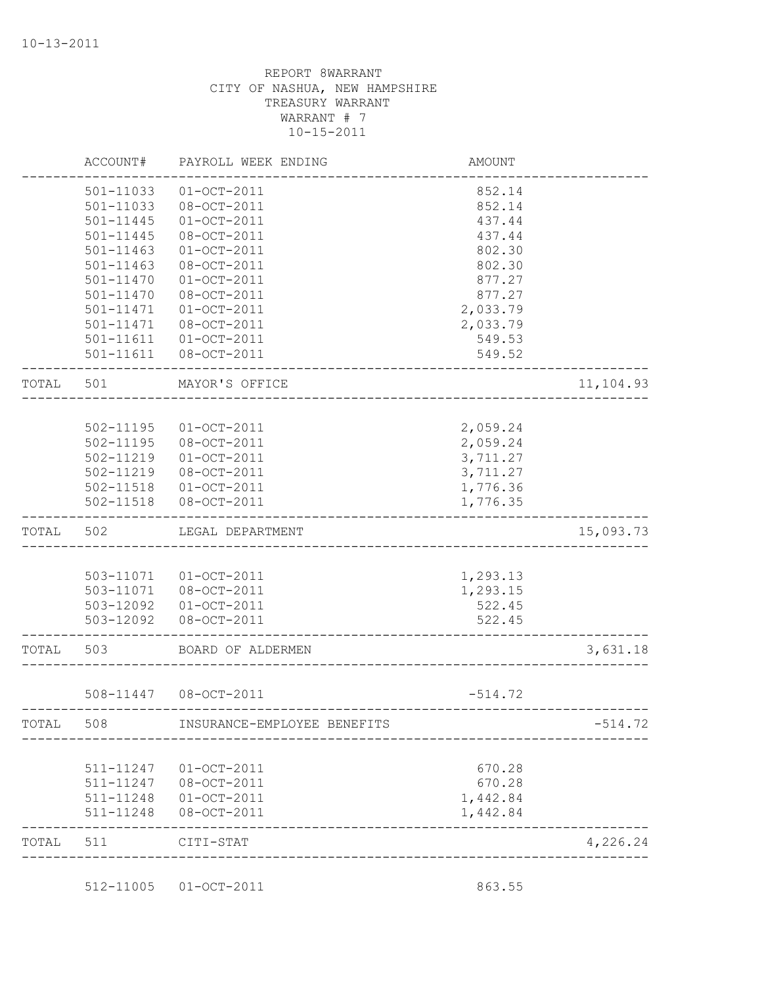|       | ACCOUNT#      | PAYROLL WEEK ENDING                           | AMOUNT    |           |
|-------|---------------|-----------------------------------------------|-----------|-----------|
|       | 501-11033     | $01 - OCT - 2011$                             | 852.14    |           |
|       | 501-11033     | 08-OCT-2011                                   | 852.14    |           |
|       | 501-11445     | $01 - OCT - 2011$                             | 437.44    |           |
|       | $501 - 11445$ | 08-OCT-2011                                   | 437.44    |           |
|       | 501-11463     | $01-OCT-2011$                                 | 802.30    |           |
|       | 501-11463     | 08-OCT-2011                                   | 802.30    |           |
|       | 501-11470     | $01-OCT-2011$                                 | 877.27    |           |
|       | 501-11470     | 08-OCT-2011                                   | 877.27    |           |
|       | 501-11471     | $01 - OCT - 2011$                             | 2,033.79  |           |
|       | $501 - 11471$ | 08-OCT-2011                                   | 2,033.79  |           |
|       | 501-11611     | $01-OCT-2011$                                 | 549.53    |           |
|       |               | 501-11611  08-OCT-2011                        | 549.52    |           |
| TOTAL | 501           | MAYOR'S OFFICE<br>___________________________ |           | 11,104.93 |
|       |               |                                               |           |           |
|       | 502-11195     | $01 - OCT - 2011$                             | 2,059.24  |           |
|       | 502-11195     | 08-OCT-2011                                   | 2,059.24  |           |
|       | 502-11219     | $01 - OCT - 2011$                             | 3,711.27  |           |
|       | 502-11219     | 08-OCT-2011                                   | 3,711.27  |           |
|       |               | 502-11518  01-OCT-2011                        | 1,776.36  |           |
|       | 502-11518     | 08-OCT-2011                                   | 1,776.35  |           |
| TOTAL | 502           | LEGAL DEPARTMENT                              |           | 15,093.73 |
|       |               |                                               |           |           |
|       |               | 503-11071  01-OCT-2011                        | 1,293.13  |           |
|       |               | 503-11071  08-OCT-2011                        | 1,293.15  |           |
|       |               | 503-12092  01-OCT-2011                        | 522.45    |           |
|       | 503-12092     | 08-OCT-2011                                   | 522.45    |           |
| TOTAL | 503           | BOARD OF ALDERMEN                             |           | 3,631.18  |
|       |               | 508-11447 08-OCT-2011                         | $-514.72$ |           |
| TOTAL | 508           | INSURANCE-EMPLOYEE BENEFITS                   |           | $-514.72$ |
|       |               |                                               |           |           |
|       | 511-11247     | $01-OCT-2011$                                 | 670.28    |           |
|       | 511-11247     | 08-OCT-2011                                   | 670.28    |           |
|       | 511-11248     | $01-0CT-2011$                                 | 1,442.84  |           |
|       | 511-11248     | 08-OCT-2011                                   | 1,442.84  |           |
| TOTAL | 511           | CITI-STAT                                     |           | 4,226.24  |
|       |               |                                               |           |           |

512-11005 01-OCT-2011 863.55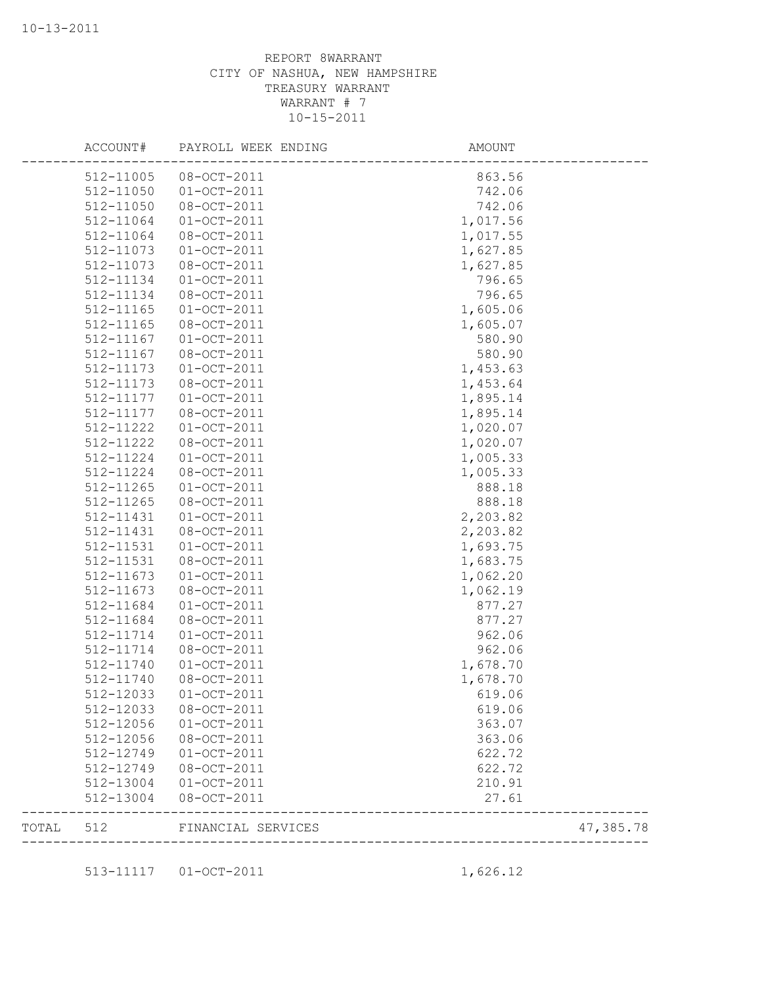|       | ACCOUNT#  | PAYROLL WEEK ENDING | AMOUNT    |
|-------|-----------|---------------------|-----------|
|       | 512-11005 | $08 - OCT - 2011$   | 863.56    |
|       | 512-11050 | $01 - OCT - 2011$   | 742.06    |
|       | 512-11050 | 08-OCT-2011         | 742.06    |
|       | 512-11064 | $01-OCT-2011$       | 1,017.56  |
|       | 512-11064 | 08-OCT-2011         | 1,017.55  |
|       | 512-11073 | $01 - OCT - 2011$   | 1,627.85  |
|       | 512-11073 | 08-OCT-2011         | 1,627.85  |
|       | 512-11134 | $01-0CT-2011$       | 796.65    |
|       | 512-11134 | 08-OCT-2011         | 796.65    |
|       | 512-11165 | $01 - OCT - 2011$   | 1,605.06  |
|       | 512-11165 | 08-OCT-2011         | 1,605.07  |
|       | 512-11167 | $01-0CT-2011$       | 580.90    |
|       | 512-11167 | 08-OCT-2011         | 580.90    |
|       | 512-11173 | $01-OCT-2011$       | 1,453.63  |
|       | 512-11173 | 08-OCT-2011         | 1,453.64  |
|       | 512-11177 | $01-0CT-2011$       | 1,895.14  |
|       | 512-11177 | 08-OCT-2011         | 1,895.14  |
|       | 512-11222 | $01-0CT-2011$       | 1,020.07  |
|       | 512-11222 | 08-OCT-2011         | 1,020.07  |
|       | 512-11224 | $01-0CT-2011$       | 1,005.33  |
|       | 512-11224 | 08-OCT-2011         | 1,005.33  |
|       | 512-11265 | $01-0CT-2011$       | 888.18    |
|       | 512-11265 | 08-OCT-2011         | 888.18    |
|       | 512-11431 | $01-0CT-2011$       | 2,203.82  |
|       | 512-11431 | 08-OCT-2011         | 2,203.82  |
|       | 512-11531 | $01-0CT-2011$       | 1,693.75  |
|       | 512-11531 | 08-OCT-2011         | 1,683.75  |
|       | 512-11673 | $01-0CT-2011$       | 1,062.20  |
|       | 512-11673 | 08-OCT-2011         | 1,062.19  |
|       | 512-11684 | $01-0CT-2011$       | 877.27    |
|       | 512-11684 | 08-OCT-2011         | 877.27    |
|       | 512-11714 | $01-0CT-2011$       | 962.06    |
|       | 512-11714 | 08-OCT-2011         | 962.06    |
|       | 512-11740 | $01 - OCT - 2011$   | 1,678.70  |
|       | 512-11740 | 08-OCT-2011         | 1,678.70  |
|       | 512-12033 | $01-OCT-2011$       | 619.06    |
|       | 512-12033 | 08-OCT-2011         | 619.06    |
|       | 512-12056 | $01-OCT-2011$       | 363.07    |
|       | 512-12056 | 08-OCT-2011         | 363.06    |
|       | 512-12749 | $01-OCT-2011$       | 622.72    |
|       | 512-12749 | 08-OCT-2011         | 622.72    |
|       | 512-13004 | $01 - OCT - 2011$   | 210.91    |
|       | 512-13004 | 08-OCT-2011         | 27.61     |
| TOTAL | 512       | FINANCIAL SERVICES  | 47,385.78 |
|       |           |                     |           |

513-11117 01-OCT-2011 1,626.12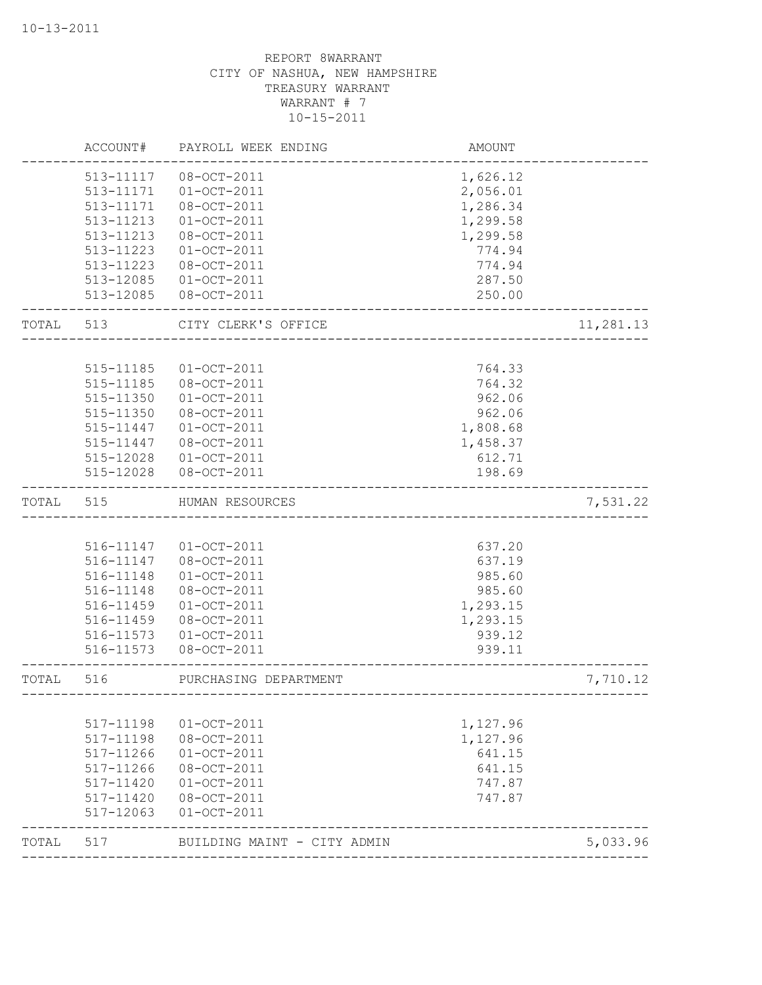|       | ACCOUNT#  | PAYROLL WEEK ENDING         | AMOUNT                               |           |
|-------|-----------|-----------------------------|--------------------------------------|-----------|
|       | 513-11117 | 08-OCT-2011                 | 1,626.12                             |           |
|       | 513-11171 | $01-0CT-2011$               | 2,056.01                             |           |
|       | 513-11171 | 08-OCT-2011                 | 1,286.34                             |           |
|       | 513-11213 | $01-OCT-2011$               | 1,299.58                             |           |
|       | 513-11213 | 08-OCT-2011                 | 1,299.58                             |           |
|       | 513-11223 | $01-0CT-2011$               | 774.94                               |           |
|       | 513-11223 | 08-OCT-2011                 | 774.94                               |           |
|       | 513-12085 | $01-OCT-2011$               | 287.50                               |           |
|       | 513-12085 | 08-OCT-2011                 | 250.00                               |           |
| TOTAL | 513       | CITY CLERK'S OFFICE         |                                      | 11,281.13 |
|       |           |                             |                                      |           |
|       | 515-11185 | $01-0CT-2011$               | 764.33                               |           |
|       | 515-11185 | 08-OCT-2011                 | 764.32                               |           |
|       | 515-11350 | $01 - OCT - 2011$           | 962.06                               |           |
|       | 515-11350 | 08-OCT-2011                 | 962.06                               |           |
|       | 515-11447 | $01 - OCT - 2011$           | 1,808.68                             |           |
|       | 515-11447 | 08-OCT-2011                 | 1,458.37                             |           |
|       | 515-12028 | $01 - OCT - 2011$           | 612.71                               |           |
|       | 515-12028 | 08-OCT-2011                 | 198.69                               |           |
| TOTAL | 515       | HUMAN RESOURCES             |                                      | 7,531.22  |
|       |           |                             |                                      |           |
|       | 516-11147 | $01 - OCT - 2011$           | 637.20                               |           |
|       | 516-11147 | 08-OCT-2011                 | 637.19                               |           |
|       | 516-11148 | $01-OCT-2011$               | 985.60                               |           |
|       | 516-11148 | 08-OCT-2011                 | 985.60                               |           |
|       | 516-11459 | $01 - OCT - 2011$           | 1,293.15                             |           |
|       | 516-11459 | 08-OCT-2011                 | 1,293.15                             |           |
|       | 516-11573 | $01 - OCT - 2011$           | 939.12                               |           |
|       | 516-11573 | 08-OCT-2011                 | 939.11                               |           |
| TOTAL | 516       | PURCHASING DEPARTMENT       | ------------------------------------ | 7,710.12  |
|       |           |                             |                                      |           |
|       | 517-11198 | $01 - OCT - 2011$           | 1,127.96                             |           |
|       | 517-11198 | 08-OCT-2011                 | 1,127.96                             |           |
|       | 517-11266 | $01 - OCT - 2011$           | 641.15                               |           |
|       | 517-11266 | 08-OCT-2011                 | 641.15                               |           |
|       | 517-11420 | $01-OCT-2011$               | 747.87                               |           |
|       | 517-11420 | 08-OCT-2011                 | 747.87                               |           |
|       | 517-12063 | $01 - OCT - 2011$           |                                      |           |
| TOTAL | 517       | BUILDING MAINT - CITY ADMIN |                                      | 5,033.96  |
|       |           |                             |                                      |           |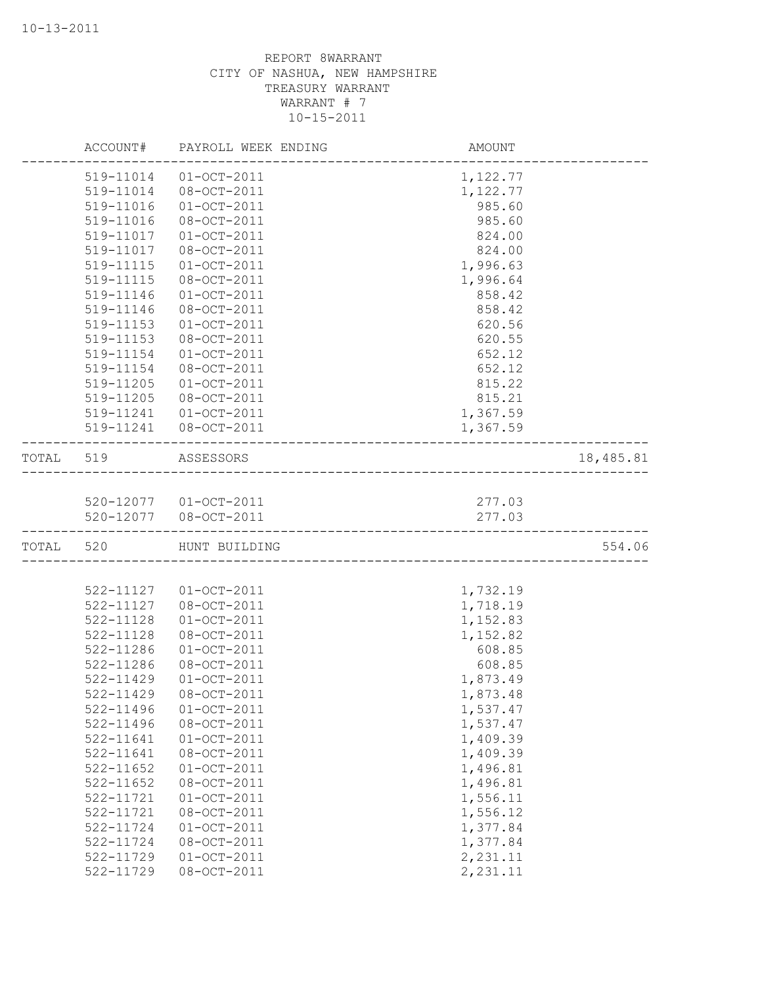|           | ACCOUNT#  | PAYROLL WEEK ENDING   | AMOUNT                          |           |
|-----------|-----------|-----------------------|---------------------------------|-----------|
|           | 519-11014 | $01-OCT-2011$         | 1,122.77                        |           |
|           | 519-11014 | 08-OCT-2011           | 1,122.77                        |           |
|           | 519-11016 | $01-OCT-2011$         | 985.60                          |           |
|           | 519-11016 | 08-OCT-2011           | 985.60                          |           |
|           | 519-11017 | $01-OCT-2011$         | 824.00                          |           |
|           | 519-11017 | 08-OCT-2011           | 824.00                          |           |
|           | 519-11115 | $01-OCT-2011$         | 1,996.63                        |           |
|           | 519-11115 | 08-OCT-2011           | 1,996.64                        |           |
|           | 519-11146 | $01-0CT-2011$         | 858.42                          |           |
|           | 519-11146 | 08-OCT-2011           | 858.42                          |           |
|           | 519-11153 | $01-0CT-2011$         | 620.56                          |           |
|           | 519-11153 | 08-OCT-2011           | 620.55                          |           |
|           | 519-11154 | $01-OCT-2011$         | 652.12                          |           |
|           | 519-11154 | 08-OCT-2011           | 652.12                          |           |
|           | 519-11205 | $01-OCT-2011$         | 815.22                          |           |
|           | 519-11205 | 08-OCT-2011           | 815.21                          |           |
|           | 519-11241 | $01 - OCT - 2011$     | 1,367.59                        |           |
|           | 519-11241 | $08 - OCT - 2011$     | 1,367.59                        |           |
| TOTAL 519 |           | ASSESSORS             |                                 | 18,485.81 |
|           |           |                       |                                 |           |
|           |           | 520-12077 01-OCT-2011 | 277.03                          |           |
|           |           | 520-12077 08-OCT-2011 | 277.03                          |           |
| TOTAL     | 520       | HUNT BUILDING         | ------------------------------- | 554.06    |
|           |           |                       |                                 |           |
|           | 522-11127 | $01-OCT-2011$         | 1,732.19                        |           |
|           | 522-11127 | 08-OCT-2011           | 1,718.19                        |           |
|           | 522-11128 | $01 - OCT - 2011$     | 1,152.83                        |           |
|           | 522-11128 | 08-OCT-2011           | 1,152.82                        |           |
|           | 522-11286 | $01 - OCT - 2011$     | 608.85                          |           |
|           | 522-11286 | 08-OCT-2011           | 608.85                          |           |
|           | 522-11429 | $01 - OCT - 2011$     | 1,873.49                        |           |
|           | 522-11429 | 08-OCT-2011           | 1,873.48                        |           |
|           | 522-11496 | $01 - OCT - 2011$     | 1,537.47                        |           |
|           | 522-11496 | 08-OCT-2011           | 1,537.47                        |           |
|           | 522-11641 | $01-OCT-2011$         | 1,409.39                        |           |
|           | 522-11641 | $08 - OCT - 2011$     | 1,409.39                        |           |
|           | 522-11652 | $01 - OCT - 2011$     | 1,496.81                        |           |
|           | 522-11652 | 08-OCT-2011           | 1,496.81                        |           |
|           | 522-11721 | $01 - OCT - 2011$     | 1,556.11                        |           |
|           | 522-11721 | $08 - OCT - 2011$     | 1,556.12                        |           |
|           | 522-11724 | $01-OCT-2011$         | 1,377.84                        |           |
|           | 522-11724 | 08-OCT-2011           | 1,377.84                        |           |
|           | 522-11729 | $01 - OCT - 2011$     | 2,231.11                        |           |
|           | 522-11729 | 08-OCT-2011           | 2,231.11                        |           |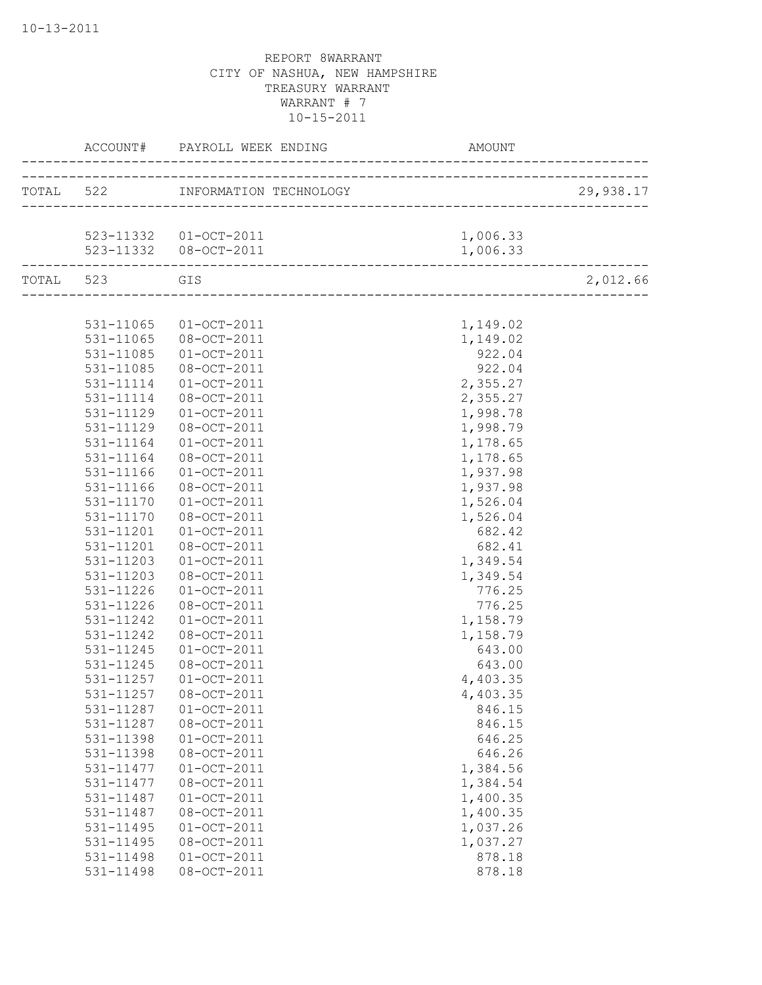|           |               | ACCOUNT# PAYROLL WEEK ENDING                               | AMOUNT   |           |
|-----------|---------------|------------------------------------------------------------|----------|-----------|
|           |               | TOTAL 522 INFORMATION TECHNOLOGY                           |          | 29,938.17 |
|           |               |                                                            |          |           |
|           |               | 523-11332 01-OCT-2011                                      | 1,006.33 |           |
|           |               | 523-11332 08-OCT-2011<br>--------------------------------- | 1,006.33 |           |
| TOTAL 523 |               | GIS                                                        |          | 2,012.66  |
|           |               |                                                            |          |           |
|           | 531-11065     | $01 - OCT - 2011$                                          | 1,149.02 |           |
|           | 531-11065     | 08-OCT-2011                                                | 1,149.02 |           |
|           | 531-11085     | $01 - OCT - 2011$                                          | 922.04   |           |
|           | 531-11085     | 08-OCT-2011                                                | 922.04   |           |
|           | 531-11114     | $01 - OCT - 2011$                                          | 2,355.27 |           |
|           | 531-11114     | 08-OCT-2011                                                | 2,355.27 |           |
|           | 531-11129     | $01 - OCT - 2011$                                          | 1,998.78 |           |
|           | 531-11129     | 08-OCT-2011                                                | 1,998.79 |           |
|           | 531-11164     | $01 - OCT - 2011$                                          | 1,178.65 |           |
|           | $531 - 11164$ | 08-OCT-2011                                                | 1,178.65 |           |
|           | 531-11166     | $01 - OCT - 2011$                                          | 1,937.98 |           |
|           | 531-11166     | 08-OCT-2011                                                | 1,937.98 |           |
|           | 531-11170     | $01 - OCT - 2011$                                          | 1,526.04 |           |
|           | 531-11170     | 08-OCT-2011                                                | 1,526.04 |           |
|           | 531-11201     | 01-OCT-2011                                                | 682.42   |           |
|           | 531-11201     | 08-OCT-2011                                                | 682.41   |           |
|           | 531-11203     | $01 - OCT - 2011$                                          | 1,349.54 |           |
|           | 531-11203     | 08-OCT-2011                                                | 1,349.54 |           |
|           | 531-11226     | $01 - OCT - 2011$                                          | 776.25   |           |
|           | 531-11226     | 08-OCT-2011                                                | 776.25   |           |
|           | 531-11242     | $01 - OCT - 2011$                                          | 1,158.79 |           |
|           | 531-11242     | 08-OCT-2011                                                | 1,158.79 |           |
|           | 531-11245     | $01 - OCT - 2011$                                          | 643.00   |           |
|           | 531-11245     | 08-OCT-2011                                                | 643.00   |           |
|           | 531-11257     | $01 - OCT - 2011$                                          | 4,403.35 |           |
|           | 531-11257     | 08-OCT-2011                                                | 4,403.35 |           |
|           | 531-11287     | $01-OCT-2011$                                              | 846.15   |           |
|           | 531-11287     | $08 - OCT - 2011$                                          | 846.15   |           |
|           | 531-11398     | $01-0CT-2011$                                              | 646.25   |           |
|           | 531-11398     | 08-OCT-2011                                                | 646.26   |           |
|           | 531-11477     | $01-0CT-2011$                                              | 1,384.56 |           |
|           | 531-11477     | 08-OCT-2011                                                | 1,384.54 |           |
|           | 531-11487     | $01-0CT-2011$                                              | 1,400.35 |           |
|           | 531-11487     | 08-OCT-2011                                                | 1,400.35 |           |
|           | 531-11495     | $01-0CT-2011$                                              | 1,037.26 |           |
|           | 531-11495     | 08-OCT-2011                                                | 1,037.27 |           |
|           | 531-11498     | $01-0CT-2011$                                              | 878.18   |           |
|           | 531-11498     | 08-OCT-2011                                                | 878.18   |           |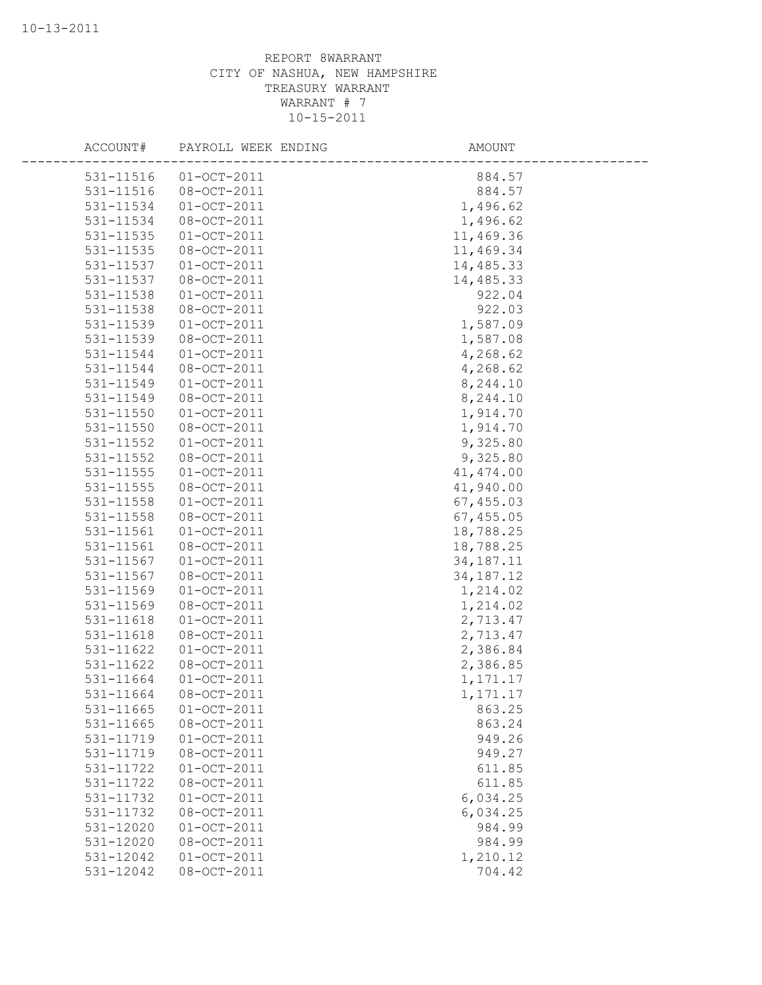| ACCOUNT#  | PAYROLL WEEK ENDING | AMOUNT      |  |
|-----------|---------------------|-------------|--|
| 531-11516 | $01 - OCT - 2011$   | 884.57      |  |
| 531-11516 | 08-OCT-2011         | 884.57      |  |
| 531-11534 | $01 - OCT - 2011$   | 1,496.62    |  |
| 531-11534 | 08-OCT-2011         | 1,496.62    |  |
| 531-11535 | $01-0CT-2011$       | 11,469.36   |  |
| 531-11535 | $08 - OCT - 2011$   | 11,469.34   |  |
| 531-11537 | $01-0CT-2011$       | 14,485.33   |  |
| 531-11537 | 08-OCT-2011         | 14,485.33   |  |
| 531-11538 | $01 - OCT - 2011$   | 922.04      |  |
| 531-11538 | 08-OCT-2011         | 922.03      |  |
| 531-11539 | $01 - OCT - 2011$   | 1,587.09    |  |
| 531-11539 | $08 - OCT - 2011$   | 1,587.08    |  |
| 531-11544 | $01-0CT-2011$       | 4,268.62    |  |
| 531-11544 | 08-OCT-2011         | 4,268.62    |  |
| 531-11549 | $01-0CT-2011$       | 8,244.10    |  |
| 531-11549 | 08-OCT-2011         | 8,244.10    |  |
| 531-11550 | $01 - OCT - 2011$   | 1,914.70    |  |
| 531-11550 | 08-OCT-2011         | 1,914.70    |  |
| 531-11552 | $01-OCT-2011$       | 9,325.80    |  |
| 531-11552 | 08-OCT-2011         | 9,325.80    |  |
| 531-11555 | $01 - OCT - 2011$   | 41, 474.00  |  |
| 531-11555 | 08-OCT-2011         | 41,940.00   |  |
| 531-11558 | $01 - OCT - 2011$   | 67, 455.03  |  |
| 531-11558 | 08-OCT-2011         | 67, 455.05  |  |
| 531-11561 | $01 - OCT - 2011$   | 18,788.25   |  |
| 531-11561 | 08-OCT-2011         | 18,788.25   |  |
| 531-11567 | $01 - OCT - 2011$   | 34, 187. 11 |  |
| 531-11567 | 08-OCT-2011         | 34, 187. 12 |  |
| 531-11569 | $01 - OCT - 2011$   | 1,214.02    |  |
| 531-11569 | 08-OCT-2011         | 1,214.02    |  |
| 531-11618 | $01 - OCT - 2011$   | 2,713.47    |  |
| 531-11618 | 08-OCT-2011         | 2,713.47    |  |
| 531-11622 | $01 - OCT - 2011$   | 2,386.84    |  |
| 531-11622 | 08-OCT-2011         | 2,386.85    |  |
| 531-11664 | $01 - OCT - 2011$   | 1, 171.17   |  |
| 531-11664 | $08 - 0CT - 2011$   | 1,171.17    |  |
| 531-11665 | $01 - OCT - 2011$   | 863.25      |  |
| 531-11665 | 08-OCT-2011         | 863.24      |  |
| 531-11719 | $01 - OCT - 2011$   | 949.26      |  |
| 531-11719 | 08-OCT-2011         | 949.27      |  |
| 531-11722 | $01 - OCT - 2011$   | 611.85      |  |
| 531-11722 | 08-OCT-2011         | 611.85      |  |
| 531-11732 | $01 - OCT - 2011$   | 6,034.25    |  |
| 531-11732 | 08-OCT-2011         | 6,034.25    |  |
| 531-12020 | $01 - OCT - 2011$   | 984.99      |  |
| 531-12020 | 08-OCT-2011         | 984.99      |  |
| 531-12042 | $01 - OCT - 2011$   | 1,210.12    |  |
| 531-12042 | 08-OCT-2011         | 704.42      |  |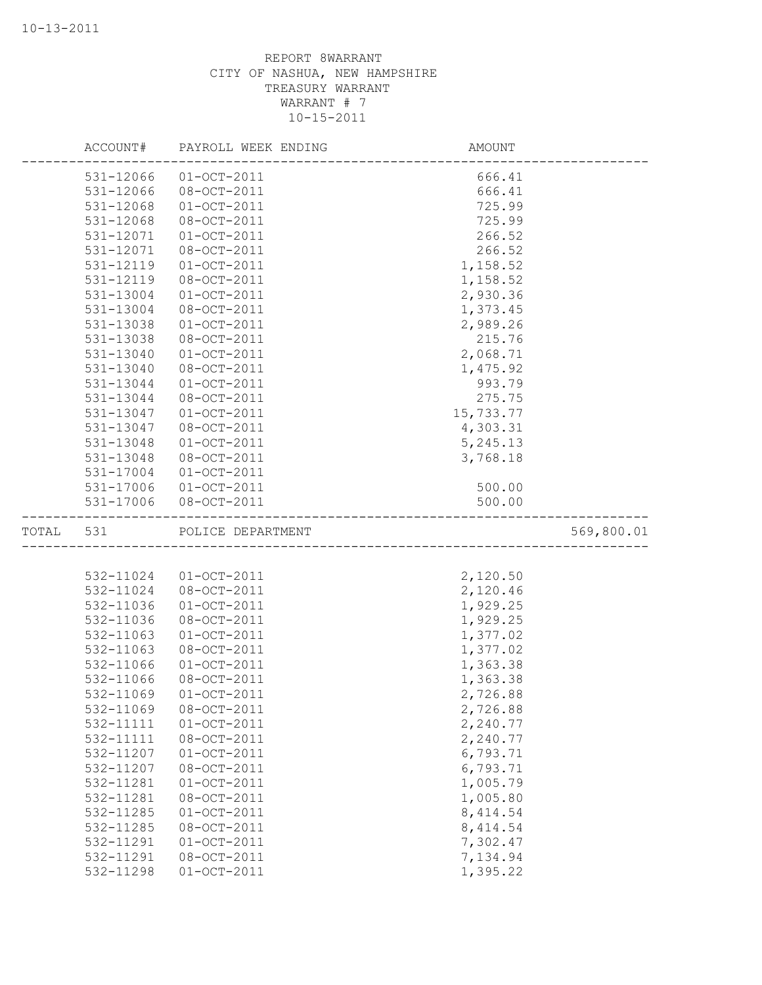|           | ACCOUNT#  | PAYROLL WEEK ENDING | AMOUNT    |            |
|-----------|-----------|---------------------|-----------|------------|
|           | 531-12066 | $01-0CT-2011$       | 666.41    |            |
|           | 531-12066 | 08-OCT-2011         | 666.41    |            |
|           | 531-12068 | $01-0CT-2011$       | 725.99    |            |
|           | 531-12068 | 08-OCT-2011         | 725.99    |            |
|           | 531-12071 | $01-0CT-2011$       | 266.52    |            |
|           | 531-12071 | 08-OCT-2011         | 266.52    |            |
|           | 531-12119 | $01-0CT-2011$       | 1,158.52  |            |
|           | 531-12119 | 08-OCT-2011         | 1,158.52  |            |
|           | 531-13004 | $01-0CT-2011$       | 2,930.36  |            |
|           | 531-13004 | 08-OCT-2011         | 1,373.45  |            |
|           | 531-13038 | $01-OCT-2011$       | 2,989.26  |            |
|           | 531-13038 | 08-OCT-2011         | 215.76    |            |
|           | 531-13040 | $01-0CT-2011$       | 2,068.71  |            |
|           | 531-13040 | 08-OCT-2011         | 1,475.92  |            |
|           | 531-13044 | $01-0CT-2011$       | 993.79    |            |
|           | 531-13044 | 08-OCT-2011         | 275.75    |            |
|           | 531-13047 | $01-0CT-2011$       | 15,733.77 |            |
|           | 531-13047 | 08-OCT-2011         | 4,303.31  |            |
|           | 531-13048 | $01 - OCT - 2011$   | 5,245.13  |            |
|           | 531-13048 | 08-OCT-2011         | 3,768.18  |            |
|           | 531-17004 | $01 - OCT - 2011$   |           |            |
|           | 531-17006 | $01 - OCT - 2011$   | 500.00    |            |
|           | 531-17006 | 08-OCT-2011         | 500.00    |            |
| TOTAL 531 |           | POLICE DEPARTMENT   |           | 569,800.01 |
|           |           |                     |           |            |
|           |           |                     |           |            |
|           | 532-11024 | $01-0CT-2011$       | 2,120.50  |            |
|           | 532-11024 | $08 - OCT - 2011$   | 2,120.46  |            |
|           | 532-11036 | $01-0CT-2011$       | 1,929.25  |            |
|           | 532-11036 | 08-OCT-2011         | 1,929.25  |            |
|           | 532-11063 | $01 - OCT - 2011$   | 1,377.02  |            |
|           | 532-11063 | 08-OCT-2011         | 1,377.02  |            |
|           | 532-11066 | $01-0CT-2011$       | 1,363.38  |            |
|           | 532-11066 | 08-OCT-2011         | 1,363.38  |            |
|           | 532-11069 | $01-0CT-2011$       | 2,726.88  |            |
|           | 532-11069 | 08-OCT-2011         | 2,726.88  |            |
|           | 532-11111 | $01 - OCT - 2011$   | 2,240.77  |            |
|           | 532-11111 | 08-OCT-2011         | 2,240.77  |            |
|           | 532-11207 | $01 - OCT - 2011$   | 6,793.71  |            |
|           | 532-11207 | 08-OCT-2011         | 6,793.71  |            |
|           | 532-11281 | $01-OCT-2011$       | 1,005.79  |            |
|           | 532-11281 | $08 - OCT - 2011$   | 1,005.80  |            |
|           | 532-11285 | $01 - OCT - 2011$   | 8, 414.54 |            |
|           | 532-11285 | $08 - OCT - 2011$   | 8, 414.54 |            |
|           | 532-11291 | $01 - OCT - 2011$   | 7,302.47  |            |
|           | 532-11291 | 08-OCT-2011         | 7,134.94  |            |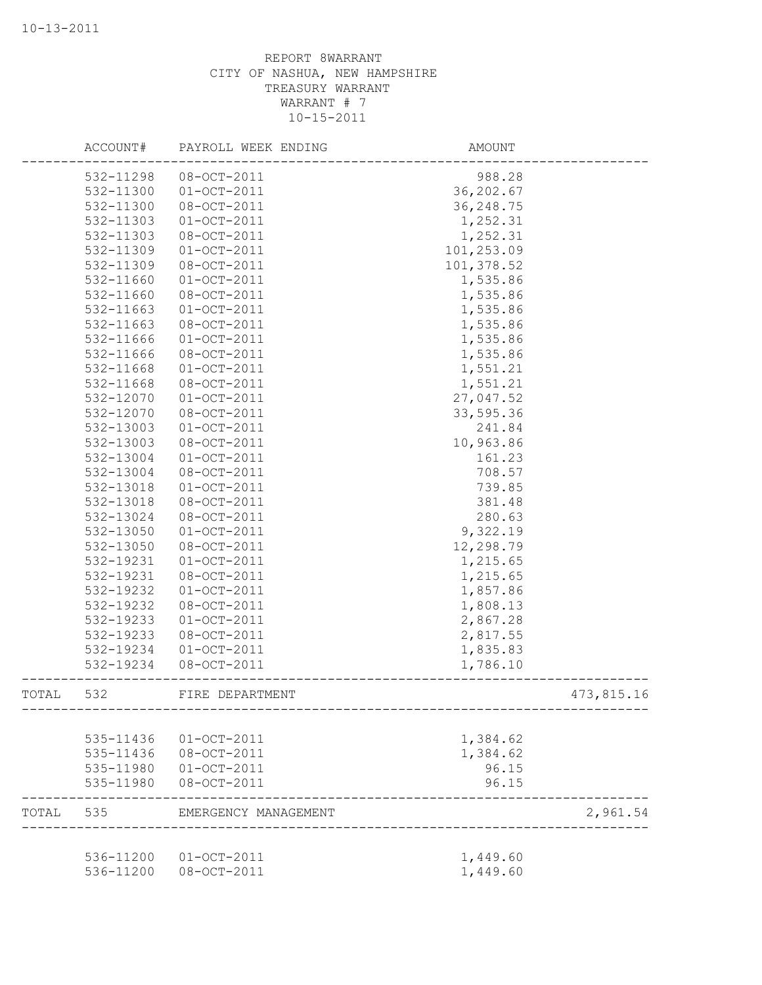|           | ACCOUNT#  | PAYROLL WEEK ENDING                            | AMOUNT     |            |
|-----------|-----------|------------------------------------------------|------------|------------|
|           | 532-11298 | $08 - OCT - 2011$                              | 988.28     |            |
|           | 532-11300 | $01 - OCT - 2011$                              | 36, 202.67 |            |
|           | 532-11300 | 08-OCT-2011                                    | 36, 248.75 |            |
|           | 532-11303 | $01 - OCT - 2011$                              | 1,252.31   |            |
|           | 532-11303 | 08-OCT-2011                                    | 1,252.31   |            |
|           | 532-11309 | $01 - OCT - 2011$                              | 101,253.09 |            |
|           | 532-11309 | 08-OCT-2011                                    | 101,378.52 |            |
|           | 532-11660 | $01 - OCT - 2011$                              | 1,535.86   |            |
|           | 532-11660 | 08-OCT-2011                                    | 1,535.86   |            |
|           | 532-11663 | $01 - OCT - 2011$                              | 1,535.86   |            |
|           | 532-11663 | 08-OCT-2011                                    | 1,535.86   |            |
|           | 532-11666 | $01-OCT-2011$                                  | 1,535.86   |            |
|           | 532-11666 | 08-OCT-2011                                    | 1,535.86   |            |
|           | 532-11668 | $01 - OCT - 2011$                              | 1,551.21   |            |
|           | 532-11668 | 08-OCT-2011                                    | 1,551.21   |            |
|           | 532-12070 | $01 - OCT - 2011$                              | 27,047.52  |            |
|           | 532-12070 | 08-OCT-2011                                    | 33,595.36  |            |
|           | 532-13003 | $01 - OCT - 2011$                              | 241.84     |            |
|           | 532-13003 | 08-OCT-2011                                    | 10,963.86  |            |
|           | 532-13004 | $01 - OCT - 2011$                              | 161.23     |            |
|           | 532-13004 | 08-OCT-2011                                    | 708.57     |            |
|           | 532-13018 | $01 - OCT - 2011$                              | 739.85     |            |
|           | 532-13018 | 08-OCT-2011                                    | 381.48     |            |
|           | 532-13024 | 08-OCT-2011                                    | 280.63     |            |
|           | 532-13050 | $01 - OCT - 2011$                              | 9,322.19   |            |
|           | 532-13050 | 08-OCT-2011                                    | 12,298.79  |            |
|           | 532-19231 | $01-0CT-2011$                                  | 1,215.65   |            |
|           | 532-19231 | 08-OCT-2011                                    | 1,215.65   |            |
|           | 532-19232 | $01-0CT-2011$                                  | 1,857.86   |            |
|           | 532-19232 | 08-OCT-2011                                    | 1,808.13   |            |
|           | 532-19233 | $01 - OCT - 2011$                              | 2,867.28   |            |
|           | 532-19233 | 08-OCT-2011                                    | 2,817.55   |            |
|           | 532-19234 | $01 - OCT - 2011$                              | 1,835.83   |            |
|           | 532-19234 | 08-OCT-2011                                    | 1,786.10   |            |
| TOTAL     | 532       | FIRE DEPARTMENT                                |            | 473,815.16 |
|           |           |                                                |            |            |
|           |           | 535-11436 01-OCT-2011                          | 1,384.62   |            |
|           |           | 535-11436 08-OCT-2011                          | 1,384.62   |            |
|           |           | 535-11980 01-OCT-2011                          | 96.15      |            |
|           |           | 535-11980 08-OCT-2011                          | 96.15      |            |
| TOTAL 535 |           | EMERGENCY MANAGEMENT                           |            | 2,961.54   |
|           |           |                                                |            |            |
|           |           | 536-11200 01-OCT-2011<br>536-11200 08-OCT-2011 | 1,449.60   |            |
|           |           |                                                | 1,449.60   |            |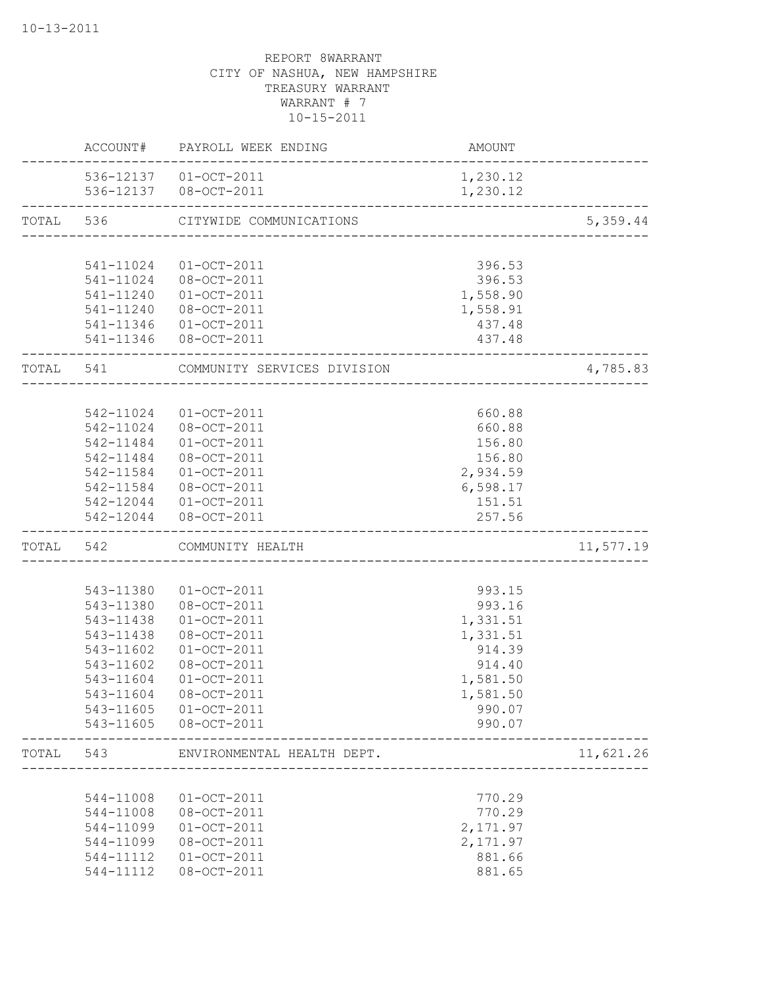|           |           | ACCOUNT# PAYROLL WEEK ENDING                         | AMOUNT                               |           |
|-----------|-----------|------------------------------------------------------|--------------------------------------|-----------|
|           |           | 536-12137 01-OCT-2011                                | 1,230.12                             |           |
|           |           | 536-12137  08-OCT-2011                               | 1,230.12                             |           |
|           |           | TOTAL 536 CITYWIDE COMMUNICATIONS                    | ________________________________     | 5,359.44  |
|           |           |                                                      |                                      |           |
|           | 541-11024 | 01-OCT-2011                                          | 396.53                               |           |
|           | 541-11024 | 08-OCT-2011                                          | 396.53                               |           |
|           | 541-11240 | $01 - OCT - 2011$                                    | 1,558.90                             |           |
|           | 541-11240 | 08-OCT-2011                                          | 1,558.91                             |           |
|           |           | 541-11346 01-OCT-2011                                | 437.48                               |           |
|           |           | 541-11346 08-OCT-2011                                | 437.48                               |           |
| TOTAL 541 |           | COMMUNITY SERVICES DIVISION                          | ____________________________________ | 4,785.83  |
|           |           |                                                      |                                      |           |
|           |           | 542-11024 01-OCT-2011                                | 660.88                               |           |
|           |           | 542-11024 08-OCT-2011                                | 660.88                               |           |
|           | 542-11484 | $01 - OCT - 2011$                                    | 156.80                               |           |
|           | 542-11484 | 08-OCT-2011                                          | 156.80                               |           |
|           | 542-11584 | $01 - OCT - 2011$                                    | 2,934.59                             |           |
|           |           | 542-11584 08-OCT-2011                                | 6,598.17                             |           |
|           |           | 542-12044 01-OCT-2011                                | 151.51                               |           |
|           |           | 542-12044 08-OCT-2011                                | 257.56                               |           |
| TOTAL     | 542       | COMMUNITY HEALTH                                     |                                      | 11,577.19 |
|           |           |                                                      |                                      |           |
|           | 543-11380 | 01-OCT-2011                                          | 993.15                               |           |
|           | 543-11380 | 08-OCT-2011                                          | 993.16                               |           |
|           | 543-11438 | $01-OCT-2011$                                        | 1,331.51                             |           |
|           | 543-11438 | 08-OCT-2011                                          | 1,331.51                             |           |
|           | 543-11602 | $01-0CT-2011$                                        | 914.39                               |           |
|           | 543-11602 | 08-OCT-2011                                          | 914.40                               |           |
|           | 543-11604 | $01 - OCT - 2011$                                    | 1,581.50                             |           |
|           | 543-11604 | $08 - OCT - 2011$                                    | 1,581.50                             |           |
|           | 543-11605 | $01 - OCT - 2011$                                    | 990.07                               |           |
|           | 543-11605 | 08-OCT-2011                                          | 990.07                               |           |
| TOTAL     | 543       | ENVIRONMENTAL HEALTH DEPT.<br>______________________ |                                      | 11,621.26 |
|           |           |                                                      |                                      |           |
|           | 544-11008 | $01 - OCT - 2011$                                    | 770.29                               |           |
|           | 544-11008 | $08 - OCT - 2011$                                    | 770.29                               |           |
|           | 544-11099 | $01-OCT-2011$                                        | 2,171.97                             |           |
|           | 544-11099 | 08-OCT-2011                                          | 2,171.97                             |           |
|           | 544-11112 | $01-OCT-2011$                                        | 881.66                               |           |
|           | 544-11112 | 08-OCT-2011                                          | 881.65                               |           |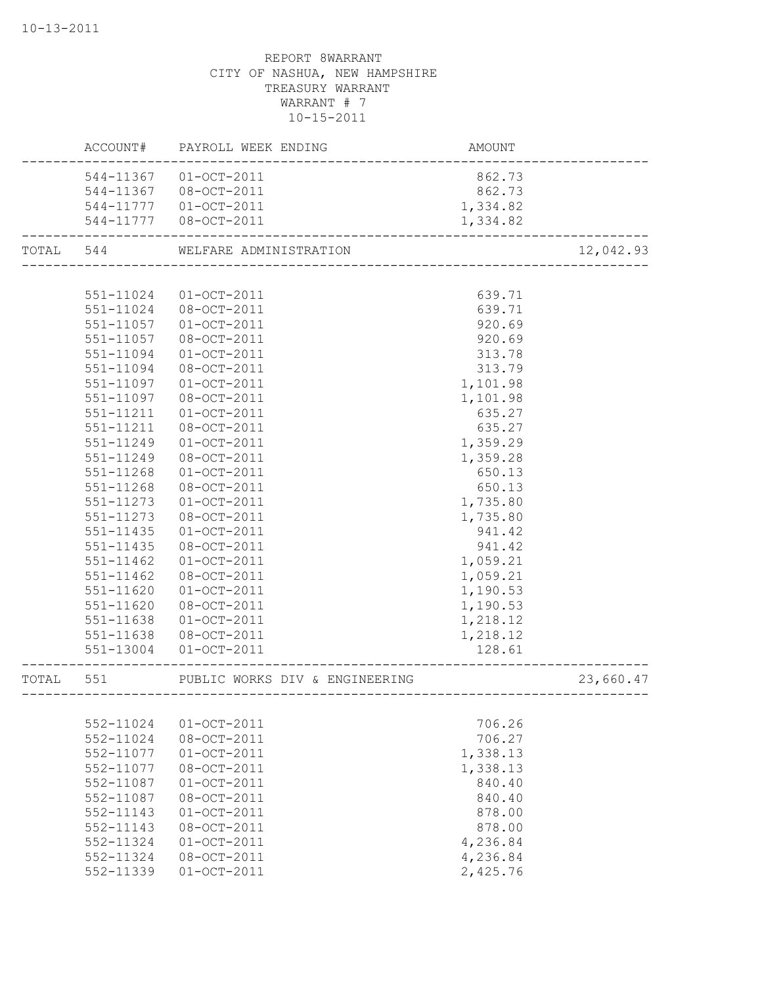|           |           | ACCOUNT# PAYROLL WEEK ENDING   | AMOUNT   |           |
|-----------|-----------|--------------------------------|----------|-----------|
|           | 544-11367 | $01 - OCT - 2011$              | 862.73   |           |
|           | 544-11367 | 08-OCT-2011                    | 862.73   |           |
|           | 544-11777 | $01 - OCT - 2011$              | 1,334.82 |           |
|           |           | 544-11777 08-OCT-2011          | 1,334.82 |           |
| TOTAL 544 |           | WELFARE ADMINISTRATION         |          | 12,042.93 |
|           |           |                                |          |           |
|           | 551-11024 | $01 - OCT - 2011$              | 639.71   |           |
|           | 551-11024 | 08-OCT-2011                    | 639.71   |           |
|           | 551-11057 | $01 - OCT - 2011$              | 920.69   |           |
|           | 551-11057 | 08-OCT-2011                    | 920.69   |           |
|           | 551-11094 | $01 - OCT - 2011$              | 313.78   |           |
|           | 551-11094 | 08-OCT-2011                    | 313.79   |           |
|           | 551-11097 | $01 - OCT - 2011$              | 1,101.98 |           |
|           | 551-11097 | 08-OCT-2011                    | 1,101.98 |           |
|           | 551-11211 | $01-0CT-2011$                  | 635.27   |           |
|           | 551-11211 | 08-OCT-2011                    | 635.27   |           |
|           | 551-11249 | $01-OCT-2011$                  | 1,359.29 |           |
|           | 551-11249 | 08-OCT-2011                    | 1,359.28 |           |
|           | 551-11268 | $01 - OCT - 2011$              | 650.13   |           |
|           | 551-11268 | 08-OCT-2011                    | 650.13   |           |
|           | 551-11273 | $01 - OCT - 2011$              | 1,735.80 |           |
|           | 551-11273 | 08-OCT-2011                    | 1,735.80 |           |
|           | 551-11435 | $01 - OCT - 2011$              | 941.42   |           |
|           | 551-11435 | 08-OCT-2011                    | 941.42   |           |
|           | 551-11462 | $01 - OCT - 2011$              | 1,059.21 |           |
|           | 551-11462 | 08-OCT-2011                    | 1,059.21 |           |
|           | 551-11620 | $01 - OCT - 2011$              | 1,190.53 |           |
|           | 551-11620 | 08-OCT-2011                    | 1,190.53 |           |
|           | 551-11638 | $01-0CT-2011$                  | 1,218.12 |           |
|           | 551-11638 | 08-OCT-2011                    | 1,218.12 |           |
|           | 551-13004 | $01 - OCT - 2011$              | 128.61   |           |
| TOTAL     | 551       | PUBLIC WORKS DIV & ENGINEERING |          | 23,660.47 |
|           |           |                                |          |           |
|           | 552-11024 | $01 - OCT - 2011$              | 706.26   |           |
|           | 552-11024 | 08-OCT-2011                    | 706.27   |           |
|           | 552-11077 | $01 - OCT - 2011$              | 1,338.13 |           |
|           | 552-11077 | 08-OCT-2011                    | 1,338.13 |           |
|           | 552-11087 | $01 - OCT - 2011$              | 840.40   |           |
|           | 552-11087 | 08-OCT-2011                    | 840.40   |           |
|           | 552-11143 | $01 - OCT - 2011$              | 878.00   |           |
|           | 552-11143 | 08-OCT-2011                    | 878.00   |           |
|           | 552-11324 | $01-0CT-2011$                  | 4,236.84 |           |
|           | 552-11324 | 08-OCT-2011                    | 4,236.84 |           |
|           | 552-11339 | $01-0CT-2011$                  | 2,425.76 |           |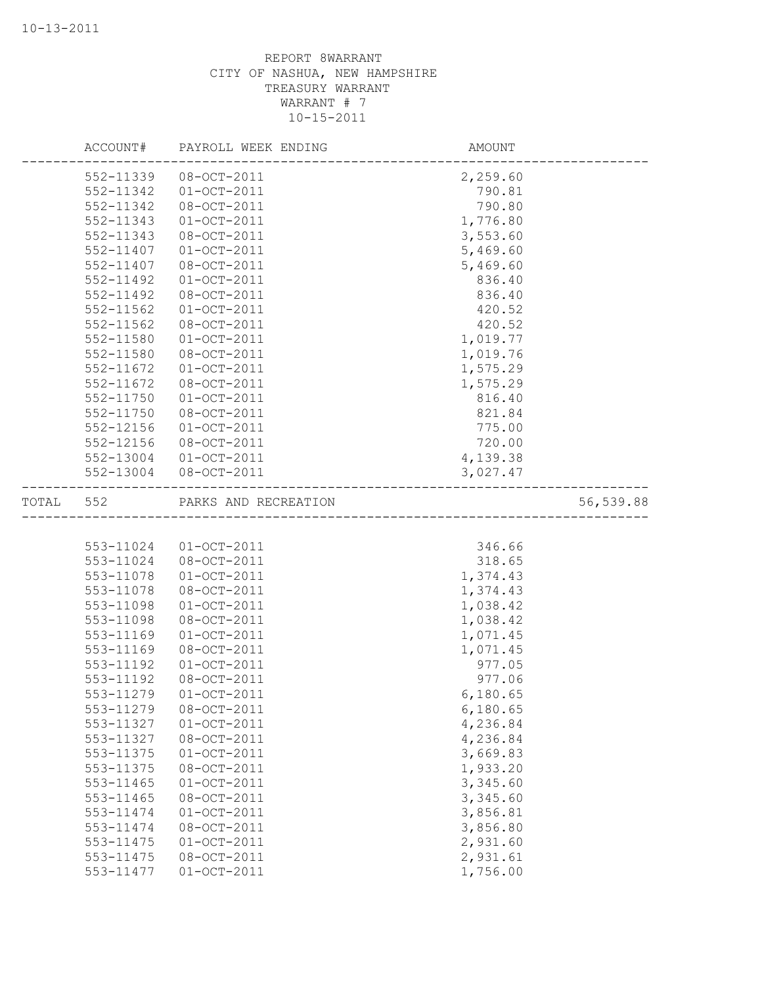|           | ACCOUNT#  | PAYROLL WEEK ENDING   | AMOUNT               |           |
|-----------|-----------|-----------------------|----------------------|-----------|
|           | 552-11339 | 08-OCT-2011           | 2,259.60             |           |
|           | 552-11342 | $01-0CT-2011$         | 790.81               |           |
|           | 552-11342 | 08-OCT-2011           | 790.80               |           |
|           | 552-11343 | $01-OCT-2011$         | 1,776.80             |           |
|           | 552-11343 | 08-OCT-2011           | 3,553.60             |           |
|           | 552-11407 | $01 - OCT - 2011$     | 5,469.60             |           |
|           | 552-11407 | 08-OCT-2011           | 5,469.60             |           |
|           | 552-11492 | $01-0CT-2011$         | 836.40               |           |
|           | 552-11492 | 08-OCT-2011           | 836.40               |           |
|           | 552-11562 | $01-0CT-2011$         | 420.52               |           |
|           | 552-11562 | 08-OCT-2011           | 420.52               |           |
|           | 552-11580 | $01-0CT-2011$         | 1,019.77             |           |
|           | 552-11580 | 08-OCT-2011           | 1,019.76             |           |
|           | 552-11672 | $01-0CT-2011$         | 1,575.29             |           |
|           | 552-11672 | 08-OCT-2011           | 1,575.29             |           |
|           | 552-11750 | $01-OCT-2011$         | 816.40               |           |
|           | 552-11750 | 08-OCT-2011           | 821.84               |           |
|           | 552-12156 | $01-OCT-2011$         | 775.00               |           |
|           | 552-12156 | 08-OCT-2011           | 720.00               |           |
|           | 552-13004 | $01 - OCT - 2011$     | 4,139.38             |           |
|           | 552-13004 | $08 - OCT - 2011$     | 3,027.47             |           |
| TOTAL 552 |           | PARKS AND RECREATION  | -------------------- | 56,539.88 |
|           |           |                       |                      |           |
|           | 553-11024 | $01-OCT-2011$         | 346.66               |           |
|           | 553-11024 | 08-OCT-2011           | 318.65               |           |
|           | 553-11078 | $01 - OCT - 2011$     | 1,374.43             |           |
|           | 553-11078 | 08-OCT-2011           | 1,374.43             |           |
|           | 553-11098 | $01-0CT-2011$         | 1,038.42             |           |
|           | 553-11098 | 08-OCT-2011           | 1,038.42             |           |
|           | 553-11169 | $01-0CT-2011$         | 1,071.45             |           |
|           | 553-11169 | 08-OCT-2011           | 1,071.45             |           |
|           | 553-11192 | $01 - OCT - 2011$     | 977.05               |           |
|           | 553-11192 | 08-OCT-2011           | 977.06               |           |
|           |           | 553-11279 01-OCT-2011 | 6,180.65             |           |
|           | 553-11279 | $08 - OCT - 2011$     | 6,180.65             |           |
|           | 553-11327 | $01 - OCT - 2011$     | 4,236.84             |           |
|           | 553-11327 | 08-OCT-2011           | 4,236.84             |           |
|           | 553-11375 | $01 - OCT - 2011$     | 3,669.83             |           |
|           | 553-11375 | $08 - OCT - 2011$     | 1,933.20             |           |
|           | 553-11465 | $01 - OCT - 2011$     | 3,345.60             |           |
|           | 553-11465 | $08 - OCT - 2011$     | 3,345.60             |           |
|           | 553-11474 | $01 - OCT - 2011$     | 3,856.81             |           |
|           | 553-11474 | $08 - OCT - 2011$     | 3,856.80             |           |
|           | 553-11475 | $01 - OCT - 2011$     | 2,931.60             |           |
|           | 553-11475 | 08-OCT-2011           | 2,931.61             |           |
|           | 553-11477 | $01 - OCT - 2011$     | 1,756.00             |           |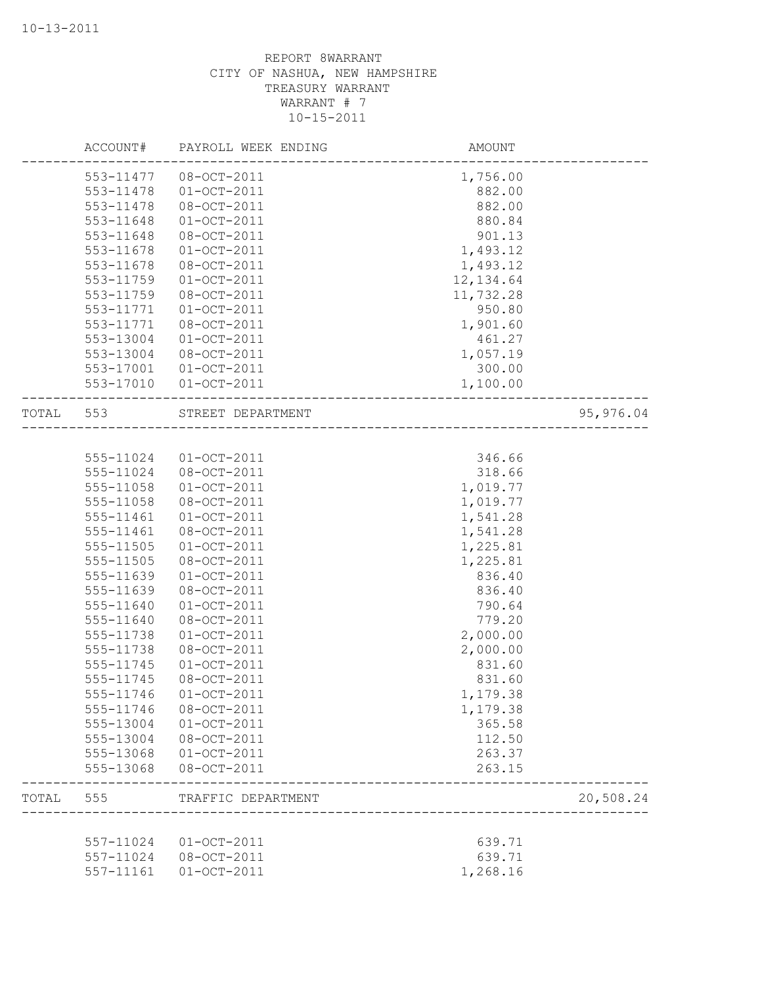|       | ACCOUNT#  | PAYROLL WEEK ENDING | AMOUNT     |           |
|-------|-----------|---------------------|------------|-----------|
|       | 553-11477 | 08-OCT-2011         | 1,756.00   |           |
|       | 553-11478 | $01 - OCT - 2011$   | 882.00     |           |
|       | 553-11478 | 08-OCT-2011         | 882.00     |           |
|       | 553-11648 | $01 - OCT - 2011$   | 880.84     |           |
|       | 553-11648 | 08-OCT-2011         | 901.13     |           |
|       | 553-11678 | $01 - OCT - 2011$   | 1,493.12   |           |
|       | 553-11678 | 08-OCT-2011         | 1,493.12   |           |
|       | 553-11759 | $01 - OCT - 2011$   | 12, 134.64 |           |
|       | 553-11759 | 08-OCT-2011         | 11,732.28  |           |
|       | 553-11771 | $01 - OCT - 2011$   | 950.80     |           |
|       | 553-11771 | 08-OCT-2011         | 1,901.60   |           |
|       | 553-13004 | $01-OCT-2011$       | 461.27     |           |
|       | 553-13004 | 08-OCT-2011         | 1,057.19   |           |
|       | 553-17001 | $01 - OCT - 2011$   | 300.00     |           |
|       | 553-17010 | $01 - OCT - 2011$   | 1,100.00   |           |
| TOTAL | 553       | STREET DEPARTMENT   |            | 95,976.04 |
|       |           |                     |            |           |
|       | 555-11024 | $01 - OCT - 2011$   | 346.66     |           |
|       | 555-11024 | 08-OCT-2011         | 318.66     |           |
|       | 555-11058 | $01 - OCT - 2011$   | 1,019.77   |           |
|       | 555-11058 | 08-OCT-2011         | 1,019.77   |           |
|       | 555-11461 | $01 - OCT - 2011$   | 1,541.28   |           |
|       | 555-11461 | 08-OCT-2011         | 1,541.28   |           |
|       | 555-11505 | $01 - OCT - 2011$   | 1,225.81   |           |
|       | 555-11505 | 08-OCT-2011         | 1,225.81   |           |
|       | 555-11639 | $01 - OCT - 2011$   | 836.40     |           |
|       | 555-11639 | 08-OCT-2011         | 836.40     |           |
|       | 555-11640 | $01 - OCT - 2011$   | 790.64     |           |
|       | 555-11640 | 08-OCT-2011         | 779.20     |           |
|       | 555-11738 | $01 - OCT - 2011$   | 2,000.00   |           |
|       | 555-11738 | 08-OCT-2011         | 2,000.00   |           |
|       | 555-11745 | $01-0CT-2011$       | 831.60     |           |
|       | 555-11745 | 08-OCT-2011         | 831.60     |           |
|       | 555-11746 | 01-OCT-2011         | 1,179.38   |           |
|       | 555-11746 | 08-OCT-2011         | 1,179.38   |           |
|       | 555-13004 | $01-0CT-2011$       | 365.58     |           |
|       | 555-13004 | 08-OCT-2011         | 112.50     |           |
|       | 555-13068 | $01 - OCT - 2011$   | 263.37     |           |
|       | 555-13068 | 08-OCT-2011         | 263.15     |           |
| TOTAL | 555       | TRAFFIC DEPARTMENT  |            | 20,508.24 |
|       |           |                     |            |           |
|       | 557-11024 | $01 - OCT - 2011$   | 639.71     |           |
|       | 557-11024 | 08-OCT-2011         | 639.71     |           |
|       | 557-11161 | $01 - OCT - 2011$   | 1,268.16   |           |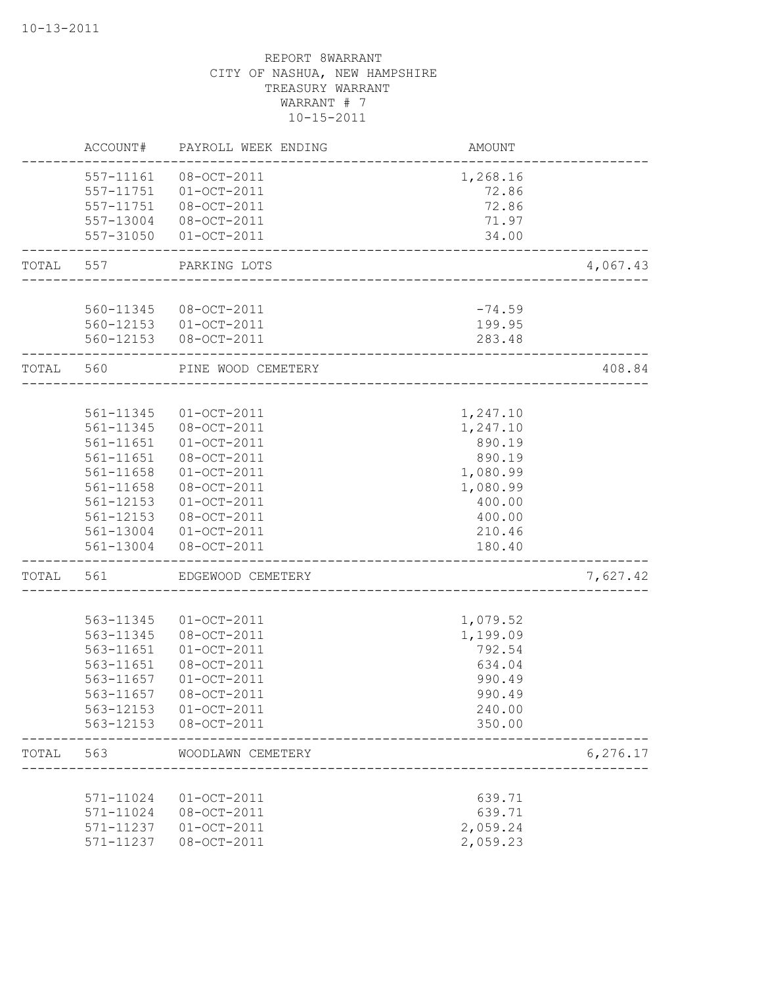|       | ACCOUNT#               | PAYROLL WEEK ENDING              | AMOUNT                         |           |
|-------|------------------------|----------------------------------|--------------------------------|-----------|
|       | 557-11161              | 08-OCT-2011                      | 1,268.16                       |           |
|       | 557-11751              | $01 - OCT - 2011$                | 72.86                          |           |
|       | 557-11751              | 08-OCT-2011                      | 72.86                          |           |
|       | 557-13004              | 08-OCT-2011                      | 71.97                          |           |
|       | 557-31050              | $01 - OCT - 2011$                | 34.00                          |           |
| TOTAL | 557                    | PARKING LOTS                     | --------------------------     | 4,067.43  |
|       |                        | 560-11345 08-OCT-2011            | $-74.59$                       |           |
|       |                        | 560-12153 01-OCT-2011            | 199.95                         |           |
|       | 560-12153              | 08-OCT-2011                      | 283.48                         |           |
| TOTAL | 560                    | PINE WOOD CEMETERY               | ______________________________ | 408.84    |
|       |                        |                                  |                                |           |
|       | 561-11345              | $01 - OCT - 2011$                | 1,247.10                       |           |
|       | 561-11345              | 08-OCT-2011                      | 1,247.10                       |           |
|       | 561-11651              | $01-OCT-2011$                    | 890.19                         |           |
|       | 561-11651              | 08-OCT-2011                      | 890.19                         |           |
|       | 561-11658              | $01 - OCT - 2011$                | 1,080.99                       |           |
|       | 561-11658              | 08-OCT-2011                      | 1,080.99                       |           |
|       | 561-12153              | $01-0CT-2011$                    | 400.00                         |           |
|       | 561-12153              | 08-OCT-2011                      | 400.00                         |           |
|       |                        | 561-13004 01-OCT-2011            | 210.46                         |           |
|       | 561-13004              | 08-OCT-2011                      | 180.40                         |           |
| TOTAL | 561                    | EDGEWOOD CEMETERY                |                                | 7,627.42  |
|       |                        |                                  |                                |           |
|       | 563-11345<br>563-11345 | $01 - OCT - 2011$<br>08-OCT-2011 | 1,079.52<br>1,199.09           |           |
|       | 563-11651              | $01-OCT-2011$                    | 792.54                         |           |
|       | 563-11651              | 08-OCT-2011                      | 634.04                         |           |
|       | 563-11657              | $01-0CT-2011$                    | 990.49                         |           |
|       | 563-11657              | $08 - OCT - 2011$                | 990.49                         |           |
|       | 563-12153              | $01-0CT-2011$                    | 240.00                         |           |
|       | 563-12153              | 08-OCT-2011                      | 350.00                         |           |
| TOTAL | 563                    | WOODLAWN CEMETERY                |                                | 6, 276.17 |
|       |                        |                                  |                                |           |
|       | 571-11024              | $01-0CT-2011$                    | 639.71                         |           |
|       | 571-11024              | 08-OCT-2011                      | 639.71                         |           |
|       | 571-11237              | $01-OCT-2011$                    | 2,059.24                       |           |
|       | 571-11237              | 08-OCT-2011                      | 2,059.23                       |           |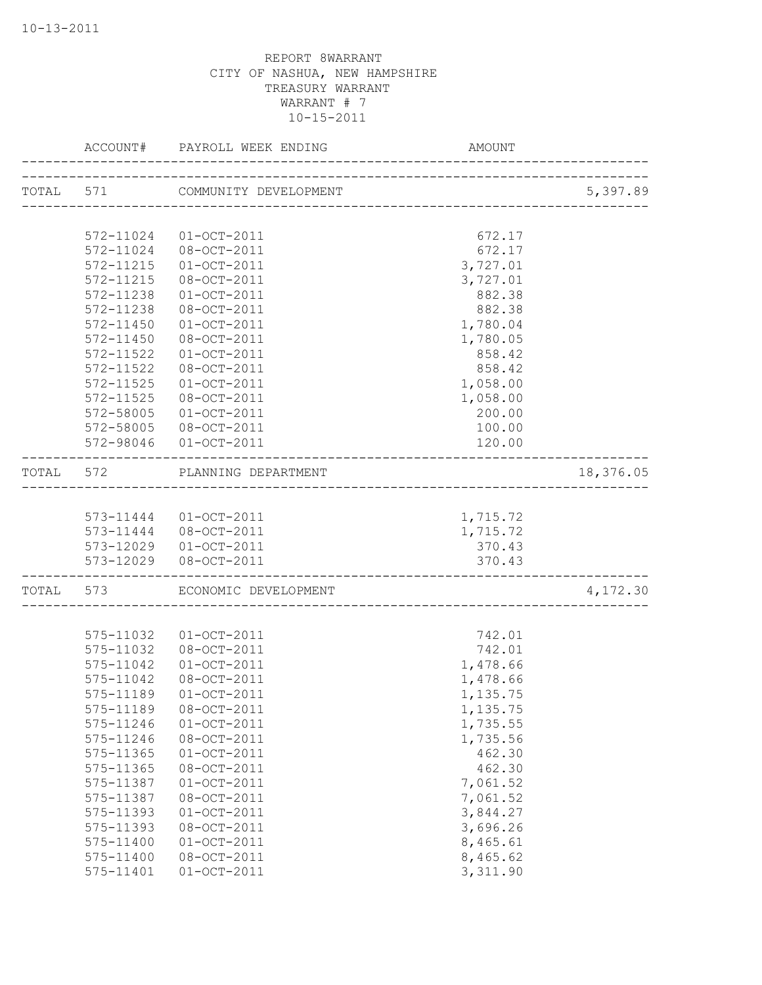|           |           | ACCOUNT# PAYROLL WEEK ENDING | AMOUNT                   |           |
|-----------|-----------|------------------------------|--------------------------|-----------|
| TOTAL 571 |           | COMMUNITY DEVELOPMENT        |                          | 5,397.89  |
|           |           |                              | ------------------------ |           |
|           | 572-11024 | $01-OCT-2011$                | 672.17                   |           |
|           | 572-11024 | 08-OCT-2011                  | 672.17                   |           |
|           | 572-11215 | $01-OCT-2011$                | 3,727.01                 |           |
|           | 572-11215 | 08-OCT-2011                  | 3,727.01                 |           |
|           | 572-11238 | $01 - OCT - 2011$            | 882.38                   |           |
|           | 572-11238 | 08-OCT-2011                  | 882.38                   |           |
|           | 572-11450 | $01-OCT-2011$                | 1,780.04                 |           |
|           | 572-11450 | 08-OCT-2011                  | 1,780.05                 |           |
|           | 572-11522 | $01 - OCT - 2011$            | 858.42                   |           |
|           | 572-11522 | 08-OCT-2011                  | 858.42                   |           |
|           | 572-11525 | $01 - OCT - 2011$            | 1,058.00                 |           |
|           | 572-11525 | 08-OCT-2011                  | 1,058.00                 |           |
|           | 572-58005 | $01-OCT-2011$                | 200.00                   |           |
|           | 572-58005 | 08-OCT-2011                  | 100.00                   |           |
|           |           | 572-98046 01-OCT-2011        | 120.00                   |           |
| TOTAL 572 |           | PLANNING DEPARTMENT          |                          | 18,376.05 |
|           |           |                              |                          |           |
|           |           | 573-11444 01-OCT-2011        | 1,715.72                 |           |
|           |           | 573-11444 08-OCT-2011        | 1,715.72                 |           |
|           |           | 573-12029 01-OCT-2011        | 370.43                   |           |
|           |           | 573-12029 08-OCT-2011        | 370.43                   |           |
|           | TOTAL 573 | ECONOMIC DEVELOPMENT         | __________________       | 4,172.30  |
|           |           |                              |                          |           |
|           | 575-11032 | $01 - OCT - 2011$            | 742.01                   |           |
|           | 575-11032 | 08-OCT-2011                  | 742.01                   |           |
|           | 575-11042 | $01 - OCT - 2011$            | 1,478.66                 |           |
|           | 575-11042 | 08-OCT-2011                  | 1,478.66                 |           |
|           | 575-11189 | $01 - OCT - 2011$            | 1,135.75                 |           |
|           | 575-11189 | $08 - OCT - 2011$            | 1,135.75                 |           |
|           | 575-11246 | $01-0CT-2011$                | 1,735.55                 |           |
|           | 575-11246 | 08-OCT-2011                  | 1,735.56                 |           |
|           | 575-11365 | $01 - OCT - 2011$            | 462.30                   |           |
|           | 575-11365 | 08-OCT-2011                  | 462.30                   |           |
|           | 575-11387 | $01 - OCT - 2011$            | 7,061.52                 |           |
|           | 575-11387 | 08-OCT-2011                  | 7,061.52                 |           |
|           | 575-11393 | $01-OCT-2011$                | 3,844.27                 |           |
|           | 575-11393 | 08-OCT-2011                  | 3,696.26                 |           |
|           | 575-11400 | $01 - OCT - 2011$            | 8,465.61                 |           |
|           | 575-11400 | 08-OCT-2011                  | 8,465.62                 |           |
|           | 575-11401 | $01-OCT-2011$                | 3,311.90                 |           |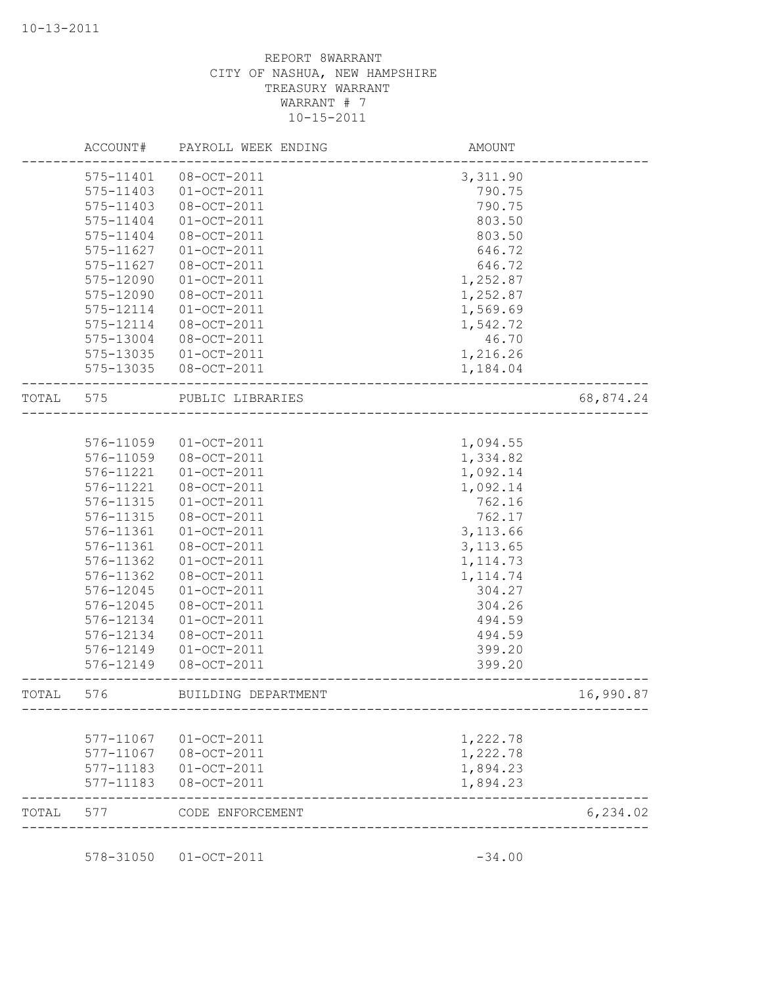|       | ACCOUNT#               | PAYROLL WEEK ENDING          | AMOUNT             |           |
|-------|------------------------|------------------------------|--------------------|-----------|
|       | 575-11401<br>575-11403 | 08-OCT-2011<br>$01-0CT-2011$ | 3,311.90<br>790.75 |           |
|       | 575-11403              | 08-OCT-2011                  | 790.75             |           |
|       | 575-11404              | $01-0CT-2011$                | 803.50             |           |
|       | 575-11404              | 08-OCT-2011                  | 803.50             |           |
|       | 575-11627              | $01-0CT-2011$                | 646.72             |           |
|       | 575-11627              | 08-OCT-2011                  | 646.72             |           |
|       | 575-12090              | $01-0CT-2011$                | 1,252.87           |           |
|       | 575-12090              | 08-OCT-2011                  | 1,252.87           |           |
|       | 575-12114              | $01-0CT-2011$                | 1,569.69           |           |
|       | 575-12114              | 08-OCT-2011                  | 1,542.72           |           |
|       | 575-13004              | $08 - OCT - 2011$            | 46.70              |           |
|       | 575-13035              | $01-OCT-2011$                | 1,216.26           |           |
|       | 575-13035              | 08-OCT-2011                  | 1,184.04           |           |
| TOTAL | 575                    | PUBLIC LIBRARIES             |                    | 68,874.24 |
|       |                        |                              |                    |           |
|       | 576-11059              | $01-0CT-2011$                | 1,094.55           |           |
|       | 576-11059              | 08-OCT-2011                  | 1,334.82           |           |
|       | 576-11221              | $01-0CT-2011$                | 1,092.14           |           |
|       | 576-11221              | 08-OCT-2011                  | 1,092.14           |           |
|       | 576-11315              | $01 - OCT - 2011$            | 762.16             |           |
|       | 576-11315              | 08-OCT-2011                  | 762.17             |           |
|       | 576-11361              | $01 - OCT - 2011$            | 3, 113.66          |           |
|       | 576-11361              | 08-OCT-2011                  | 3, 113.65          |           |
|       | 576-11362              | $01-0CT-2011$                | 1, 114.73          |           |
|       | 576-11362              | 08-OCT-2011                  | 1, 114.74          |           |
|       | 576-12045              | $01 - OCT - 2011$            | 304.27             |           |
|       | 576-12045              | 08-OCT-2011                  | 304.26             |           |
|       | 576-12134              | $01-0CT-2011$                | 494.59             |           |
|       | 576-12134              | 08-OCT-2011                  | 494.59             |           |
|       | 576-12149              | $01 - OCT - 2011$            | 399.20             |           |
|       | 576-12149              | 08-OCT-2011                  | 399.20             |           |
| TOTAL | 576                    | BUILDING DEPARTMENT          |                    | 16,990.87 |
|       | 577-11067              | $01-OCT-2011$                | 1,222.78           |           |
|       | 577-11067              | 08-OCT-2011                  | 1,222.78           |           |
|       | 577-11183              | $01-OCT-2011$                | 1,894.23           |           |
|       | 577-11183              | 08-OCT-2011                  | 1,894.23           |           |
| TOTAL | 577                    | CODE ENFORCEMENT             |                    | 6, 234.02 |

578-31050 01-OCT-2011 -34.00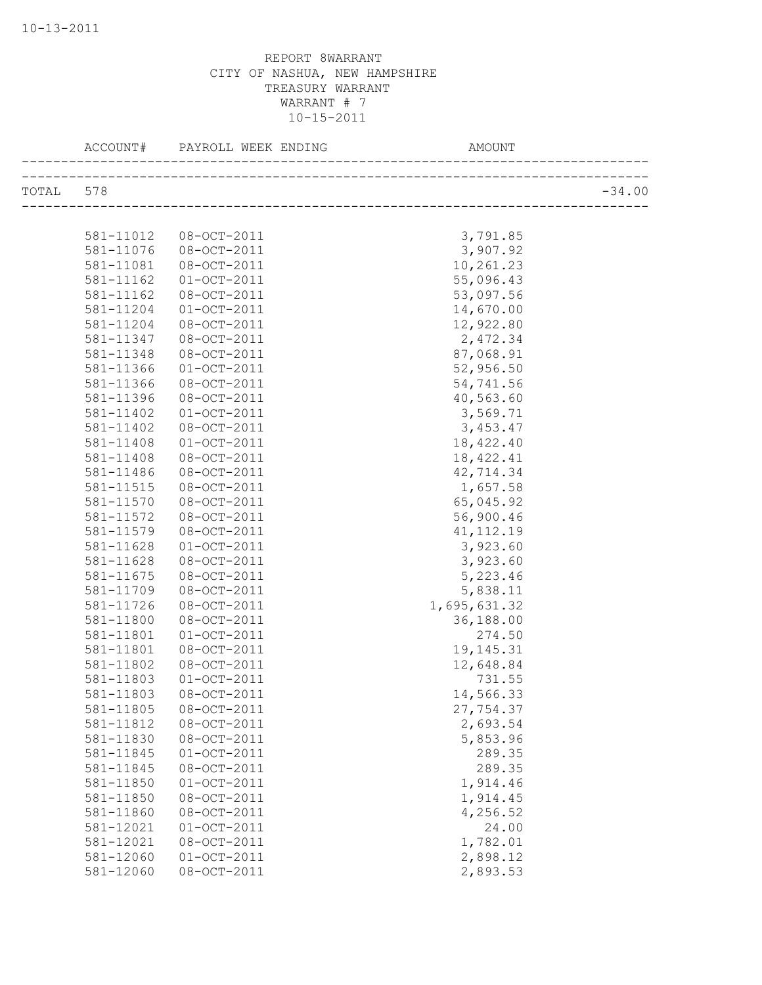|           |                        | ACCOUNT# PAYROLL WEEK ENDING | AMOUNT       |          |
|-----------|------------------------|------------------------------|--------------|----------|
| TOTAL 578 |                        |                              |              | $-34.00$ |
|           |                        |                              |              |          |
|           | 581-11012              | 08-OCT-2011                  | 3,791.85     |          |
|           | 581-11076              | 08-OCT-2011                  | 3,907.92     |          |
|           | 581-11081              | 08-OCT-2011                  | 10,261.23    |          |
|           | 581-11162              | $01 - OCT - 2011$            | 55,096.43    |          |
|           | 581-11162              | 08-OCT-2011                  | 53,097.56    |          |
|           | 581-11204              | $01 - OCT - 2011$            | 14,670.00    |          |
|           | 581-11204              | 08-OCT-2011                  | 12,922.80    |          |
|           | 581-11347              | 08-OCT-2011                  | 2,472.34     |          |
|           | 581-11348              | 08-OCT-2011                  | 87,068.91    |          |
|           | 581-11366              | $01 - OCT - 2011$            | 52,956.50    |          |
|           | 581-11366              | 08-OCT-2011                  | 54,741.56    |          |
|           | 581-11396              | 08-OCT-2011                  | 40,563.60    |          |
|           | 581-11402              | $01-OCT-2011$                | 3,569.71     |          |
|           | 581-11402              | 08-OCT-2011                  | 3,453.47     |          |
|           | 581-11408              | $01 - OCT - 2011$            | 18,422.40    |          |
|           | 581-11408              | 08-OCT-2011                  | 18, 422.41   |          |
|           |                        | 08-OCT-2011                  | 42,714.34    |          |
|           | 581-11486<br>581-11515 |                              |              |          |
|           |                        | 08-OCT-2011                  | 1,657.58     |          |
|           | 581-11570              | 08-OCT-2011                  | 65,045.92    |          |
|           | 581-11572              | 08-OCT-2011                  | 56,900.46    |          |
|           | 581-11579              | 08-OCT-2011                  | 41, 112.19   |          |
|           | 581-11628              | $01 - OCT - 2011$            | 3,923.60     |          |
|           | 581-11628              | 08-OCT-2011                  | 3,923.60     |          |
|           | 581-11675              | 08-OCT-2011                  | 5,223.46     |          |
|           | 581-11709              | 08-OCT-2011                  | 5,838.11     |          |
|           | 581-11726              | 08-OCT-2011                  | 1,695,631.32 |          |
|           | 581-11800              | 08-OCT-2011                  | 36,188.00    |          |
|           | 581-11801              | $01-0CT-2011$                | 274.50       |          |
|           | 581-11801              | 08-OCT-2011                  | 19, 145. 31  |          |
|           | 581-11802              | 08-OCT-2011                  | 12,648.84    |          |
|           | 581-11803              | $01-OCT-2011$                | 731.55       |          |
|           | 581-11803              | 08-OCT-2011                  | 14,566.33    |          |
|           | 581-11805              | 08-OCT-2011                  | 27,754.37    |          |
|           | 581-11812              | 08-OCT-2011                  | 2,693.54     |          |
|           | 581-11830              | 08-OCT-2011                  | 5,853.96     |          |
|           | 581-11845              | $01-OCT-2011$                | 289.35       |          |
|           | 581-11845              | 08-OCT-2011                  | 289.35       |          |
|           | 581-11850              | $01 - OCT - 2011$            | 1,914.46     |          |
|           | 581-11850              | 08-OCT-2011                  | 1,914.45     |          |
|           | 581-11860              | 08-OCT-2011                  | 4,256.52     |          |
|           | 581-12021              | $01-OCT-2011$                | 24.00        |          |
|           | 581-12021              | 08-OCT-2011                  | 1,782.01     |          |
|           | 581-12060              | $01 - OCT - 2011$            | 2,898.12     |          |
|           | 581-12060              | 08-OCT-2011                  | 2,893.53     |          |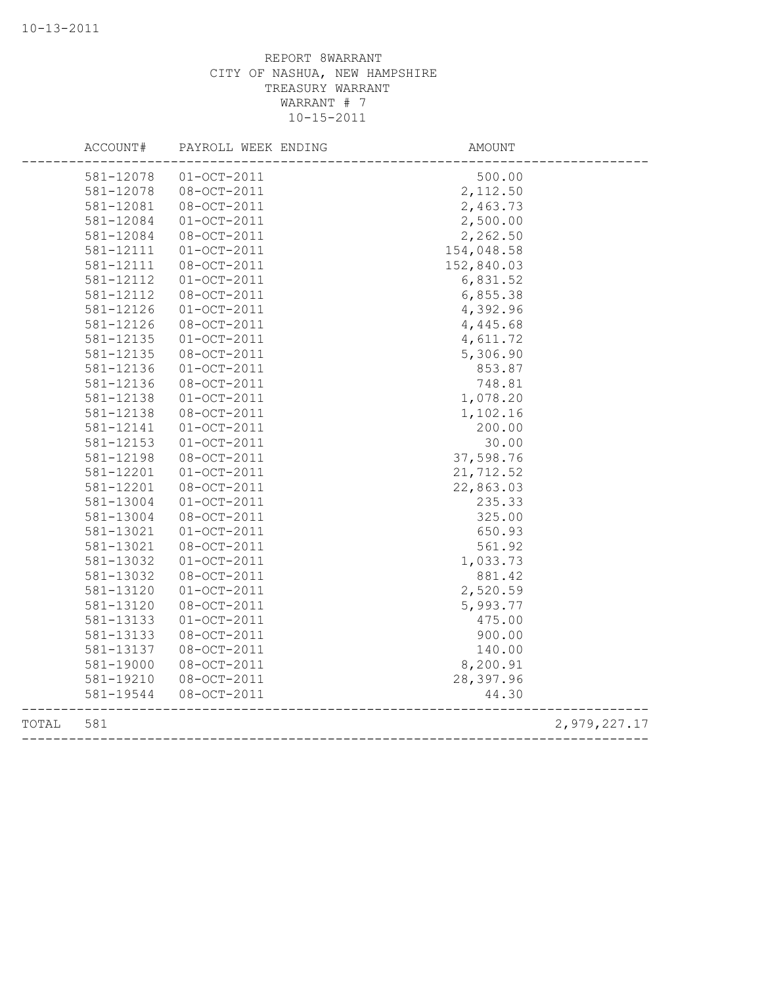|       | ACCOUNT#  | PAYROLL WEEK ENDING | <b>AMOUNT</b> |              |
|-------|-----------|---------------------|---------------|--------------|
|       | 581-12078 | $01 - OCT - 2011$   | 500.00        |              |
|       | 581-12078 | 08-OCT-2011         | 2,112.50      |              |
|       | 581-12081 | 08-OCT-2011         | 2,463.73      |              |
|       | 581-12084 | $01-OCT-2011$       | 2,500.00      |              |
|       | 581-12084 | 08-OCT-2011         | 2,262.50      |              |
|       | 581-12111 | $01-OCT-2011$       | 154,048.58    |              |
|       | 581-12111 | 08-OCT-2011         | 152,840.03    |              |
|       | 581-12112 | $01-0CT-2011$       | 6,831.52      |              |
|       | 581-12112 | 08-OCT-2011         | 6,855.38      |              |
|       | 581-12126 | $01 - OCT - 2011$   | 4,392.96      |              |
|       | 581-12126 | 08-OCT-2011         | 4,445.68      |              |
|       | 581-12135 | $01-OCT-2011$       | 4,611.72      |              |
|       | 581-12135 | 08-OCT-2011         | 5,306.90      |              |
|       | 581-12136 | $01 - OCT - 2011$   | 853.87        |              |
|       | 581-12136 | 08-OCT-2011         | 748.81        |              |
|       | 581-12138 | $01-OCT-2011$       | 1,078.20      |              |
|       | 581-12138 | 08-OCT-2011         | 1,102.16      |              |
|       | 581-12141 | $01-OCT-2011$       | 200.00        |              |
|       | 581-12153 | $01-0CT-2011$       | 30.00         |              |
|       | 581-12198 | 08-OCT-2011         | 37,598.76     |              |
|       | 581-12201 | $01-OCT-2011$       | 21,712.52     |              |
|       | 581-12201 | 08-OCT-2011         | 22,863.03     |              |
|       | 581-13004 | $01 - OCT - 2011$   | 235.33        |              |
|       | 581-13004 | 08-OCT-2011         | 325.00        |              |
|       | 581-13021 | $01-0CT-2011$       | 650.93        |              |
|       | 581-13021 | 08-OCT-2011         | 561.92        |              |
|       | 581-13032 | $01-OCT-2011$       | 1,033.73      |              |
|       | 581-13032 | 08-OCT-2011         | 881.42        |              |
|       | 581-13120 | $01 - OCT - 2011$   | 2,520.59      |              |
|       | 581-13120 | 08-OCT-2011         | 5,993.77      |              |
|       | 581-13133 | $01 - OCT - 2011$   | 475.00        |              |
|       | 581-13133 | 08-OCT-2011         | 900.00        |              |
|       | 581-13137 | 08-OCT-2011         | 140.00        |              |
|       | 581-19000 | 08-OCT-2011         | 8,200.91      |              |
|       | 581-19210 | 08-OCT-2011         | 28,397.96     |              |
|       | 581-19544 | 08-OCT-2011         | 44.30         |              |
| TOTAL | 581       |                     |               | 2,979,227.17 |
|       |           |                     |               |              |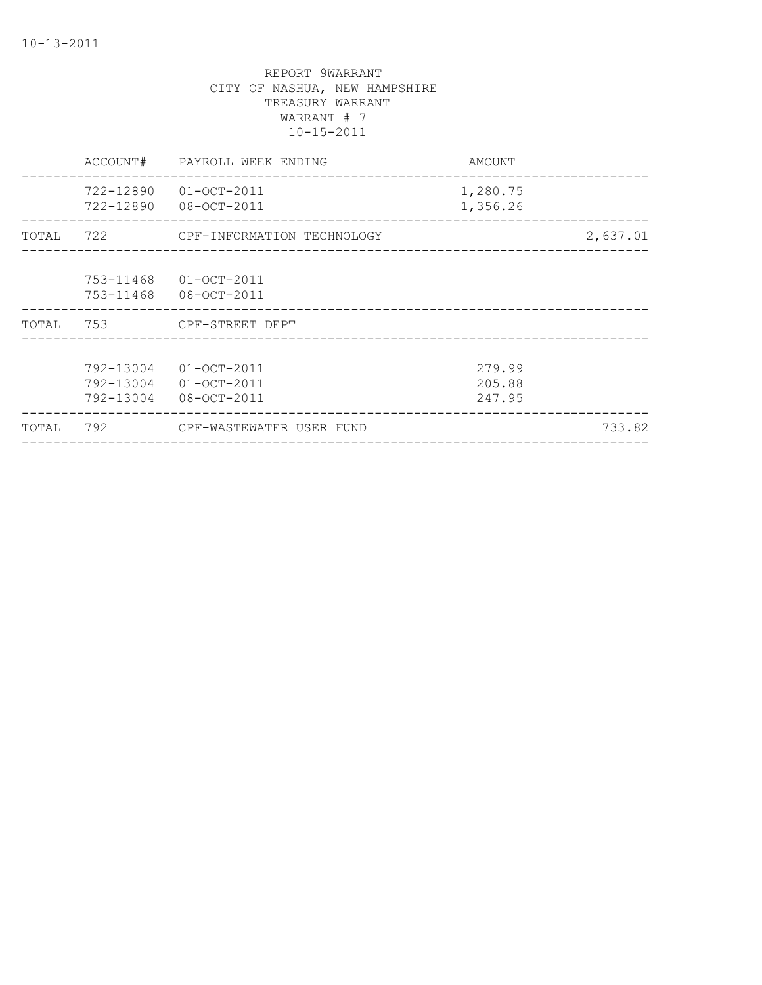| TOTAL |                                     | 792 CPF-WASTEWATER USER FUND                    |                            | 733.82   |
|-------|-------------------------------------|-------------------------------------------------|----------------------------|----------|
|       | 792-13004<br>792-13004<br>792-13004 | 01-OCT-2011<br>$01 - OCT - 2011$<br>08-OCT-2011 | 279.99<br>205.88<br>247.95 |          |
|       | TOTAL 753                           | CPF-STREET DEPT                                 |                            |          |
|       | 753-11468<br>753-11468              | 01-OCT-2011<br>08-OCT-2011                      |                            |          |
| TOTAL |                                     | 722 CPF-INFORMATION TECHNOLOGY                  |                            | 2,637.01 |
|       | 722-12890                           | $01 - OCT - 2011$<br>722-12890 08-OCT-2011      | 1,280.75<br>1,356.26       |          |
|       | ACCOUNT#                            | PAYROLL WEEK ENDING                             | AMOUNT                     |          |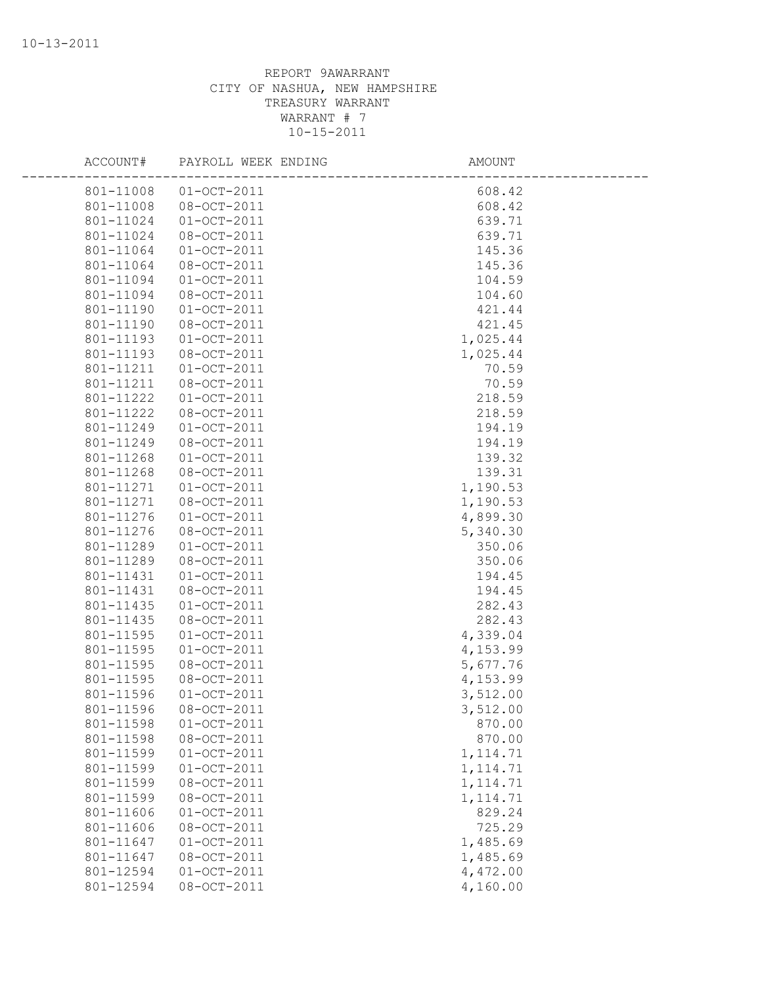| ACCOUNT#  | PAYROLL WEEK ENDING   | AMOUNT    |  |
|-----------|-----------------------|-----------|--|
|           | 801-11008 01-OCT-2011 | 608.42    |  |
| 801-11008 | 08-OCT-2011           | 608.42    |  |
| 801-11024 | $01 - OCT - 2011$     | 639.71    |  |
| 801-11024 | 08-OCT-2011           | 639.71    |  |
| 801-11064 | $01 - OCT - 2011$     | 145.36    |  |
| 801-11064 | 08-OCT-2011           | 145.36    |  |
| 801-11094 | $01 - OCT - 2011$     | 104.59    |  |
| 801-11094 | 08-OCT-2011           | 104.60    |  |
| 801-11190 | $01 - OCT - 2011$     | 421.44    |  |
| 801-11190 | 08-OCT-2011           | 421.45    |  |
| 801-11193 | $01 - OCT - 2011$     | 1,025.44  |  |
| 801-11193 | 08-OCT-2011           | 1,025.44  |  |
| 801-11211 | $01 - OCT - 2011$     | 70.59     |  |
| 801-11211 | 08-OCT-2011           | 70.59     |  |
| 801-11222 | $01 - OCT - 2011$     | 218.59    |  |
| 801-11222 | $08 - OCT - 2011$     | 218.59    |  |
| 801-11249 | $01 - OCT - 2011$     | 194.19    |  |
| 801-11249 | 08-OCT-2011           | 194.19    |  |
| 801-11268 | $01 - OCT - 2011$     | 139.32    |  |
| 801-11268 | 08-OCT-2011           | 139.31    |  |
| 801-11271 | $01 - OCT - 2011$     | 1,190.53  |  |
| 801-11271 | 08-OCT-2011           | 1,190.53  |  |
| 801-11276 | $01-0CT-2011$         | 4,899.30  |  |
| 801-11276 | 08-OCT-2011           | 5,340.30  |  |
| 801-11289 | $01 - OCT - 2011$     | 350.06    |  |
| 801-11289 | 08-OCT-2011           | 350.06    |  |
| 801-11431 | $01-0CT-2011$         | 194.45    |  |
| 801-11431 | 08-OCT-2011           | 194.45    |  |
| 801-11435 | $01 - OCT - 2011$     | 282.43    |  |
| 801-11435 | 08-OCT-2011           | 282.43    |  |
| 801-11595 | $01 - OCT - 2011$     | 4,339.04  |  |
| 801-11595 | $01 - OCT - 2011$     | 4,153.99  |  |
| 801-11595 | 08-OCT-2011           | 5,677.76  |  |
| 801-11595 | 08-OCT-2011           | 4,153.99  |  |
| 801-11596 | $01 - OCT - 2011$     | 3,512.00  |  |
| 801-11596 | $08 - OCT - 2011$     | 3,512.00  |  |
| 801-11598 | $01 - OCT - 2011$     | 870.00    |  |
| 801-11598 | 08-OCT-2011           | 870.00    |  |
| 801-11599 | $01 - OCT - 2011$     | 1, 114.71 |  |
| 801-11599 | $01-0CT-2011$         | 1, 114.71 |  |
| 801-11599 | 08-OCT-2011           | 1, 114.71 |  |
| 801-11599 | 08-OCT-2011           | 1, 114.71 |  |
| 801-11606 | $01-0CT-2011$         | 829.24    |  |
| 801-11606 | 08-OCT-2011           | 725.29    |  |
| 801-11647 | $01 - OCT - 2011$     | 1,485.69  |  |
| 801-11647 | 08-OCT-2011           | 1,485.69  |  |
| 801-12594 | $01-0CT-2011$         | 4,472.00  |  |
| 801-12594 | 08-OCT-2011           | 4,160.00  |  |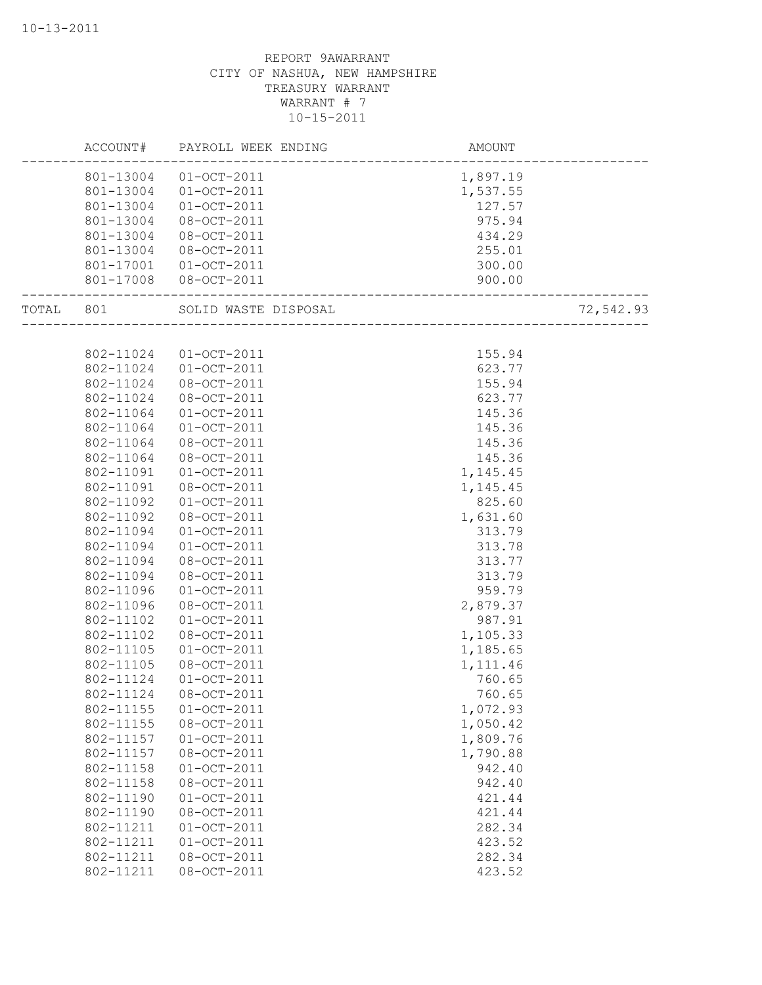|           | ACCOUNT#  | PAYROLL WEEK ENDING  | <b>AMOUNT</b> |           |
|-----------|-----------|----------------------|---------------|-----------|
|           | 801-13004 | $01 - OCT - 2011$    | 1,897.19      |           |
|           | 801-13004 | $01 - OCT - 2011$    | 1,537.55      |           |
|           | 801-13004 | $01-0CT-2011$        | 127.57        |           |
|           | 801-13004 | 08-OCT-2011          | 975.94        |           |
|           | 801-13004 | 08-OCT-2011          | 434.29        |           |
|           | 801-13004 | 08-OCT-2011          | 255.01        |           |
|           | 801-17001 | $01 - OCT - 2011$    | 300.00        |           |
|           | 801-17008 | 08-OCT-2011          | 900.00        |           |
| TOTAL 801 |           | SOLID WASTE DISPOSAL |               | 72,542.93 |
|           |           |                      |               |           |
|           | 802-11024 | $01 - OCT - 2011$    | 155.94        |           |
|           | 802-11024 | $01 - OCT - 2011$    | 623.77        |           |
|           | 802-11024 | 08-OCT-2011          | 155.94        |           |
|           | 802-11024 | 08-OCT-2011          | 623.77        |           |
|           | 802-11064 | $01 - OCT - 2011$    | 145.36        |           |
|           | 802-11064 | $01 - OCT - 2011$    | 145.36        |           |
|           | 802-11064 | 08-OCT-2011          | 145.36        |           |
|           | 802-11064 | 08-OCT-2011          | 145.36        |           |
|           | 802-11091 | $01 - OCT - 2011$    | 1,145.45      |           |
|           | 802-11091 | 08-OCT-2011          | 1,145.45      |           |
|           | 802-11092 | $01-0CT-2011$        | 825.60        |           |
|           | 802-11092 | 08-OCT-2011          | 1,631.60      |           |
|           | 802-11094 | $01 - OCT - 2011$    | 313.79        |           |
|           | 802-11094 | $01-0CT-2011$        | 313.78        |           |
|           | 802-11094 | 08-OCT-2011          | 313.77        |           |
|           | 802-11094 | 08-OCT-2011          | 313.79        |           |
|           | 802-11096 | $01-0CT-2011$        | 959.79        |           |
|           | 802-11096 | 08-OCT-2011          | 2,879.37      |           |
|           | 802-11102 | $01-0CT-2011$        | 987.91        |           |
|           | 802-11102 | 08-OCT-2011          | 1,105.33      |           |
|           | 802-11105 | $01 - OCT - 2011$    | 1,185.65      |           |
|           | 802-11105 | 08-OCT-2011          | 1, 111.46     |           |
|           | 802-11124 | $01-0CT-2011$        | 760.65        |           |
|           | 802-11124 | $08 - OCT - 2011$    | 760.65        |           |
|           | 802-11155 | $01-0CT-2011$        | 1,072.93      |           |
|           | 802-11155 | 08-OCT-2011          | 1,050.42      |           |
|           | 802-11157 | $01 - OCT - 2011$    | 1,809.76      |           |
|           | 802-11157 | 08-OCT-2011          | 1,790.88      |           |
|           | 802-11158 | $01 - OCT - 2011$    | 942.40        |           |
|           | 802-11158 | 08-OCT-2011          | 942.40        |           |
|           | 802-11190 | $01 - OCT - 2011$    | 421.44        |           |
|           | 802-11190 | 08-OCT-2011          | 421.44        |           |
|           | 802-11211 | $01 - OCT - 2011$    | 282.34        |           |
|           | 802-11211 | $01 - OCT - 2011$    | 423.52        |           |
|           | 802-11211 | 08-OCT-2011          | 282.34        |           |
|           | 802-11211 | 08-OCT-2011          | 423.52        |           |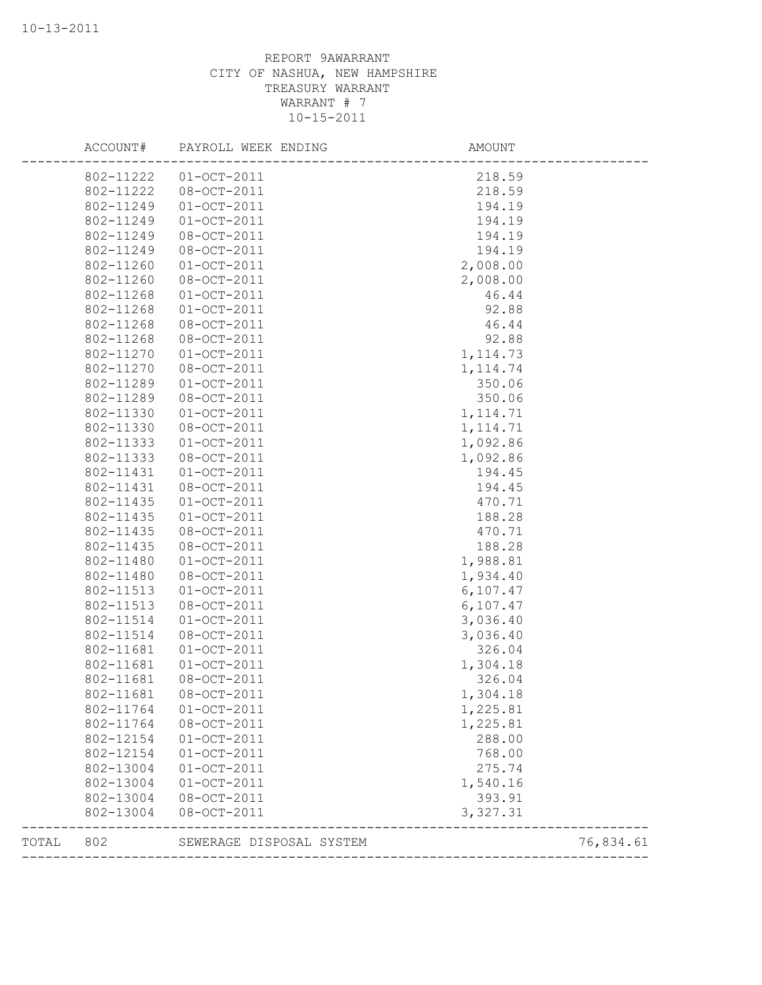| TOTAL | 802                    | SEWERAGE DISPOSAL SYSTEM         | -------------------  | 76,834.61 |
|-------|------------------------|----------------------------------|----------------------|-----------|
|       | 802-13004              | 08-OCT-2011                      | 3,327.31             |           |
|       | 802-13004              | 08-OCT-2011                      | 393.91               |           |
|       | 802-13004              | $01-0CT-2011$                    | 1,540.16             |           |
|       | 802-13004              | $01-0CT-2011$                    | 275.74               |           |
|       | 802-12154              | $01-0CT-2011$                    | 768.00               |           |
|       | 802-12154              | $01-0CT-2011$                    | 288.00               |           |
|       | 802-11764              | 08-OCT-2011                      | 1,225.81             |           |
|       | 802-11764              | $01 - OCT - 2011$                | 1,225.81             |           |
|       | 802-11681              | 08-OCT-2011                      | 1,304.18             |           |
|       | 802-11681              | 08-OCT-2011                      | 326.04               |           |
|       | 802-11681              | $01 - OCT - 2011$                | 1,304.18             |           |
|       | 802-11681              | $01-0CT-2011$                    | 326.04               |           |
|       | 802-11514              | 08-OCT-2011                      | 3,036.40             |           |
|       | 802-11514              | $01-0CT-2011$                    | 3,036.40             |           |
|       | 802-11513              | 08-OCT-2011                      | 6,107.47             |           |
|       | 802-11513              | $01 - OCT - 2011$                | 1,934.40<br>6,107.47 |           |
|       | 802-11480<br>802-11480 | $01 - OCT - 2011$<br>08-OCT-2011 | 1,988.81             |           |
|       | 802-11435              | 08-OCT-2011                      | 188.28               |           |
|       | 802-11435              | 08-OCT-2011                      | 470.71               |           |
|       | 802-11435              | $01 - OCT - 2011$                | 188.28               |           |
|       | 802-11435              | $01 - OCT - 2011$                | 470.71               |           |
|       | 802-11431              | 08-OCT-2011                      | 194.45               |           |
|       | 802-11431              | $01 - OCT - 2011$                | 194.45               |           |
|       | 802-11333              | 08-OCT-2011                      | 1,092.86             |           |
|       | 802-11333              | $01-0CT-2011$                    | 1,092.86             |           |
|       | 802-11330              | 08-OCT-2011                      | 1, 114.71            |           |
|       | 802-11330              | $01 - OCT - 2011$                | 1, 114.71            |           |
|       | 802-11289              | 08-OCT-2011                      | 350.06               |           |
|       | 802-11289              | $01 - OCT - 2011$                | 350.06               |           |
|       | 802-11270              | 08-OCT-2011                      | 1, 114.74            |           |
|       | 802-11270              | $01-0CT-2011$                    | 1, 114.73            |           |
|       | 802-11268              | 08-OCT-2011                      | 92.88                |           |
|       | 802-11268              | 08-OCT-2011                      | 46.44                |           |
|       | 802-11268              | $01-0CT-2011$                    | 92.88                |           |
|       | 802-11268              | $01-0CT-2011$                    | 46.44                |           |
|       | 802-11260              | 08-OCT-2011                      | 2,008.00             |           |
|       | 802-11260              | $01 - OCT - 2011$                | 2,008.00             |           |
|       | 802-11249              | 08-OCT-2011                      | 194.19               |           |
|       | 802-11249              | 08-OCT-2011                      | 194.19               |           |
|       | 802-11249              | $01-0CT-2011$                    | 194.19               |           |
|       | 802-11249              | $01 - OCT - 2011$                | 194.19               |           |
|       | 802-11222              | 08-OCT-2011                      | 218.59               |           |
|       | 802-11222              | $01-0CT-2011$                    | 218.59               |           |
|       |                        |                                  |                      |           |
|       | ACCOUNT#               | PAYROLL WEEK ENDING              | AMOUNT               |           |